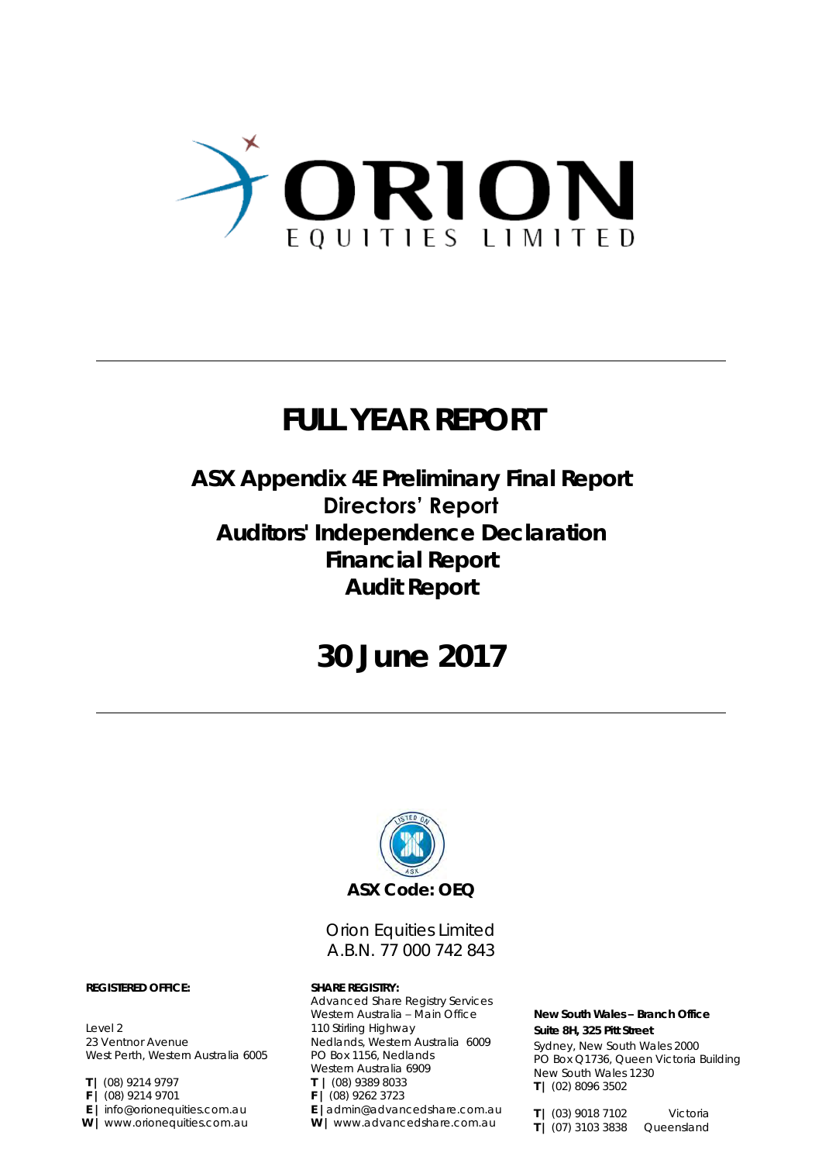

## **FULL YEAR REPORT**

### **ASX Appendix 4E Preliminary Final Report Directors' Report Auditors' Independence Declaration Financial Report**

**Audit Report**

### **30 June 2017**



### Orion Equities Limited A.B.N. 77 000 742 843

Advanced Share Registry Services Western Australia – Main Office 110 Stirling Highway Nedlands, Western Australia 6009 PO Box 1156, Nedlands Western Australia 6909 **T |** (08) 9389 8033 **F |** (08) 9262 3723 **E |**admin@advancedshare.com.au **W |** www.advancedshare.com.au

**New South Wales – Branch Office Suite 8H, 325 Pitt Street** Sydney, New South Wales 2000 PO Box Q1736, Queen Victoria Building New South Wales 1230 **T |** (02) 8096 3502

**T |** (03) 9018 7102 Victoria **T |** (07) 3103 3838 Queensland

**REGISTERED OFFICE: SHARE REGISTRY:**

Level 2 23 Ventnor Avenue West Perth, Western Australia 6005

- **T |** (08) 9214 9797
- **F |** (08) 9214 9701
- **E |** info@orionequities.com.au
- **W |** www.orionequities.com.au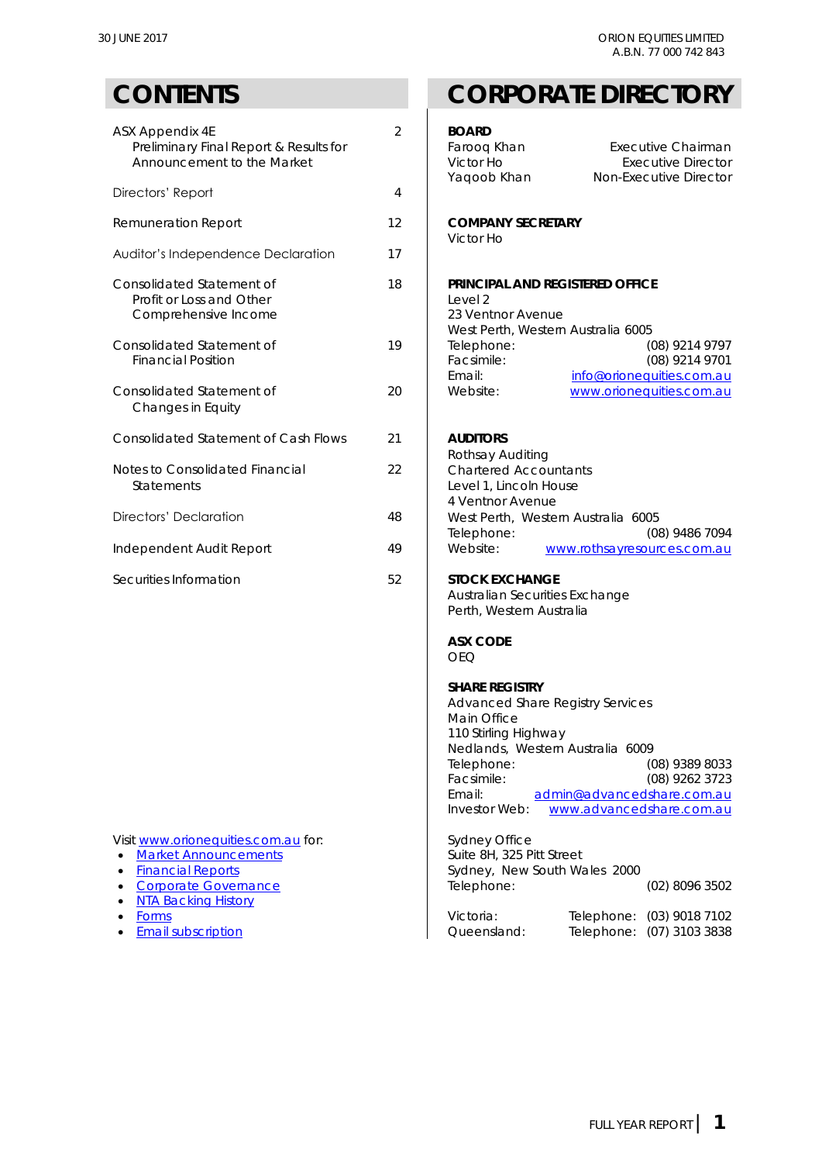| ASX Appendix 4E<br>Preliminary Final Report & Results for<br>Announcement to the Market | $\overline{2}$ | <b>BOARD</b><br>Faroog Khan<br>Victor Ho<br>Yaqoob Khan                                                          | <b>Executive Chairman</b><br><b>Executive Director</b><br>Non-Executive Director |
|-----------------------------------------------------------------------------------------|----------------|------------------------------------------------------------------------------------------------------------------|----------------------------------------------------------------------------------|
| Directors' Report                                                                       | 4              |                                                                                                                  |                                                                                  |
| Remuneration Report                                                                     | 12             | <b>COMPANY SECRETARY</b><br>Victor Ho                                                                            |                                                                                  |
| Auditor's Independence Declaration                                                      | 17             |                                                                                                                  |                                                                                  |
| Consolidated Statement of<br>Profit or Loss and Other<br>Comprehensive Income           | 18             | PRINCIPAL AND REGISTERED OFFICE<br>Level <sub>2</sub><br>23 Ventnor Avenue<br>West Perth, Western Australia 6005 |                                                                                  |
| Consolidated Statement of<br><b>Financial Position</b>                                  | 19             | Telephone:<br>Facsimile:<br>Email:                                                                               | (08) 9214 9797<br>(08) 9214 9701<br>info@orionequities.com.au                    |
| Consolidated Statement of<br>Changes in Equity                                          | 20             | Website:                                                                                                         | www.orionequities.com.au                                                         |
| <b>Consolidated Statement of Cash Flows</b>                                             | 21             | <b>AUDITORS</b><br>Rothsay Auditing                                                                              |                                                                                  |
| Notes to Consolidated Financial<br>Statements                                           | 22             | <b>Chartered Accountants</b><br>Level 1, Lincoln House<br>4 Ventnor Avenue                                       |                                                                                  |
| <b>Directors' Declaration</b>                                                           | 48             | West Perth, Western Australia 6005<br>Telephone:                                                                 | (08) 9486 7094                                                                   |
| Independent Audit Report                                                                | 49             | Website:                                                                                                         | www.rothsayresources.com.au                                                      |
| Securities Information                                                                  | 52             | STOCK EXCHANGE<br>Australian Securities Exchange<br>Perth, Western Australia                                     |                                                                                  |
|                                                                                         |                | <b>ASX CODE</b><br><b>OEQ</b>                                                                                    |                                                                                  |
|                                                                                         |                | <b>SHARE REGISTRY</b><br><b>Advanced Share Registry Services</b><br>Main Office                                  |                                                                                  |

- [Corporate Governance](http://www.orionequities.com.au/corporate-governance)
- [NTA Backing History](http://www.orionequities.com.au/reports/10)
- 
- 

### **CONTENTS CORPORATE DIRECTORY**

| ASX Appendix 4E<br>Preliminary Final Report & Results for<br>Announcement to the Market<br>Directors' Report                                                                                | $\overline{2}$<br>4                                    | <b>BOARD</b><br>Farooq Khan<br>Victor Ho<br>Yaqoob Khan                                                                                                                                     | <b>Executive Chairman</b><br><b>Executive Director</b><br>Non-Executive Director           |
|---------------------------------------------------------------------------------------------------------------------------------------------------------------------------------------------|--------------------------------------------------------|---------------------------------------------------------------------------------------------------------------------------------------------------------------------------------------------|--------------------------------------------------------------------------------------------|
| Remuneration Report                                                                                                                                                                         | 12                                                     | <b>COMPANY SECRETARY</b>                                                                                                                                                                    |                                                                                            |
|                                                                                                                                                                                             |                                                        | Victor Ho                                                                                                                                                                                   |                                                                                            |
| Auditor's Independence Declaration                                                                                                                                                          | 17                                                     |                                                                                                                                                                                             |                                                                                            |
| Consolidated Statement of<br>Profit or Loss and Other<br>Comprehensive Income                                                                                                               | 18                                                     | PRINCIPAL AND REGISTERED OFFICE<br>Level 2<br>23 Ventnor Avenue<br>West Perth, Western Australia 6005                                                                                       |                                                                                            |
| Consolidated Statement of<br><b>Financial Position</b>                                                                                                                                      | 19                                                     | Telephone:<br>Facsimile:<br>Email:                                                                                                                                                          | (08) 9214 9797<br>(08) 9214 9701<br>info@orionequities.com.au                              |
| Consolidated Statement of<br>Changes in Equity                                                                                                                                              | 20                                                     | Website:                                                                                                                                                                                    | www.orionequities.com.au                                                                   |
| Consolidated Statement of Cash Flows                                                                                                                                                        | 21                                                     | <b>AUDITORS</b><br>Rothsay Auditing                                                                                                                                                         |                                                                                            |
| <b>Notes to Consolidated Financial</b><br><b>Statements</b>                                                                                                                                 | 22                                                     | <b>Chartered Accountants</b><br>Level 1, Lincoln House<br>4 Ventnor Avenue                                                                                                                  |                                                                                            |
| Directors' Declaration                                                                                                                                                                      | 48<br>West Perth, Western Australia 6005<br>Telephone: |                                                                                                                                                                                             | (08) 9486 7094                                                                             |
| ndependent Audit Report                                                                                                                                                                     | 49                                                     | Website:                                                                                                                                                                                    | www.rothsayresources.com.au                                                                |
| Securities Information                                                                                                                                                                      | 52                                                     | <b>STOCK EXCHANGE</b><br>Australian Securities Exchange<br>Perth, Western Australia                                                                                                         |                                                                                            |
|                                                                                                                                                                                             |                                                        | <b>ASX CODE</b><br><b>OEQ</b>                                                                                                                                                               |                                                                                            |
|                                                                                                                                                                                             |                                                        | <b>SHARE REGISTRY</b><br>Advanced Share Registry Services<br>Main Office<br>110 Stirling Highway<br>Nedlands, Western Australia 6009<br>Telephone:<br>Facsimile:<br>Email:<br>Investor Web: | (08) 9389 8033<br>(08) 9262 3723<br>admin@advancedshare.com.au<br>www.advancedshare.com.au |
| Visit www.orionequities.com.au for:<br><b>Market Announcements</b><br>$\bullet$<br><b>Financial Reports</b><br>$\bullet$<br>Corporate Governance<br>$\bullet$<br><b>NTA Backing History</b> |                                                        | Sydney Office<br>Suite 8H, 325 Pitt Street<br>Sydney, New South Wales 2000<br>Telephone:                                                                                                    | $(02)$ 8096 3502                                                                           |
| Forms<br><b>Email subscription</b><br>$\bullet$                                                                                                                                             |                                                        | Victoria:<br>Queensland:                                                                                                                                                                    | Telephone:<br>$(03)$ 9018 7102<br>Telephone:<br>$(07)$ 3103 3838                           |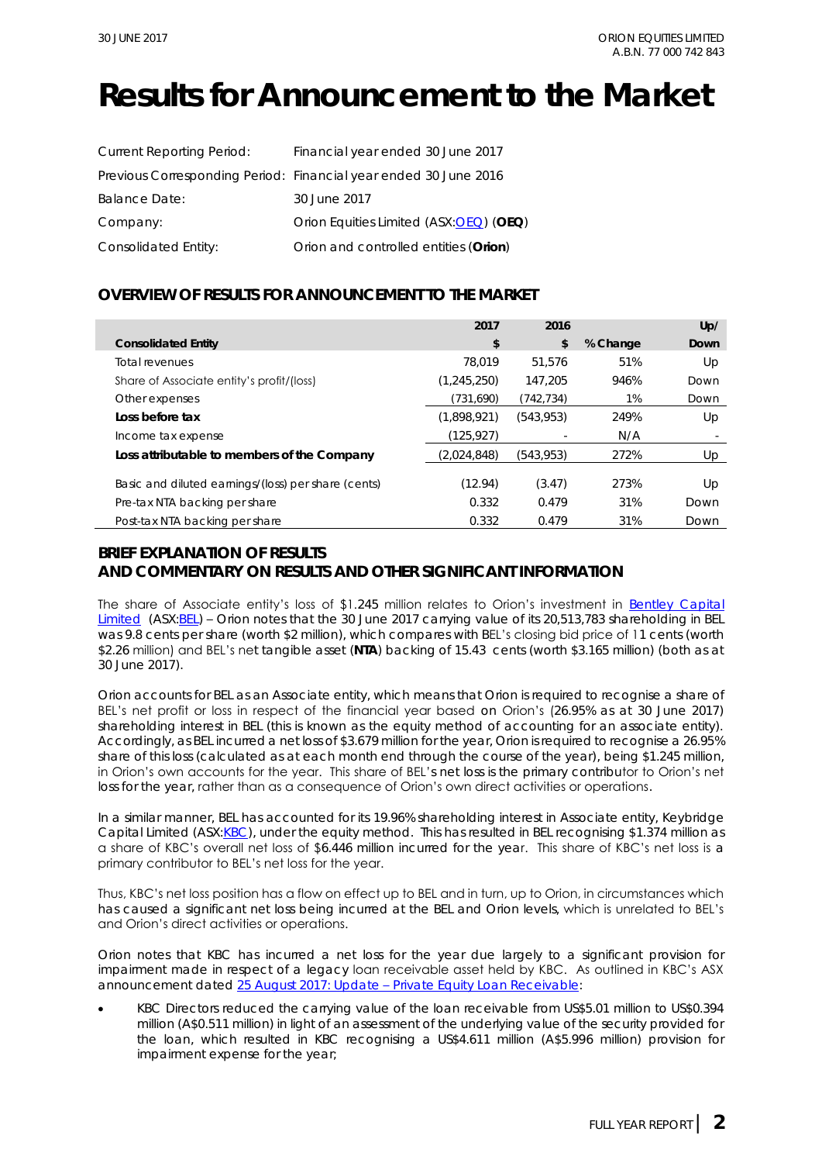## **Results for Announcement to the Market**

| <b>Current Reporting Period:</b> | Financial year ended 30 June 2017                                |
|----------------------------------|------------------------------------------------------------------|
|                                  | Previous Corresponding Period: Financial year ended 30 June 2016 |
| <b>Balance Date:</b>             | 30 June 2017                                                     |
| Company:                         | Orion Equities Limited (ASX:OEQ) (OEQ)                           |
| Consolidated Entity:             | Orion and controlled entities (Orion)                            |

### **OVERVIEW OF RESULTS FOR ANNOUNCEMENT TO THE MARKET**

|                                                     | 2017          | 2016       |          | Up/  |
|-----------------------------------------------------|---------------|------------|----------|------|
| <b>Consolidated Entity</b>                          | \$            | \$         | % Change | Down |
| Total revenues                                      | 78.019        | 51.576     | 51%      | Up   |
| Share of Associate entity's profit/(loss)           | (1, 245, 250) | 147.205    | 946%     | Down |
| Other expenses                                      | (731,690)     | (742,734)  | 1%       | Down |
| Loss before tax                                     | (1,898,921)   | (543, 953) | 249%     | Up   |
| Income tax expense                                  | (125,927)     |            | N/A      |      |
| Loss attributable to members of the Company         | (2,024,848)   | (543, 953) | 272%     | Up   |
| Basic and diluted earnings/(loss) per share (cents) | (12.94)       | (3.47)     | 273%     | Up   |
| Pre-tax NTA backing per share                       | 0.332         | 0.479      | 31%      | Down |
| Post-tax NTA backing per share                      | 0.332         | 0.479      | 31%      | Down |

### **BRIEF EXPLANATION OF RESULTS**

**AND COMMENTARY ON RESULTS AND OTHER SIGNIFICANT INFORMATION**

The share of Associate entity's loss of \$1.245 million relates to Orion's investment in [Bentley Capital](http://www.bel.com.au/sites/default/files/20150731%20BEL%20ASX%20Despatch%20of%20Bidders%20Statement%20to%20Holders%20of%20SRK.pdf)  [Limited](http://www.bel.com.au/sites/default/files/20150731%20BEL%20ASX%20Despatch%20of%20Bidders%20Statement%20to%20Holders%20of%20SRK.pdf) (ASX: BEL) – Orion notes that the 30 June 2017 carrying value of its 20,513,783 shareholding in BEL was 9.8 cents per share (worth \$2 million), which compares with BEL's closing bid price of 11 cents (worth \$2.26 million) and BEL's net tangible asset (**NTA**) backing of 15.43 cents (worth \$3.165 million) (both as at 30 June 2017).

Orion accounts for BEL as an Associate entity, which means that Orion is required to recognise a share of BEL's net profit or loss in respect of the financial year based on Orion's (26.95% as at 30 June 2017) shareholding interest in BEL (this is known as the equity method of accounting for an associate entity). Accordingly, as BEL incurred a net loss of \$3.679 million for the year, Orion is required to recognise a 26.95% share of this loss (calculated as at each month end through the course of the year), being \$1.245 million, in Orion's own accounts for the year. This share of BEL's net loss is the primary contributor to Orion's net loss for the year, rather than as a consequence of Orion's own direct activities or operations.

In a similar manner, BEL has accounted for its 19.96% shareholding interest in Associate entity, Keybridge Capital Limited (ASX[:KBC\)](http://www.asx.com.au/asx/share-price-research/company/KBC), under the equity method. This has resulted in BEL recognising \$1.374 million as a share of KBC's overall net loss of \$6.446 million incurred for the year. This share of KBC's net loss is a primary contributor to BEL's net loss for the year.

Thus, KBC's net loss position has a flow on effect up to BEL and in turn, up to Orion, in circumstances which has caused a significant net loss being incurred at the BEL and Orion levels, which is unrelated to BEL's and Orion's direct activities or operations.

Orion notes that KBC has incurred a net loss for the year due largely to a significant provision for impairment made in respect of a legacy loan receivable asset held by KBC. As outlined in KBC's ASX announcement dated 25 August 2017: Update - [Private Equity Loan Receivable:](http://www.asx.com.au/asx/statistics/displayAnnouncement.do?display=pdf&idsId=01888486)

• KBC Directors reduced the carrying value of the loan receivable from US\$5.01 million to US\$0.394 million (A\$0.511 million) in light of an assessment of the underlying value of the security provided for the loan, which resulted in KBC recognising a US\$4.611 million (A\$5.996 million) provision for impairment expense for the year;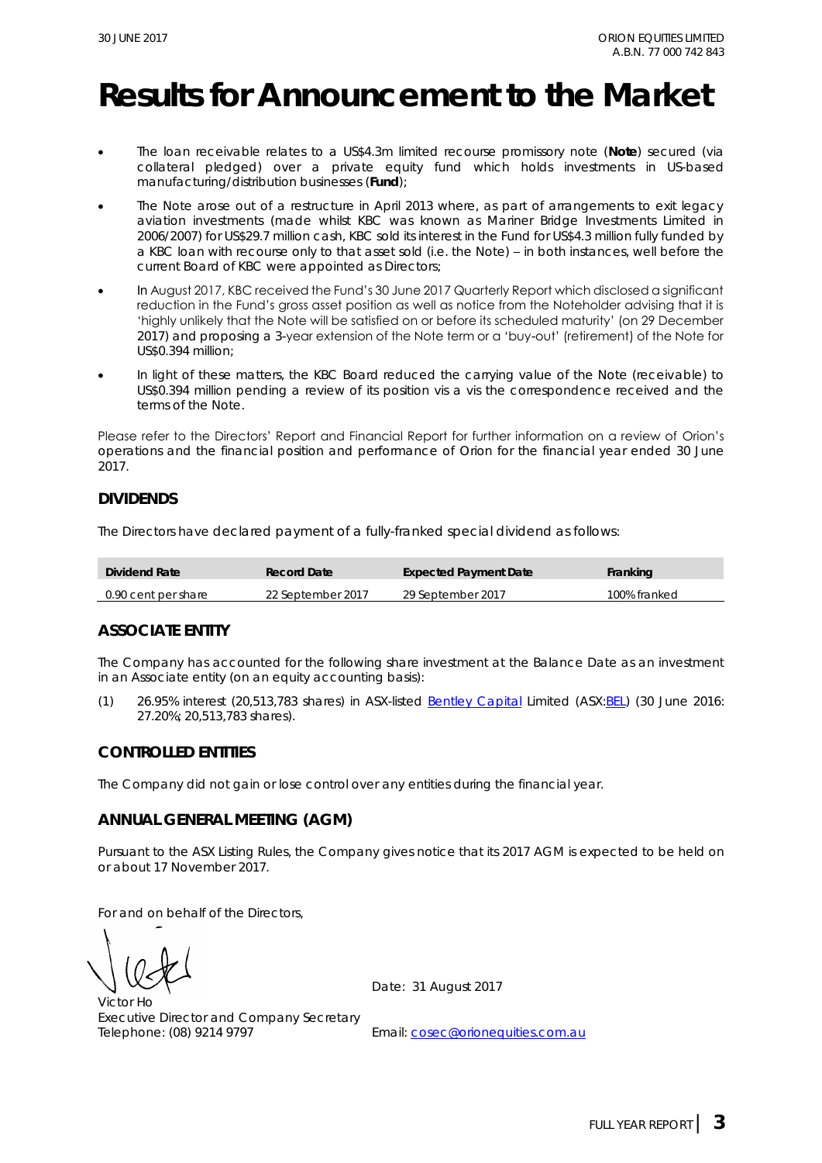## **Results for Announcement to the Market**

- The loan receivable relates to a US\$4.3m limited recourse promissory note (**Note**) secured (via collateral pledged) over a private equity fund which holds investments in US-based manufacturing/distribution businesses (**Fund**);
- The Note arose out of a restructure in April 2013 where, as part of arrangements to exit legacy aviation investments (made whilst KBC was known as Mariner Bridge Investments Limited in 2006/2007) for US\$29.7 million cash, KBC sold its interest in the Fund for US\$4.3 million fully funded by a KBC loan with recourse only to that asset sold (i.e. the Note) – in both instances, well before the current Board of KBC were appointed as Directors;
- In August 2017, KBC received the Fund's 30 June 2017 Quarterly Report which disclosed a significant reduction in the Fund's gross asset position as well as notice from the Noteholder advising that it is 'highly unlikely that the Note will be satisfied on or before its scheduled maturity' (on 29 December 2017) and proposing a 3-year extension of the Note term or a 'buy-out' (retirement) of the Note for US\$0.394 million;
- In light of these matters, the KBC Board reduced the carrying value of the Note (receivable) to US\$0.394 million pending a review of its position vis a vis the correspondence received and the terms of the Note.

Please refer to the Directors' Report and Financial Report for further information on a review of Orion's operations and the financial position and performance of Orion for the financial year ended 30 June 2017.

### **DIVIDENDS**

The Directors have declared payment of a fully-franked special dividend as follows:

| Dividend Rate       | Record Date       | Expected Payment Date | Franking     |
|---------------------|-------------------|-----------------------|--------------|
| 0.90 cent per share | 22 September 2017 | 29 September 2017     | 100% franked |

### **ASSOCIATE ENTITY**

The Company has accounted for the following share investment at the Balance Date as an investment in an Associate entity (on an equity accounting basis):

(1) 26.95% interest (20,513,783 shares) in ASX-listed [Bentley Capital](http://www.bel.com.au/) Limited (ASX[:BEL\)](http://www.asx.com.au/asx/share-price-research/company/BEL) (30 June 2016: 27.20%; 20,513,783 shares).

### **CONTROLLED ENTITIES**

The Company did not gain or lose control over any entities during the financial year.

### **ANNUAL GENERAL MEETING (AGM)**

Pursuant to the ASX Listing Rules, the Company gives notice that its 2017 AGM is expected to be held on or about 17 November 2017.

For and on behalf of the Directors,

Victor Ho Executive Director and Company Secretary Telephone: (08) 9214 9797 Email: [cosec@orionequities.com.au](mailto:cosec@orionequities.com.au)

Date: 31 August 2017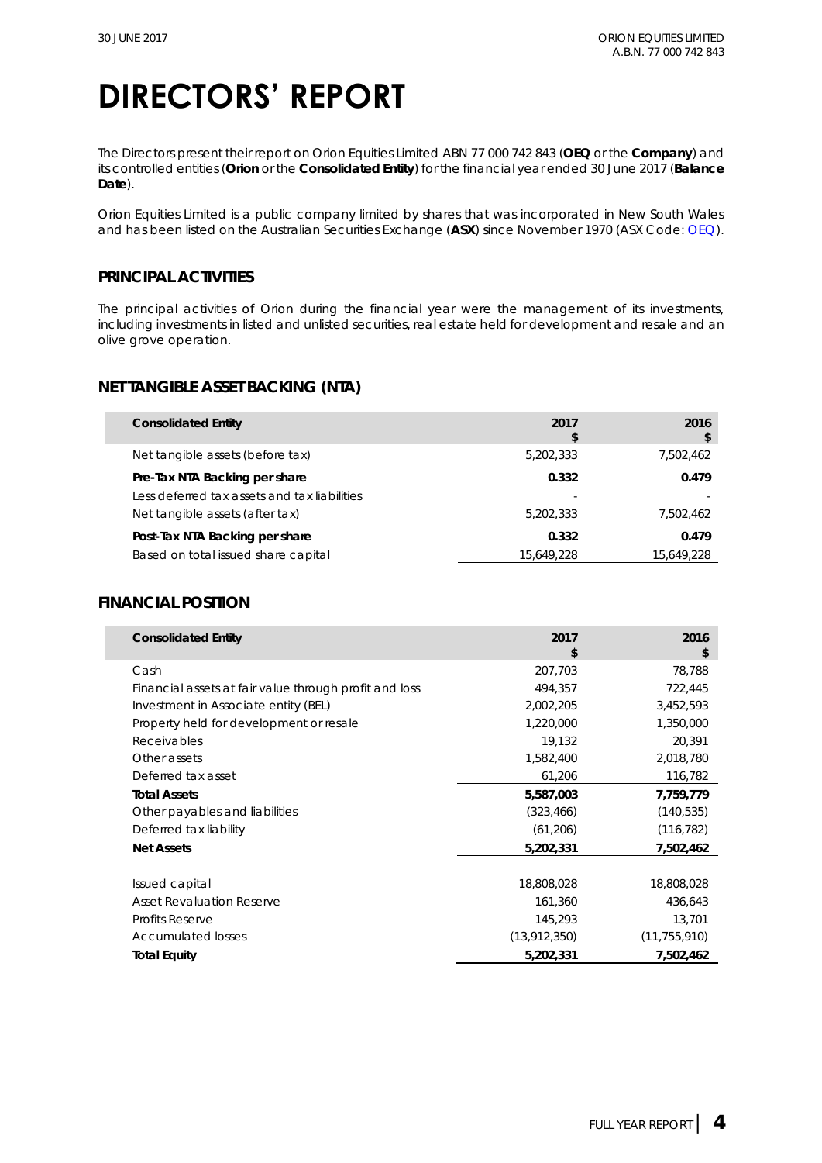The Directors present their report on Orion Equities Limited ABN 77 000 742 843 (**OEQ** or the **Company**) and its controlled entities (**Orion** or the **Consolidated Entity**) for the financial year ended 30 June 2017 (**Balance Date**).

Orion Equities Limited is a public company limited by shares that was incorporated in New South Wales and has been listed on the Australian Securities Exchange (**ASX**) since November 1970 (ASX Code: [OEQ\)](http://www.asx.com.au/asx/share-price-research/company/OEQ).

### **PRINCIPAL ACTIVITIES**

The principal activities of Orion during the financial year were the management of its investments, including investments in listed and unlisted securities, real estate held for development and resale and an olive grove operation.

### **NET TANGIBLE ASSET BACKING (NTA)**

| <b>Consolidated Entity</b>                   | 2017<br>\$ | 2016<br>\$ |
|----------------------------------------------|------------|------------|
| Net tangible assets (before tax)             | 5,202,333  | 7,502,462  |
| Pre-Tax NTA Backing per share                | 0.332      | 0.479      |
| Less deferred tax assets and tax liabilities |            |            |
| Net tangible assets (after tax)              | 5,202,333  | 7.502.462  |
| Post-Tax NTA Backing per share               | 0.332      | 0.479      |
| Based on total issued share capital          | 15.649.228 | 15.649.228 |

### **FINANCIAL POSITION**

| <b>Consolidated Entity</b>                             | 2017<br>\$     | 2016<br>\$     |
|--------------------------------------------------------|----------------|----------------|
| Cash                                                   | 207,703        | 78,788         |
| Financial assets at fair value through profit and loss | 494,357        | 722,445        |
| Investment in Associate entity (BEL)                   | 2,002,205      | 3,452,593      |
| Property held for development or resale                | 1,220,000      | 1,350,000      |
| Receivables                                            | 19,132         | 20,391         |
| Other assets                                           | 1,582,400      | 2,018,780      |
| Deferred tax asset                                     | 61,206         | 116,782        |
| <b>Total Assets</b>                                    | 5,587,003      | 7,759,779      |
| Other payables and liabilities                         | (323, 466)     | (140, 535)     |
| Deferred tax liability                                 | (61, 206)      | (116, 782)     |
| <b>Net Assets</b>                                      | 5,202,331      | 7,502,462      |
|                                                        |                |                |
| Issued capital                                         | 18,808,028     | 18,808,028     |
| <b>Asset Revaluation Reserve</b>                       | 161,360        | 436,643        |
| <b>Profits Reserve</b>                                 | 145,293        | 13,701         |
| <b>Accumulated losses</b>                              | (13, 912, 350) | (11, 755, 910) |
| <b>Total Equity</b>                                    | 5,202,331      | 7,502,462      |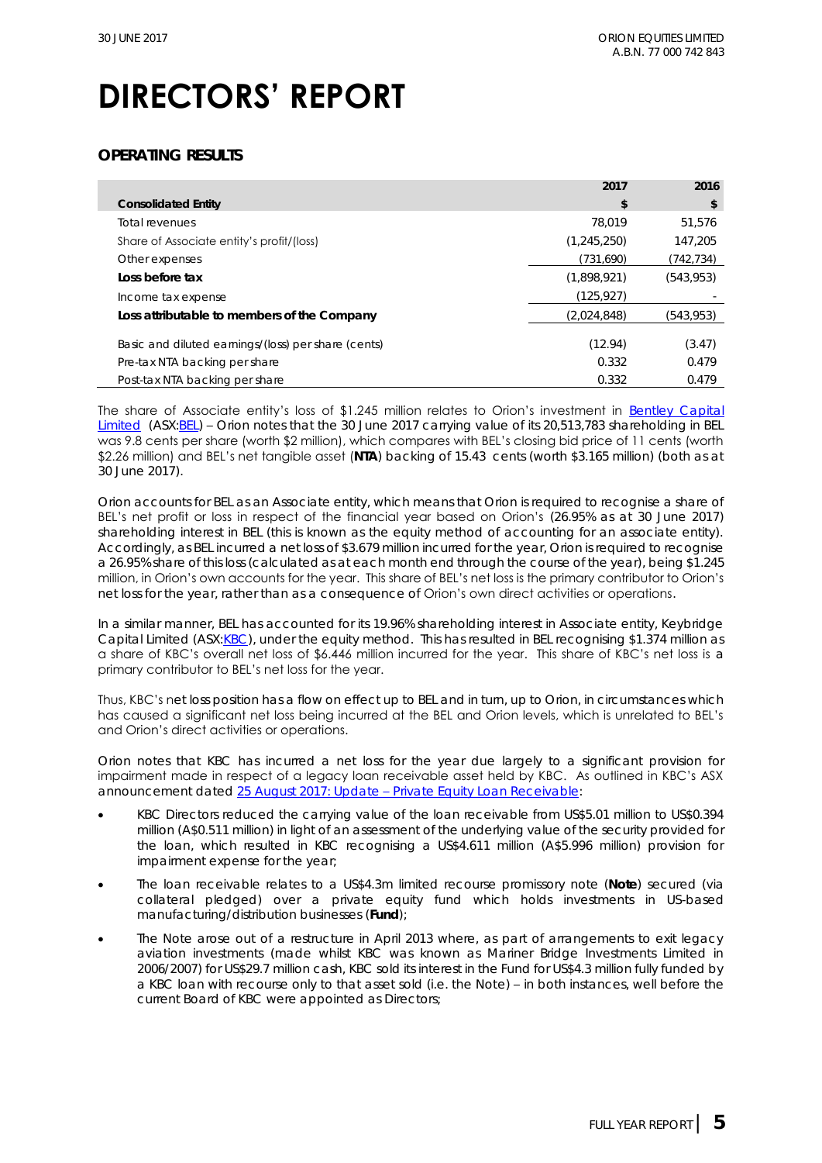### **OPERATING RESULTS**

|                                                     | 2017          | 2016       |
|-----------------------------------------------------|---------------|------------|
| <b>Consolidated Entity</b>                          | \$            | \$         |
| Total revenues                                      | 78.019        | 51.576     |
| Share of Associate entity's profit/(loss)           | (1, 245, 250) | 147.205    |
| Other expenses                                      | (731,690)     | (742, 734) |
| Loss before tax                                     | (1,898,921)   | (543, 953) |
| Income tax expense                                  | (125, 927)    |            |
| Loss attributable to members of the Company         | (2,024,848)   | (543,953)  |
| Basic and diluted earnings/(loss) per share (cents) | (12.94)       | (3.47)     |
| Pre-tax NTA backing per share                       | 0.332         | 0.479      |
| Post-tax NTA backing per share                      | 0.332         | 0.479      |

The share of Associate entity's loss of \$1.245 million relates to Orion's investment in Bentley Capital [Limited](http://www.bel.com.au/sites/default/files/20150731%20BEL%20ASX%20Despatch%20of%20Bidders%20Statement%20to%20Holders%20of%20SRK.pdf) (ASX: BEL) – Orion notes that the 30 June 2017 carrying value of its 20,513,783 shareholding in BEL was 9.8 cents per share (worth \$2 million), which compares with BEL's closing bid price of 11 cents (worth \$2.26 million) and BEL's net tangible asset (**NTA**) backing of 15.43 cents (worth \$3.165 million) (both as at 30 June 2017).

Orion accounts for BEL as an Associate entity, which means that Orion is required to recognise a share of BEL's net profit or loss in respect of the financial year based on Orion's (26.95% as at 30 June 2017) shareholding interest in BEL (this is known as the equity method of accounting for an associate entity). Accordingly, as BEL incurred a net loss of \$3.679 million incurred for the year, Orion is required to recognise a 26.95% share of this loss (calculated as at each month end through the course of the year), being \$1.245 million, in Orion's own accounts for the year. This share of BEL's net loss is the primary contributor to Orion's net loss for the year, rather than as a consequence of Orion's own direct activities or operations.

In a similar manner, BEL has accounted for its 19.96% shareholding interest in Associate entity, Keybridge Capital Limited (ASX[:KBC\)](http://www.asx.com.au/asx/share-price-research/company/KBC), under the equity method. This has resulted in BEL recognising \$1.374 million as a share of KBC's overall net loss of \$6.446 million incurred for the year. This share of KBC's net loss is a primary contributor to BEL's net loss for the year.

Thus, KBC's net loss position has a flow on effect up to BEL and in turn, up to Orion, in circumstances which has caused a significant net loss being incurred at the BEL and Orion levels, which is unrelated to BEL's and Orion's direct activities or operations.

Orion notes that KBC has incurred a net loss for the year due largely to a significant provision for impairment made in respect of a legacy loan receivable asset held by KBC. As outlined in KBC's ASX announcement dated 25 August 2017: Update – [Private Equity Loan Receivable:](http://www.asx.com.au/asx/statistics/displayAnnouncement.do?display=pdf&idsId=01888486)

- KBC Directors reduced the carrying value of the loan receivable from US\$5.01 million to US\$0.394 million (A\$0.511 million) in light of an assessment of the underlying value of the security provided for the loan, which resulted in KBC recognising a US\$4.611 million (A\$5.996 million) provision for impairment expense for the year;
- The loan receivable relates to a US\$4.3m limited recourse promissory note (**Note**) secured (via collateral pledged) over a private equity fund which holds investments in US-based manufacturing/distribution businesses (**Fund**);
- The Note arose out of a restructure in April 2013 where, as part of arrangements to exit legacy aviation investments (made whilst KBC was known as Mariner Bridge Investments Limited in 2006/2007) for US\$29.7 million cash, KBC sold its interest in the Fund for US\$4.3 million fully funded by a KBC loan with recourse only to that asset sold (i.e. the Note) – in both instances, well before the current Board of KBC were appointed as Directors;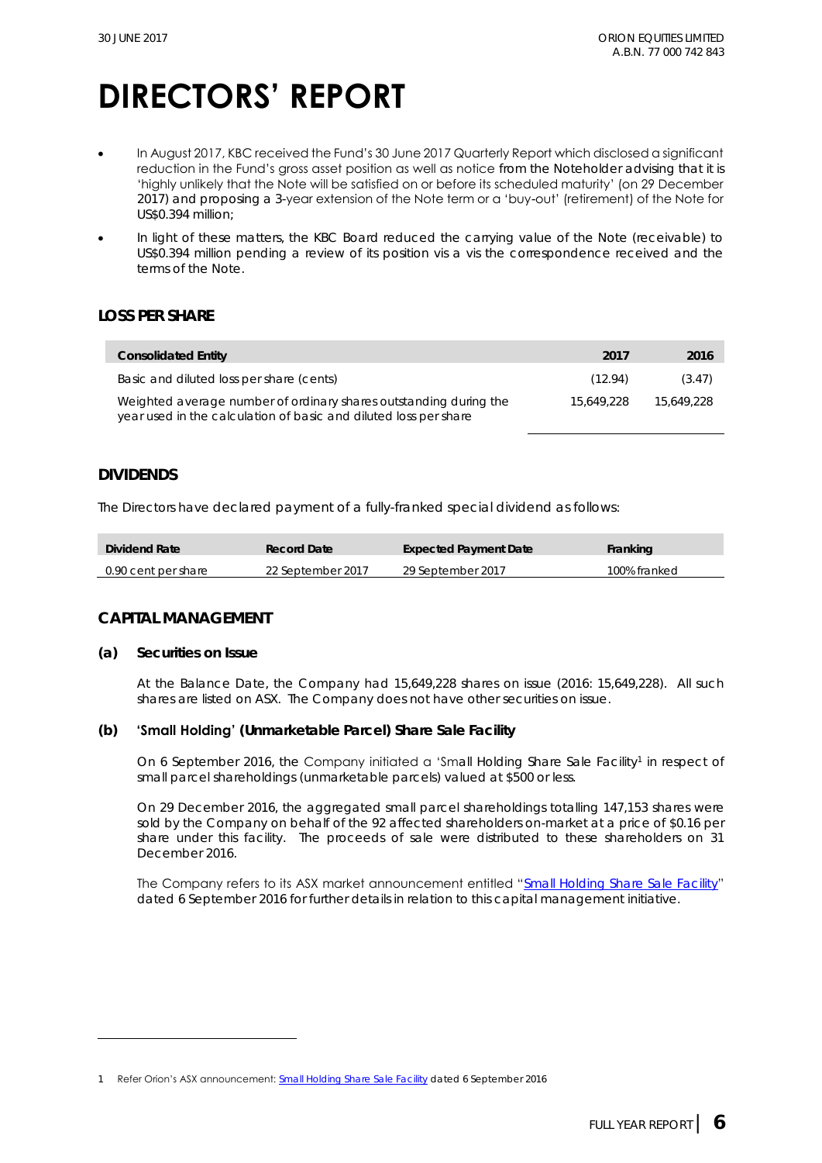- In August 2017, KBC received the Fund's 30 June 2017 Quarterly Report which disclosed a significant reduction in the Fund's gross asset position as well as notice from the Noteholder advising that it is 'highly unlikely that the Note will be satisfied on or before its scheduled maturity' (on 29 December 2017) and proposing a 3-year extension of the Note term or a 'buy-out' (retirement) of the Note for US\$0.394 million;
- In light of these matters, the KBC Board reduced the carrying value of the Note (receivable) to US\$0.394 million pending a review of its position vis a vis the correspondence received and the terms of the Note.

### **LOSS PER SHARE**

| Consolidated Entity                                                                                                                   | -2017      | 2016       |
|---------------------------------------------------------------------------------------------------------------------------------------|------------|------------|
| Basic and diluted loss per share (cents)                                                                                              | (12.94)    | (3.47)     |
| Weighted average number of ordinary shares outstanding during the<br>year used in the calculation of basic and diluted loss per share | 15.649.228 | 15.649.228 |

#### **DIVIDENDS**

The Directors have declared payment of a fully-franked special dividend as follows:

| Dividend Rate       | <b>Record Date</b> | Expected Payment Date | Franking     |
|---------------------|--------------------|-----------------------|--------------|
| 0.90 cent per share | 22 September 2017  | 29 September 2017     | 100% franked |

### **CAPITAL MANAGEMENT**

**(a) Securities on Issue**

At the Balance Date, the Company had 15,649,228 shares on issue (2016: 15,649,228). All such shares are listed on ASX. The Company does not have other securities on issue.

#### **(b) 'Small Holding' (Unmarketable Parcel) Share Sale Facility**

On 6 September 2016, the Company initiated a 'Small Holding Share Sale Facility<sup>1</sup> in respect of small parcel shareholdings (unmarketable parcels) valued at \$500 or less.

On 29 December 2016, the aggregated small parcel shareholdings totalling 147,153 shares were sold by the Company on behalf of the 92 affected shareholders on-market at a price of \$0.16 per share under this facility. The proceeds of sale were distributed to these shareholders on 31 December 2016.

The Company refers to its ASX market announcement entitled "[Small Holding Share Sale Facility](http://www.asx.com.au/asxpdf/20160906/pdf/439z684rqmch60.pdf)" dated 6 September 2016 for further details in relation to this capital management initiative.

<sup>1</sup> Refer Orion's ASX announcement: [Small Holding Share Sale Facility](http://www.asx.com.au/asxpdf/20160906/pdf/439z684rqmch60.pdf) dated 6 September 2016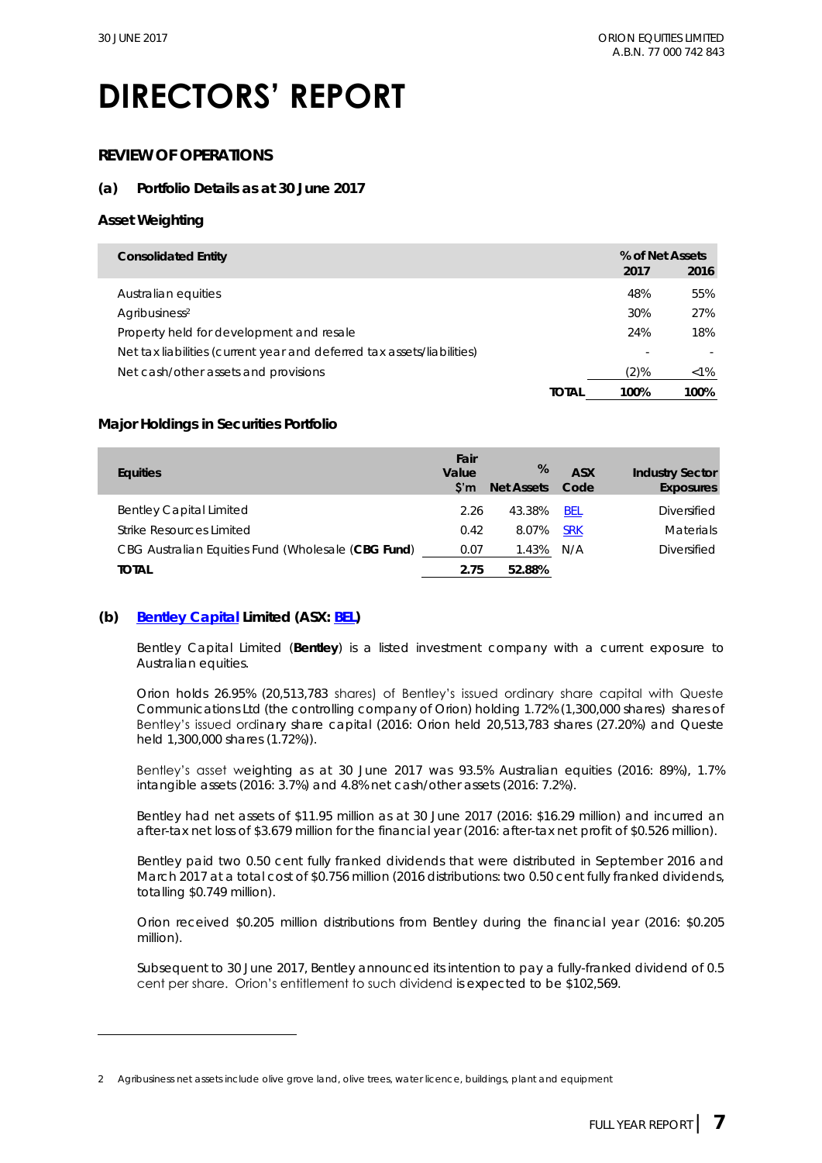### **REVIEW OF OPERATIONS**

### **(a) Portfolio Details as at 30 June 2017**

#### **Asset Weighting**

| Consolidated Entity                                                    |      | % of Net Assets |
|------------------------------------------------------------------------|------|-----------------|
|                                                                        | 2017 | 2016            |
| Australian equities                                                    | 48%  | 55%             |
| Agribusiness <sup>2</sup>                                              | 30%  | 27%             |
| Property held for development and resale                               | 24%  | 18%             |
| Net tax liabilities (current year and deferred tax assets/liabilities) |      |                 |
| Net cash/other assets and provisions                                   | (2)% | $<1\%$          |
| TOTAL                                                                  | 100% | 100%            |

#### **Major Holdings in Securities Portfolio**

| Equities                                           | Fair<br>Value<br>S'm | %<br>Net Assets | ASX<br>Code | <b>Industry Sector</b><br>Exposures |
|----------------------------------------------------|----------------------|-----------------|-------------|-------------------------------------|
| <b>Bentley Capital Limited</b>                     | 2.26                 | 43.38%          | <b>BEL</b>  | <b>Diversified</b>                  |
| Strike Resources Limited                           | 0.42                 | 8.07%           | <b>SRK</b>  | <b>Materials</b>                    |
| CBG Australian Equities Fund (Wholesale (CBG Fund) | 0.07                 | 1.43%           | N/A         | Diversified                         |
| total                                              | 2 75                 | 5288%           |             |                                     |

#### **(b) [Bentley Capital](http://www.bel.com.au/) Limited (ASX: [BEL\)](http://www.asx.com.au/asx/share-price-research/company/BEL)**

Bentley Capital Limited (**Bentley**) is a listed investment company with a current exposure to Australian equities.

Orion holds 26.95% (20,513,783 shares) of Bentley's issued ordinary share capital with Queste Communications Ltd (the controlling company of Orion) holding 1.72% (1,300,000 shares) shares of Bentley's issued ordinary share capital (2016: Orion held 20,513,783 shares (27.20%) and Queste held 1,300,000 shares (1.72%)).

Bentley's asset weighting as at 30 June 2017 was 93.5% Australian equities (2016: 89%), 1.7% intangible assets (2016: 3.7%) and 4.8% net cash/other assets (2016: 7.2%).

Bentley had net assets of \$11.95 million as at 30 June 2017 (2016: \$16.29 million) and incurred an after-tax net loss of \$3.679 million for the financial year (2016: after-tax net profit of \$0.526 million).

Bentley paid two 0.50 cent fully franked dividends that were distributed in September 2016 and March 2017 at a total cost of \$0.756 million (2016 distributions: two 0.50 cent fully franked dividends, totalling \$0.749 million).

Orion received \$0.205 million distributions from Bentley during the financial year (2016: \$0.205 million).

Subsequent to 30 June 2017, Bentley announced its intention to pay a fully-franked dividend of 0.5 cent per share. Orion's entitlement to such dividend is expected to be \$102,569.

<sup>2</sup> Agribusiness net assets include olive grove land, olive trees, water licence, buildings, plant and equipment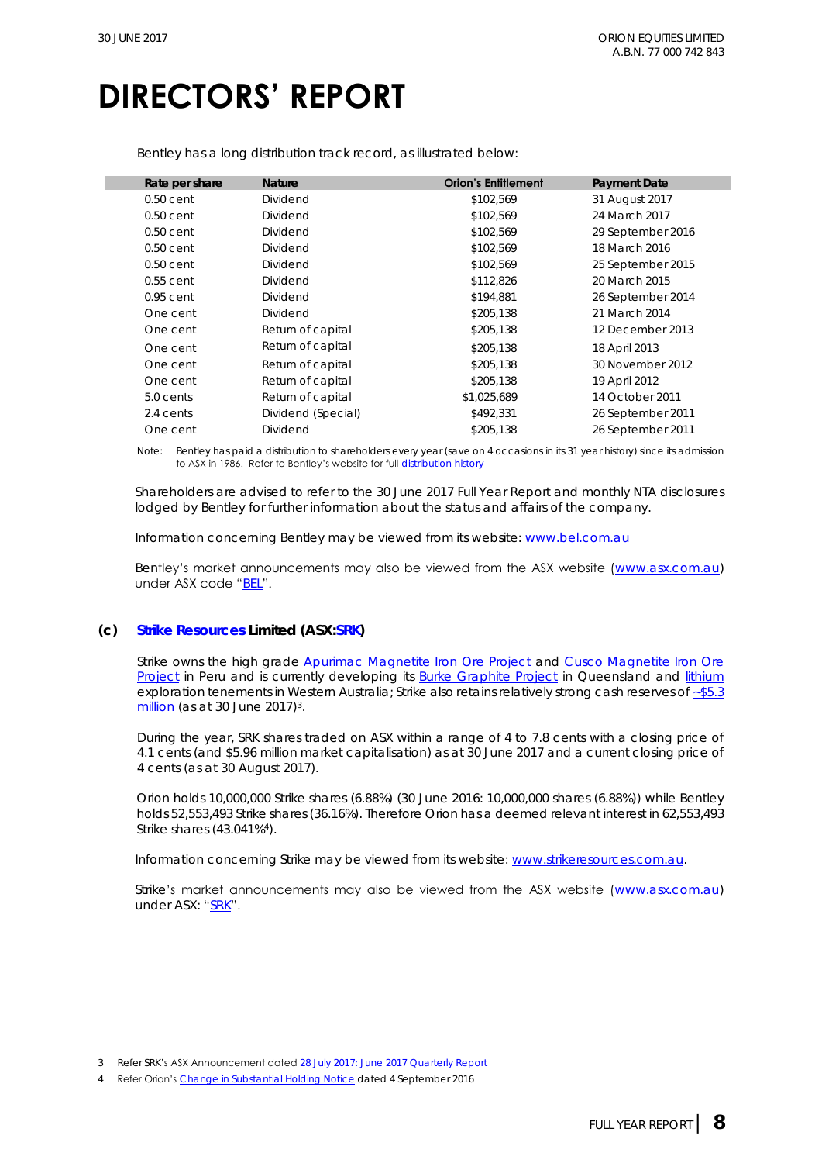Bentley has a long distribution track record, as illustrated below:

| Rate per share | Nature             | <b>Orion's Entitlement</b> | Payment Date      |
|----------------|--------------------|----------------------------|-------------------|
| $0.50$ cent    | <b>Dividend</b>    | \$102,569                  | 31 August 2017    |
| $0.50$ cent    | <b>Dividend</b>    | \$102,569                  | 24 March 2017     |
| $0.50$ cent    | <b>Dividend</b>    | \$102,569                  | 29 September 2016 |
| $0.50$ cent    | <b>Dividend</b>    | \$102,569                  | 18 March 2016     |
| $0.50$ cent    | <b>Dividend</b>    | \$102,569                  | 25 September 2015 |
| $0.55$ cent    | <b>Dividend</b>    | \$112,826                  | 20 March 2015     |
| $0.95$ cent    | <b>Dividend</b>    | \$194,881                  | 26 September 2014 |
| One cent       | <b>Dividend</b>    | \$205,138                  | 21 March 2014     |
| One cent       | Return of capital  | \$205,138                  | 12 December 2013  |
| One cent       | Return of capital  | \$205,138                  | 18 April 2013     |
| One cent       | Return of capital  | \$205,138                  | 30 November 2012  |
| One cent       | Return of capital  | \$205,138                  | 19 April 2012     |
| 5.0 cents      | Return of capital  | \$1,025,689                | 14 October 2011   |
| 2.4 cents      | Dividend (Special) | \$492,331                  | 26 September 2011 |
| One cent       | <b>Dividend</b>    | \$205,138                  | 26 September 2011 |
|                |                    |                            |                   |

Note: Bentley has paid a distribution to shareholders every year (save on 4 occasions in its 31 year history) since its admission to ASX in 1986. Refer to Bentley's website for full [distribution history](http://bel.com.au/investors)

Shareholders are advised to refer to the 30 June 2017 Full Year Report and monthly NTA disclosures lodged by Bentley for further information about the status and affairs of the company.

Information concerning Bentley may be viewed from its website: [www.bel.com.au](http://www.bel.com.au/) 

Bentley's market announcements may also be viewed from the ASX website ([www.asx.com.au\)](http://www.asx.com.au/) under ASX code "[BEL](http://www.asx.com.au/asx/share-price-research/company/BEL)".

### **(c) [Strike Resources](http://strikeresources.com.au/) Limited (ASX[:SRK\)](http://www.asx.com.au/asx/share-price-research/company/SRK)**

Strike owns the high grade [Apurimac Magnetite Iron Ore Project](http://strikeresources.com.au/projects/apurimac-iron-ore-project/) and Cusco Magnetite Iron Ore [Project](http://strikeresources.com.au/projects/cusco-iron-ore/) in Peru and is currently developing its **Burke Graphite Project** in Queensland and *lithium* exploration tenements in Western Australia; Strike also retains relatively strong cash reserves of ~\$5.3 <u>[million](http://www.asx.com.au/asxpdf/20170728/pdf/43kz6c4whct95w.pdf)</u> (as at 30 June 2017)<sup>3</sup>.

During the year, SRK shares traded on ASX within a range of 4 to 7.8 cents with a closing price of 4.1 cents (and \$5.96 million market capitalisation) as at 30 June 2017 and a current closing price of 4 cents (as at 30 August 2017).

Orion holds 10,000,000 Strike shares (6.88%) (30 June 2016: 10,000,000 shares (6.88%)) while Bentley holds 52,553,493 Strike shares (36.16%). Therefore Orion has a deemed relevant interest in 62,553,493 Strike shares (43.041%<sup>4</sup> ).

Information concerning Strike may be viewed from its website: [www.strikeresources.com.au.](http://www.strikeresources.com.au/)

Strike's market announcements may also be viewed from the ASX website ([www.asx.com.au\)](http://www.asx.com.au/) under ASX: "[SRK](http://www.asx.com.au/asx/share-price-research/company/SRK)".

<sup>3</sup> Refer SRK's ASX Announcement dated [28 July 2017: June 2017 Quarterly Report](http://www.asx.com.au/asxpdf/20170728/pdf/43kz6c4whct95w.pdf)

<sup>4</sup> Refer Orion's [Change in Substantial Holding Notice](http://www.asx.com.au/asxpdf/20150904/pdf/43133s77t1vl9p.pdf) dated 4 September 2016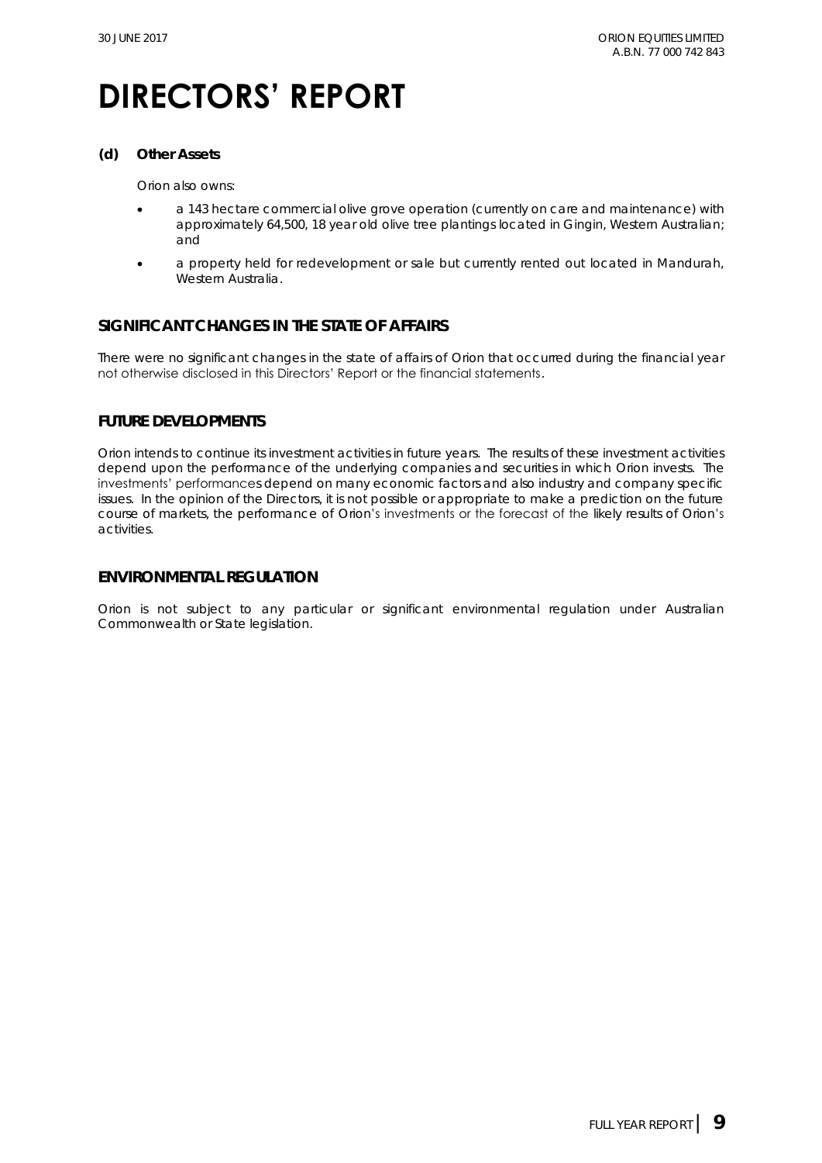**(d) Other Assets**

Orion also owns:

- a 143 hectare commercial olive grove operation (currently on care and maintenance) with approximately 64,500, 18 year old olive tree plantings located in Gingin, Western Australian; and
- a property held for redevelopment or sale but currently rented out located in Mandurah, Western Australia.

### **SIGNIFICANT CHANGES IN THE STATE OF AFFAIRS**

There were no significant changes in the state of affairs of Orion that occurred during the financial year not otherwise disclosed in this Directors' Report or the financial statements.

### **FUTURE DEVELOPMENTS**

Orion intends to continue its investment activities in future years. The results of these investment activities depend upon the performance of the underlying companies and securities in which Orion invests. The investments' performances depend on many economic factors and also industry and company specific issues. In the opinion of the Directors, it is not possible or appropriate to make a prediction on the future course of markets, the performance of Orion's investments or the forecast of the likely results of Orion's activities.

### **ENVIRONMENTAL REGULATION**

Orion is not subject to any particular or significant environmental regulation under Australian Commonwealth or State legislation.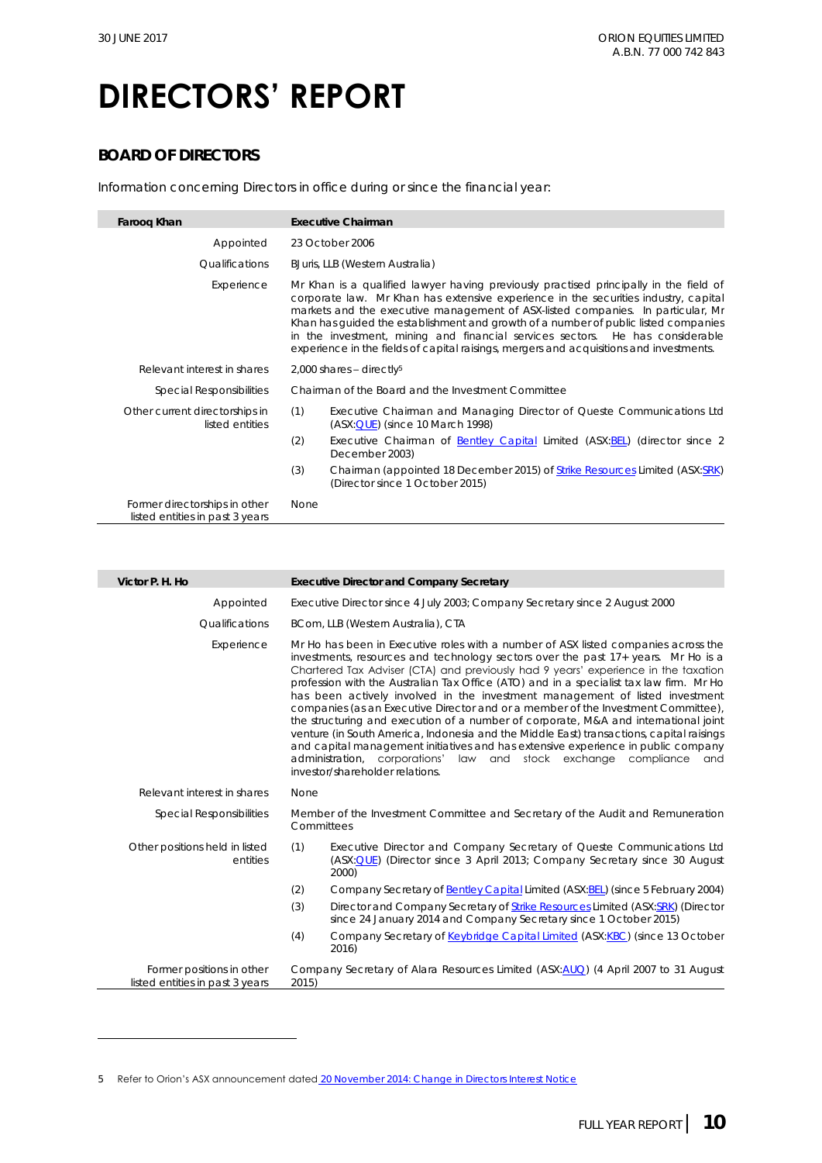## **DIRECTORS' REPORT**

### **BOARD OF DIRECTORS**

Information concerning Directors in office during or since the financial year:

| Faroog Khan                                                      | Executive Chairman                                                                                                                                                                                                                                                                                                                                                                                                                                                                                                                 |  |  |
|------------------------------------------------------------------|------------------------------------------------------------------------------------------------------------------------------------------------------------------------------------------------------------------------------------------------------------------------------------------------------------------------------------------------------------------------------------------------------------------------------------------------------------------------------------------------------------------------------------|--|--|
| Appointed                                                        | 23 October 2006                                                                                                                                                                                                                                                                                                                                                                                                                                                                                                                    |  |  |
| Qualifications                                                   | BJuris, LLB (Western Australia)                                                                                                                                                                                                                                                                                                                                                                                                                                                                                                    |  |  |
| Experience                                                       | Mr Khan is a qualified lawyer having previously practised principally in the field of<br>corporate law. Mr Khan has extensive experience in the securities industry, capital<br>markets and the executive management of ASX-listed companies. In particular, Mr<br>Khan has quided the establishment and growth of a number of public listed companies<br>in the investment, mining and financial services sectors. He has considerable<br>experience in the fields of capital raisings, mergers and acquisitions and investments. |  |  |
| Relevant interest in shares                                      | $2,000$ shares - directly <sup>5</sup>                                                                                                                                                                                                                                                                                                                                                                                                                                                                                             |  |  |
| Special Responsibilities                                         | Chairman of the Board and the Investment Committee                                                                                                                                                                                                                                                                                                                                                                                                                                                                                 |  |  |
| Other current directorships in<br>listed entities                | (1)<br>Executive Chairman and Managing Director of Queste Communications Ltd<br>$(ASK:QUE)$ (since 10 March 1998)                                                                                                                                                                                                                                                                                                                                                                                                                  |  |  |
|                                                                  | (2)<br>Executive Chairman of Bentley Capital Limited (ASX:BEL) (director since 2<br>December 2003)                                                                                                                                                                                                                                                                                                                                                                                                                                 |  |  |
|                                                                  | (3)<br>Chairman (appointed 18 December 2015) of Strike Resources Limited (ASX:SRK)<br>(Director since 1 October 2015)                                                                                                                                                                                                                                                                                                                                                                                                              |  |  |
| Former directorships in other<br>listed entities in past 3 years | None                                                                                                                                                                                                                                                                                                                                                                                                                                                                                                                               |  |  |

| Victor P. H. Ho                                              | <b>Executive Director and Company Secretary</b>                                                                                                                                                                                                                                                                                                                                                                                                                                                                                                                                                                                                                                                                                                                                                                                                                                                                    |  |  |  |
|--------------------------------------------------------------|--------------------------------------------------------------------------------------------------------------------------------------------------------------------------------------------------------------------------------------------------------------------------------------------------------------------------------------------------------------------------------------------------------------------------------------------------------------------------------------------------------------------------------------------------------------------------------------------------------------------------------------------------------------------------------------------------------------------------------------------------------------------------------------------------------------------------------------------------------------------------------------------------------------------|--|--|--|
| Appointed                                                    | Executive Director since 4 July 2003; Company Secretary since 2 August 2000                                                                                                                                                                                                                                                                                                                                                                                                                                                                                                                                                                                                                                                                                                                                                                                                                                        |  |  |  |
| <b>Qualifications</b>                                        | BCom, LLB (Western Australia), CTA                                                                                                                                                                                                                                                                                                                                                                                                                                                                                                                                                                                                                                                                                                                                                                                                                                                                                 |  |  |  |
| Experience                                                   | Mr Ho has been in Executive roles with a number of ASX listed companies across the<br>investments, resources and technology sectors over the past 17+ years. Mr Ho is a<br>Chartered Tax Adviser (CTA) and previously had 9 years' experience in the taxation<br>profession with the Australian Tax Office (ATO) and in a specialist tax law firm. Mr Ho<br>has been actively involved in the investment management of listed investment<br>companies (as an Executive Director and or a member of the Investment Committee),<br>the structuring and execution of a number of corporate, M&A and international joint<br>venture (in South America, Indonesia and the Middle East) transactions, capital raisings<br>and capital management initiatives and has extensive experience in public company<br>administration, corporations' law and stock exchange compliance<br>and<br>investor/shareholder relations. |  |  |  |
| Relevant interest in shares                                  | None                                                                                                                                                                                                                                                                                                                                                                                                                                                                                                                                                                                                                                                                                                                                                                                                                                                                                                               |  |  |  |
| Special Responsibilities                                     | Member of the Investment Committee and Secretary of the Audit and Remuneration<br>Committees                                                                                                                                                                                                                                                                                                                                                                                                                                                                                                                                                                                                                                                                                                                                                                                                                       |  |  |  |
| Other positions held in listed<br>entities                   | (1)<br>Executive Director and Company Secretary of Queste Communications Ltd<br>(ASX: QUE) (Director since 3 April 2013; Company Secretary since 30 August<br>2000)                                                                                                                                                                                                                                                                                                                                                                                                                                                                                                                                                                                                                                                                                                                                                |  |  |  |
|                                                              | Company Secretary of Bentley Capital Limited (ASX: BEL) (since 5 February 2004)<br>(2)                                                                                                                                                                                                                                                                                                                                                                                                                                                                                                                                                                                                                                                                                                                                                                                                                             |  |  |  |
|                                                              | (3)<br>Director and Company Secretary of Strike Resources Limited (ASX:SRK) (Director<br>since 24 January 2014 and Company Secretary since 1 October 2015)                                                                                                                                                                                                                                                                                                                                                                                                                                                                                                                                                                                                                                                                                                                                                         |  |  |  |
|                                                              | Company Secretary of Keybridge Capital Limited (ASX:KBC) (since 13 October<br>(4)<br>2016)                                                                                                                                                                                                                                                                                                                                                                                                                                                                                                                                                                                                                                                                                                                                                                                                                         |  |  |  |
| Former positions in other<br>listed entities in past 3 years | Company Secretary of Alara Resources Limited (ASX:AUQ) (4 April 2007 to 31 August<br>2015)                                                                                                                                                                                                                                                                                                                                                                                                                                                                                                                                                                                                                                                                                                                                                                                                                         |  |  |  |
|                                                              |                                                                                                                                                                                                                                                                                                                                                                                                                                                                                                                                                                                                                                                                                                                                                                                                                                                                                                                    |  |  |  |

5 Refer to Orion's ASX announcement dated [20 November 2014: Change in Directors Interest Notice](http://orionequities.com.au/sites/default/files/20141120%20OEQ%20Appendix%203Y%20-%20Change%20of%20Directors%20Interest%20Notice%20-%20F%20Khan.pdf)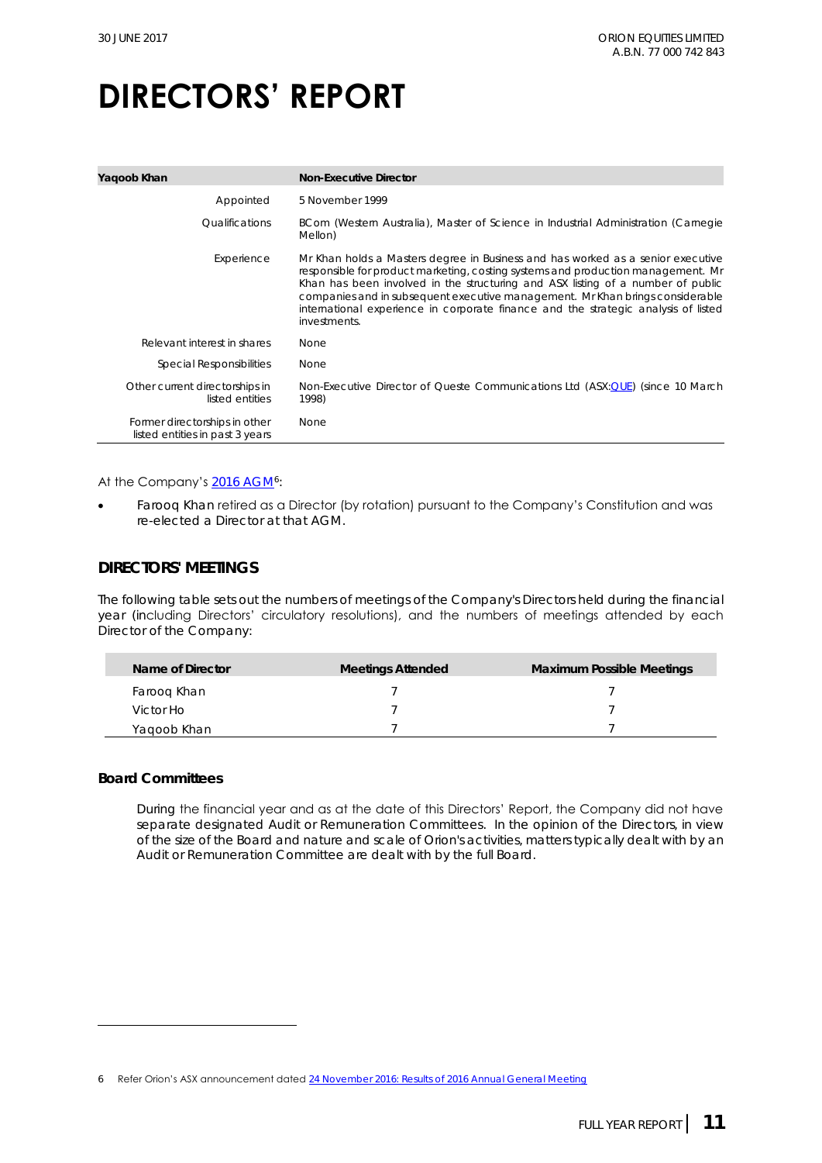| Yaqoob Khan                                                      | Non-Executive Director                                                                                                                                                                                                                                                                                                                                                                                                                        |
|------------------------------------------------------------------|-----------------------------------------------------------------------------------------------------------------------------------------------------------------------------------------------------------------------------------------------------------------------------------------------------------------------------------------------------------------------------------------------------------------------------------------------|
| Appointed                                                        | 5 November 1999                                                                                                                                                                                                                                                                                                                                                                                                                               |
| <i><u><b>Oualifications</b></u></i>                              | BCom (Western Australia), Master of Science in Industrial Administration (Carnegie<br>Mellon)                                                                                                                                                                                                                                                                                                                                                 |
| Experience                                                       | Mr Khan holds a Masters degree in Business and has worked as a senior executive<br>responsible for product marketing, costing systems and production management. Mr<br>Khan has been involved in the structuring and ASX listing of a number of public<br>companies and in subsequent executive management. Mr Khan brings considerable<br>international experience in corporate finance and the strategic analysis of listed<br>investments. |
| Relevant interest in shares                                      | <b>None</b>                                                                                                                                                                                                                                                                                                                                                                                                                                   |
| Special Responsibilities                                         | None                                                                                                                                                                                                                                                                                                                                                                                                                                          |
| Other current directorships in<br>listed entities                | Non-Executive Director of Queste Communications Ltd (ASX:QUE) (since 10 March<br>1998)                                                                                                                                                                                                                                                                                                                                                        |
| Former directorships in other<br>listed entities in past 3 years | None                                                                                                                                                                                                                                                                                                                                                                                                                                          |

#### At the Company's <u>2016 [AGM](http://orionequities.com.au/sites/default/files/20161025%20OEQ%20ASX%20Notice%20of%20AGM%20Explanatory%20Statement%20and%20Proxy%20Form.pdf)</u>6:

• Farooq Khan retired as a Director (by rotation) pursuant to the Company's Constitution and was re-elected a Director at that AGM.

### **DIRECTORS' MEETINGS**

The following table sets out the numbers of meetings of the Company's Directors held during the financial year (including Directors' circulatory resolutions), and the numbers of meetings attended by each Director of the Company:

| Name of Director | <b>Meetings Attended</b> | Maximum Possible Meetings |
|------------------|--------------------------|---------------------------|
| Faroog Khan      |                          |                           |
| Victor Ho        |                          |                           |
| Yagoob Khan      |                          |                           |

#### **Board Committees**

During the financial year and as at the date of this Directors' Report, the Company did not have separate designated Audit or Remuneration Committees. In the opinion of the Directors, in view of the size of the Board and nature and scale of Orion's activities, matters typically dealt with by an Audit or Remuneration Committee are dealt with by the full Board.

<sup>6</sup> Refer Orion's ASX announcement dated 24 [November 2016: Results of 2016](http://www.orionequities.com.au/sites/default/files/20161124%20OEQ%20ASX%20Results%20of%202016%20AGM.pdf) Annual General Meeting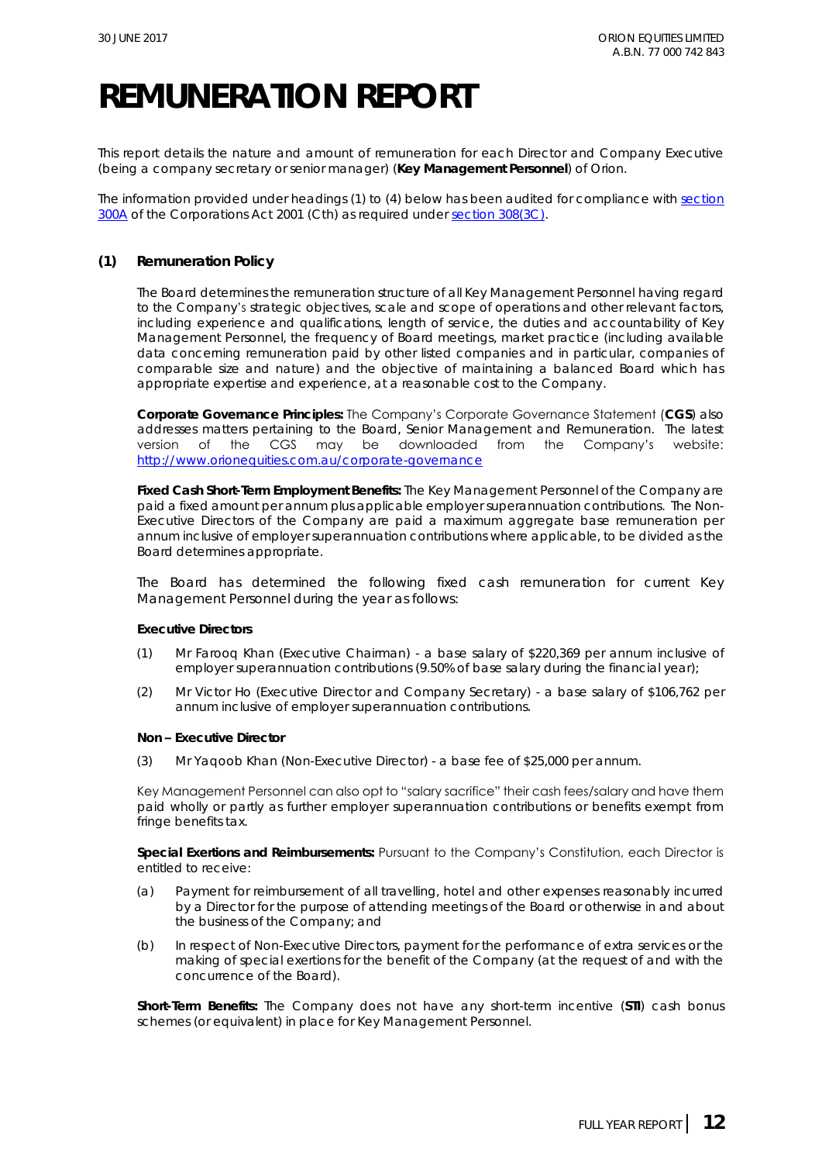## **REMUNERATION REPORT**

This report details the nature and amount of remuneration for each Director and Company Executive (being a company secretary or senior manager) (**Key Management Personnel**) of Orion.

The information provided under headings (1) to (4) below has been audited for compliance with section [300A](http://www.austlii.edu.au/au/legis/cth/consol_act/ca2001172/s300a.html) of the *Corporations Act 2001 (Cth)* as required under [section 308\(3C\)](http://www.austlii.edu.au/au/legis/cth/consol_act/ca2001172/s308.html)*.*

#### **(1) Remuneration Policy**

The Board determines the remuneration structure of all Key Management Personnel having regard to the Company's strategic objectives, scale and scope of operations and other relevant factors, including experience and qualifications, length of service, the duties and accountability of Key Management Personnel, the frequency of Board meetings, market practice (including available data concerning remuneration paid by other listed companies and in particular, companies of comparable size and nature) and the objective of maintaining a balanced Board which has appropriate expertise and experience, at a reasonable cost to the Company.

**Corporate Governance Principles:** The Company's Corporate Governance Statement (**CGS**) also addresses matters pertaining to the Board, Senior Management and Remuneration. The latest version of the CGS may be downloaded from the Company's website: <http://www.orionequities.com.au/corporate-governance>

**Fixed Cash Short-Term Employment Benefits:** The Key Management Personnel of the Company are paid a fixed amount per annum plus applicable employer superannuation contributions. The Non-Executive Directors of the Company are paid a maximum aggregate base remuneration per annum inclusive of employer superannuation contributions where applicable, to be divided as the Board determines appropriate.

The Board has determined the following fixed cash remuneration for current Key Management Personnel during the year as follows:

**Executive Directors**

- (1) Mr Farooq Khan (Executive Chairman) a base salary of \$220,369 per annum inclusive of employer superannuation contributions (9.50% of base salary during the financial year);
- (2) Mr Victor Ho (Executive Director and Company Secretary) a base salary of \$106,762 per annum inclusive of employer superannuation contributions.

**Non – Executive Director**

(3) Mr Yaqoob Khan (Non-Executive Director) - a base fee of \$25,000 per annum.

Key Management Personnel can also opt to "salary sacrifice" their cash fees/salary and have them paid wholly or partly as further employer superannuation contributions or benefits exempt from fringe benefits tax.

**Special Exertions and Reimbursements:** Pursuant to the Company's Constitution, each Director is entitled to receive:

- (a) Payment for reimbursement of all travelling, hotel and other expenses reasonably incurred by a Director for the purpose of attending meetings of the Board or otherwise in and about the business of the Company; and
- (b) In respect of Non-Executive Directors, payment for the performance of extra services or the making of special exertions for the benefit of the Company (at the request of and with the concurrence of the Board).

**Short-Term Benefits:** The Company does not have any short-term incentive (**STI**) cash bonus schemes (or equivalent) in place for Key Management Personnel.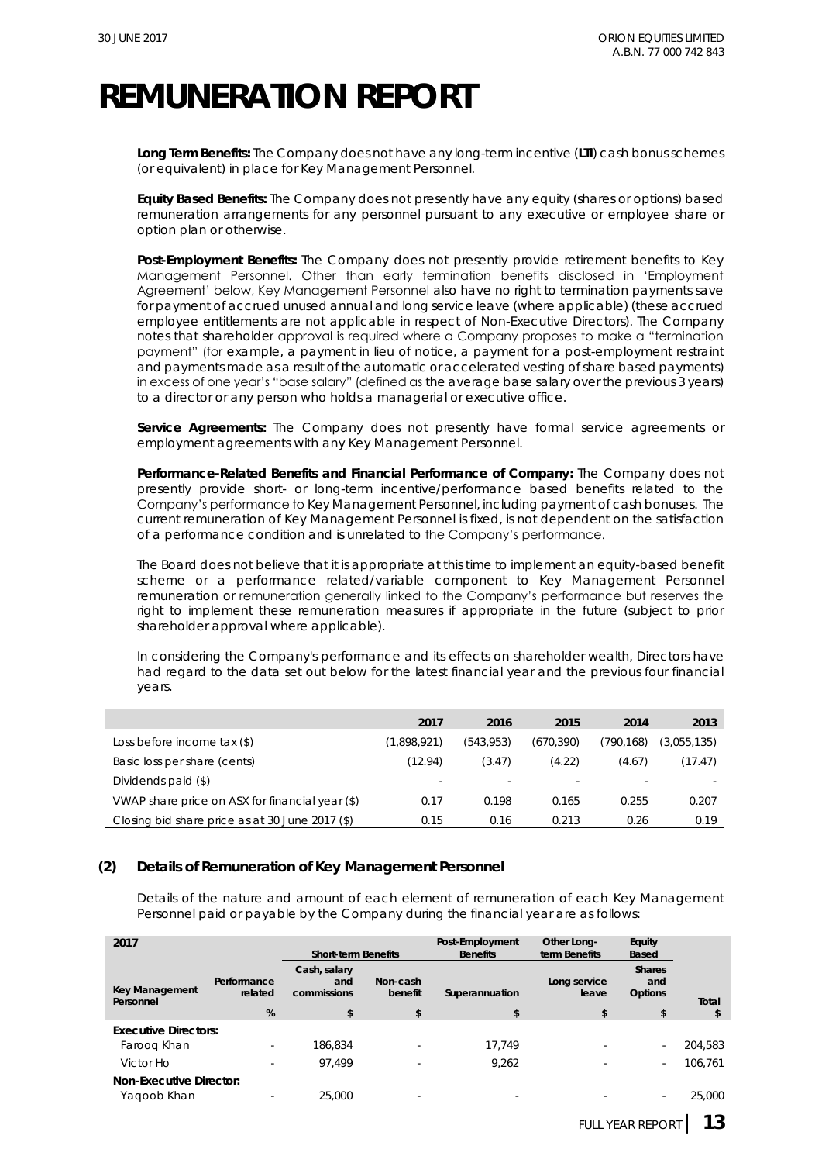## **REMUNERATION REPORT**

**Long Term Benefits:** The Company does not have any long-term incentive (**LTI**) cash bonus schemes (or equivalent) in place for Key Management Personnel.

**Equity Based Benefits:** The Company does not presently have any equity (shares or options) based remuneration arrangements for any personnel pursuant to any executive or employee share or option plan or otherwise.

**Post-Employment Benefits:** The Company does not presently provide retirement benefits to Key Management Personnel. Other than early termination benefits disclosed in 'Employment Agreement' below, Key Management Personnel also have no right to termination payments save for payment of accrued unused annual and long service leave (where applicable) (these accrued employee entitlements are not applicable in respect of Non-Executive Directors). The Company notes that shareholder approval is required where a Company proposes to make a "termination payment" (for example, a payment in lieu of notice, a payment for a post-employment restraint and payments made as a result of the automatic or accelerated vesting of share based payments) in excess of one year's "base salary" (defined as the average base salary over the previous 3 years) to a director or any person who holds a managerial or executive office.

**Service Agreements:** The Company does not presently have formal service agreements or employment agreements with any Key Management Personnel.

**Performance-Related Benefits and Financial Performance of Company:** The Company does not presently provide short- or long-term incentive/performance based benefits related to the Company's performance to Key Management Personnel, including payment of cash bonuses. The current remuneration of Key Management Personnel is fixed, is not dependent on the satisfaction of a performance condition and is unrelated to the Company's performance.

The Board does not believe that it is appropriate at this time to implement an equity-based benefit scheme or a performance related/variable component to Key Management Personnel remuneration or remuneration generally linked to the Company's performance but reserves the right to implement these remuneration measures if appropriate in the future (subject to prior shareholder approval where applicable).

In considering the Company's performance and its effects on shareholder wealth, Directors have had regard to the data set out below for the latest financial year and the previous four financial years.

|                                                 | 2017        | 2016      | 2015      | 2014      | 2013        |
|-------------------------------------------------|-------------|-----------|-----------|-----------|-------------|
| Loss before income tax (\$)                     | (1.898.921) | (543.953) | (670.390) | (790.168) | (3.055.135) |
| Basic loss per share (cents)                    | (12.94)     | (3.47)    | (4.22)    | (4.67)    | (17.47)     |
| Dividends paid (\$)                             |             |           |           |           |             |
| VWAP share price on ASX for financial year (\$) | 0.17        | 0.198     | 0.165     | 0.255     | 0.207       |
| Closing bid share price as at 30 June 2017 (\$) | 0.15        | 0.16      | 0.213     | 0.26      | 0.19        |

### **(2) Details of Remuneration of Key Management Personnel**

Details of the nature and amount of each element of remuneration of each Key Management Personnel paid or payable by the Company during the financial year are as follows:

| 2017                                   |                          | Short-term Benefits                |                     | Post-Employment<br><b>Benefits</b> | Other Long-<br>term Benefits | Equity<br>Based                 |         |
|----------------------------------------|--------------------------|------------------------------------|---------------------|------------------------------------|------------------------------|---------------------------------|---------|
| Key Management<br>Personnel            | Performance<br>related   | Cash, salary<br>and<br>commissions | Non-cash<br>benefit | Superannuation                     | Long service<br>leave        | <b>Shares</b><br>and<br>Options | Total   |
|                                        | %                        | \$                                 | \$                  | $\mathcal{S}$                      | \$                           | \$                              | \$      |
| <b>Executive Directors:</b>            |                          |                                    |                     |                                    |                              |                                 |         |
| Faroog Khan                            |                          | 186.834                            |                     | 17.749                             |                              | $\sim$                          | 204,583 |
| Victor Ho                              | $\overline{\phantom{a}}$ | 97.499                             |                     | 9,262                              |                              | $\sim$                          | 106.761 |
| Non-Executive Director:<br>Yaqoob Khan |                          | 25.000                             |                     |                                    |                              |                                 | 25.000  |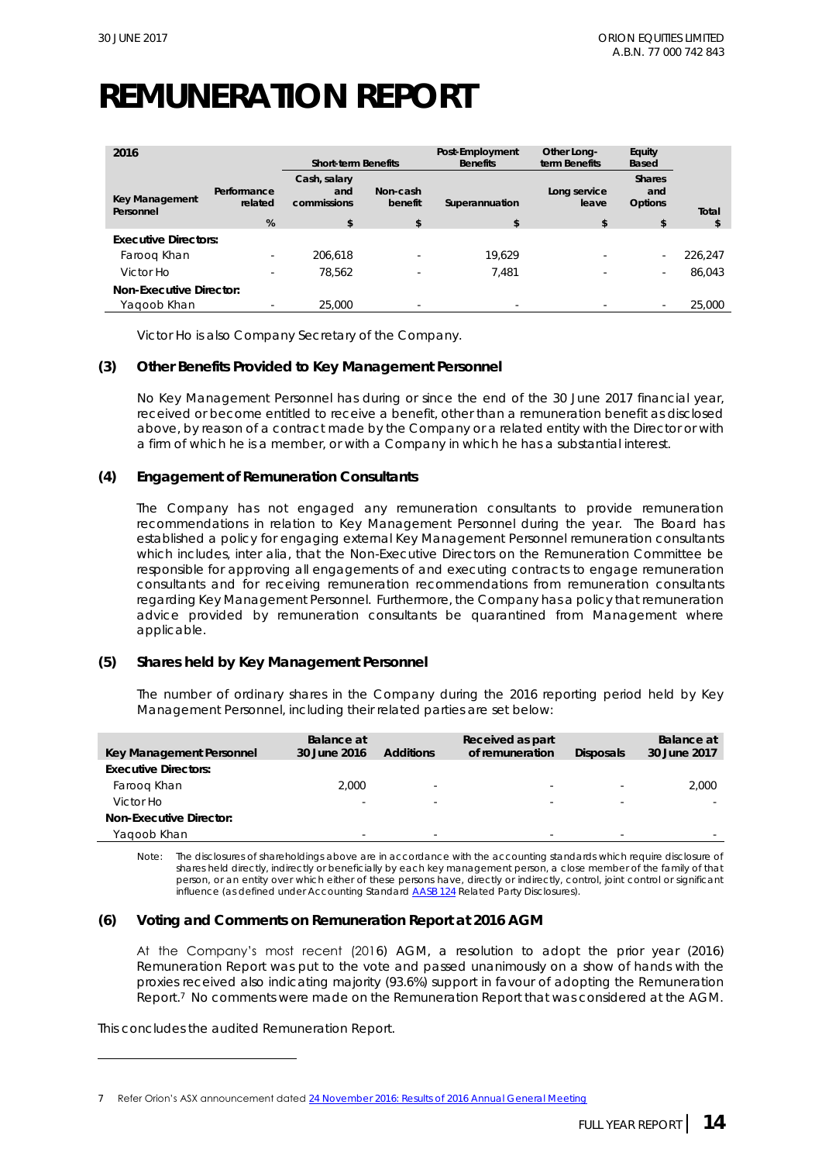# **REMUNERATION REPORT**

| 2016                                   |                             | Short-term Benefits                                 |                                      | Post-Employment<br><b>Benefits</b> | Other Long-<br>term Benefits | Equity<br>Based                                 |             |  |
|----------------------------------------|-----------------------------|-----------------------------------------------------|--------------------------------------|------------------------------------|------------------------------|-------------------------------------------------|-------------|--|
| Key Management<br>Personnel            | Performance<br>related<br>% | Cash, salary<br>and<br>commissions<br>$\mathcal{S}$ | Non-cash<br>benefit<br>$\mathcal{S}$ | Superannuation<br>\$               | Long service<br>leave<br>\$  | <b>Shares</b><br>and<br>Options<br>$\mathbb{S}$ | Total<br>\$ |  |
| <b>Executive Directors:</b>            |                             |                                                     |                                      |                                    |                              |                                                 |             |  |
| Faroog Khan                            |                             | 206.618                                             | $\overline{\phantom{a}}$             | 19.629                             |                              | $\sim$                                          | 226,247     |  |
| Victor Ho                              |                             | 78.562                                              | ۰                                    | 7.481                              |                              | $\sim$                                          | 86.043      |  |
| Non-Executive Director:<br>Yagoob Khan | ۰                           | 25,000                                              | $\sim$                               | $\overline{\phantom{a}}$           | $\overline{\phantom{a}}$     | $\overline{\phantom{a}}$                        | 25,000      |  |

Victor Ho is also Company Secretary of the Company.

#### **(3) Other Benefits Provided to Key Management Personnel**

No Key Management Personnel has during or since the end of the 30 June 2017 financial year, received or become entitled to receive a benefit, other than a remuneration benefit as disclosed above, by reason of a contract made by the Company or a related entity with the Director or with a firm of which he is a member, or with a Company in which he has a substantial interest.

#### **(4) Engagement of Remuneration Consultants**

The Company has not engaged any remuneration consultants to provide remuneration recommendations in relation to Key Management Personnel during the year. The Board has established a policy for engaging external Key Management Personnel remuneration consultants which includes, inter alia, that the Non-Executive Directors on the Remuneration Committee be responsible for approving all engagements of and executing contracts to engage remuneration consultants and for receiving remuneration recommendations from remuneration consultants regarding Key Management Personnel. Furthermore, the Company has a policy that remuneration advice provided by remuneration consultants be quarantined from Management where applicable.

#### **(5) Shares held by Key Management Personnel**

The number of ordinary shares in the Company during the 2016 reporting period held by Key Management Personnel, including their related parties are set below:

| Key Management Personnel    | Balance at<br>30 June 2016 | <b>Additions</b> | Received as part<br>of remuneration | <b>Disposals</b>         | Balance at<br>30 June 2017 |
|-----------------------------|----------------------------|------------------|-------------------------------------|--------------------------|----------------------------|
| <b>Executive Directors:</b> |                            |                  |                                     |                          |                            |
| Faroog Khan                 | 2.000                      | $\sim$           | $\sim$                              | $\overline{\phantom{a}}$ | 2,000                      |
| Victor Ho                   |                            | $\sim$           | $\overline{\phantom{a}}$            | <b>.</b>                 |                            |
| Non-Executive Director:     |                            |                  |                                     |                          |                            |
| Yaqoob Khan                 | $\overline{\phantom{a}}$   | $\sim$           | $\overline{\phantom{a}}$            | $\overline{\phantom{a}}$ |                            |

Note: The disclosures of shareholdings above are in accordance with the accounting standards which require disclosure of shares held directly, indirectly or beneficially by each key management person, a close member of the family of that person, or an entity over which either of these persons have, directly or indirectly, control, joint control or significant influence (as defined under Accounting Standar[d AASB 124](http://www.aasb.gov.au/admin/file/content105/c9/AASB124_07-15.pdf) Related Party Disclosures).

#### **(6) Voting and Comments on Remuneration Report at 2016 AGM**

At the Company's most recent (2016) AGM, a resolution to adopt the prior year (2016) Remuneration Report was put to the vote and passed unanimously on a show of hands with the proxies received also indicating majority (93.6%) support in favour of adopting the Remuneration Report.<sup>7</sup> No comments were made on the Remuneration Report that was considered at the AGM.

This concludes the audited Remuneration Report.

<sup>7</sup> Refer Orion's ASX announcement dated 24 [November 2016: Results of 2016](http://orionequities.com.au/sites/default/files/20161124%20OEQ%20ASX%20Results%20of%202016%20AGM.pdf) Annual General Meeting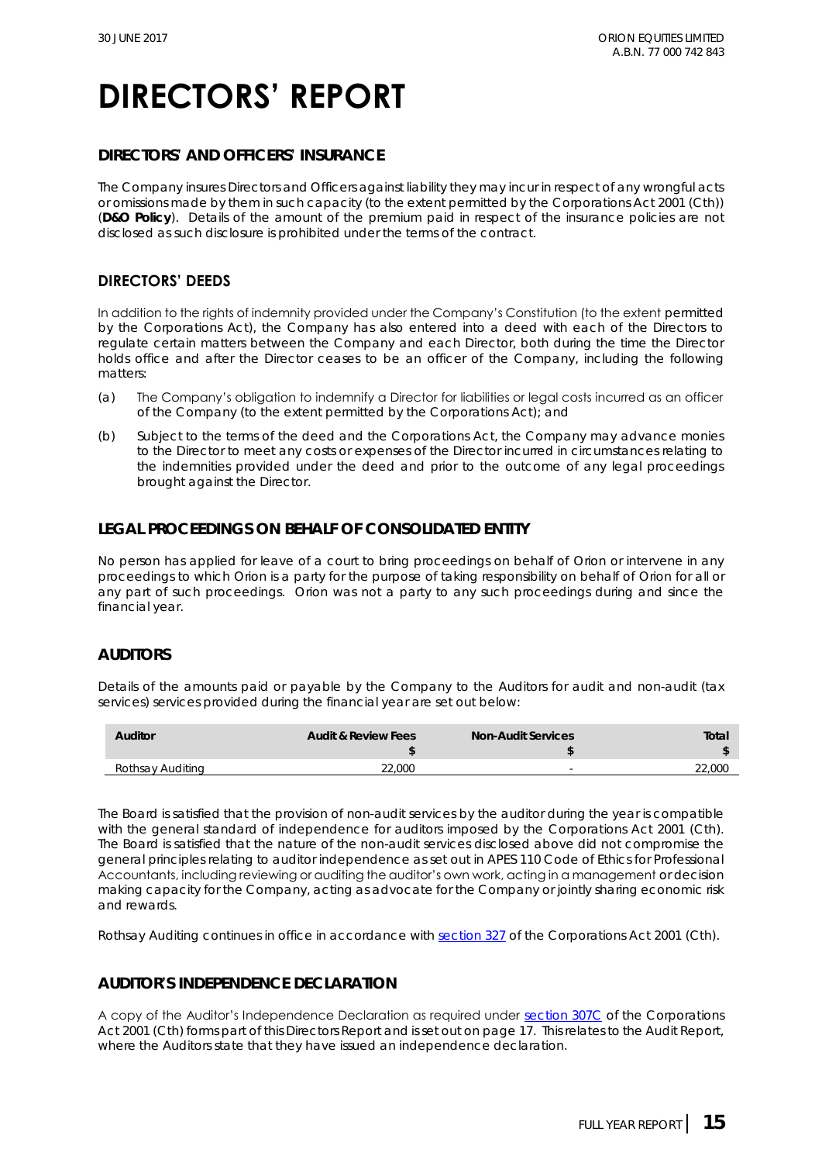### **DIRECTORS' AND OFFICERS' INSURANCE**

The Company insures Directors and Officers against liability they may incur in respect of any wrongful acts or omissions made by them in such capacity (to the extent permitted by the *Corporations Act 2001 (Cth)*) (**D&O Policy**). Details of the amount of the premium paid in respect of the insurance policies are not disclosed as such disclosure is prohibited under the terms of the contract.

### **DIRECTORS' DEEDS**

In addition to the rights of indemnity provided under the Company's Constitution (to the extent permitted by the Corporations Act), the Company has also entered into a deed with each of the Directors to regulate certain matters between the Company and each Director, both during the time the Director holds office and after the Director ceases to be an officer of the Company, including the following matters:

- (a) The Company's obligation to indemnify a Director for liabilities or legal costs incurred as an officer of the Company (to the extent permitted by the Corporations Act); and
- (b) Subject to the terms of the deed and the Corporations Act, the Company may advance monies to the Director to meet any costs or expenses of the Director incurred in circumstances relating to the indemnities provided under the deed and prior to the outcome of any legal proceedings brought against the Director.

### **LEGAL PROCEEDINGS ON BEHALF OF CONSOLIDATED ENTITY**

No person has applied for leave of a court to bring proceedings on behalf of Orion or intervene in any proceedings to which Orion is a party for the purpose of taking responsibility on behalf of Orion for all or any part of such proceedings. Orion was not a party to any such proceedings during and since the financial year.

### **AUDITORS**

Details of the amounts paid or payable by the Company to the Auditors for audit and non-audit (tax services) services provided during the financial year are set out below:

| Auditor          | Audit & Review Fees | Non-Audit Services | Total  |
|------------------|---------------------|--------------------|--------|
| Rothsay Auditing | 22.000              | -                  | 22,000 |

The Board is satisfied that the provision of non-audit services by the auditor during the year is compatible with the general standard of independence for auditors imposed by the *Corporations Act 2001 (Cth).*  The Board is satisfied that the nature of the non-audit services disclosed above did not compromise the general principles relating to auditor independence as set out in APES 110 Code of Ethics for Professional Accountants, including reviewing or auditing the auditor's own work, acting in a management or decision making capacity for the Company, acting as advocate for the Company or jointly sharing economic risk and rewards.

Rothsay Auditing continues in office in accordance with [section 327](http://www.austlii.edu.au/au/legis/cth/num_act/ca2001172/s327.html) of the *Corporations Act 2001 (Cth)*.

### **AUDITOR'S INDEPENDENCE DECLARATION**

A copy of the Auditor's Independence Declaration as required under [section 307C](http://www.austlii.edu.au/au/legis/cth/consol_act/ca2001172/s307c.html) of the *Corporations Act 2001 (Cth)* forms part of this Directors Report and is set out on page 17. This relates to the Audit Report, where the Auditors state that they have issued an independence declaration.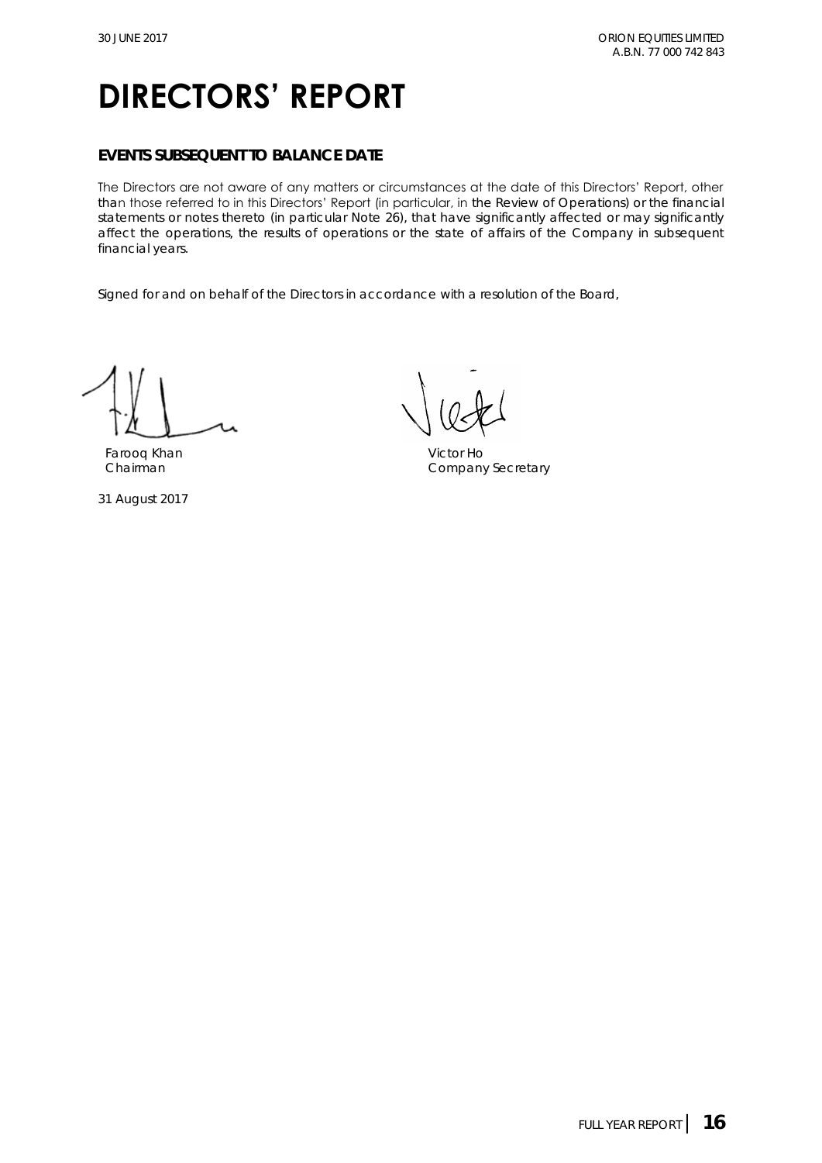### **EVENTS SUBSEQUENT TO BALANCE DATE**

The Directors are not aware of any matters or circumstances at the date of this Directors' Report, other than those referred to in this Directors' Report (in particular, in the Review of Operations) or the financial statements or notes thereto (in particular Note 26), that have significantly affected or may significantly affect the operations, the results of operations or the state of affairs of the Company in subsequent financial years.

Signed for and on behalf of the Directors in accordance with a resolution of the Board,

Farooq Khan Victor Ho

31 August 2017

Chairman Chairman Chairman Company Secretary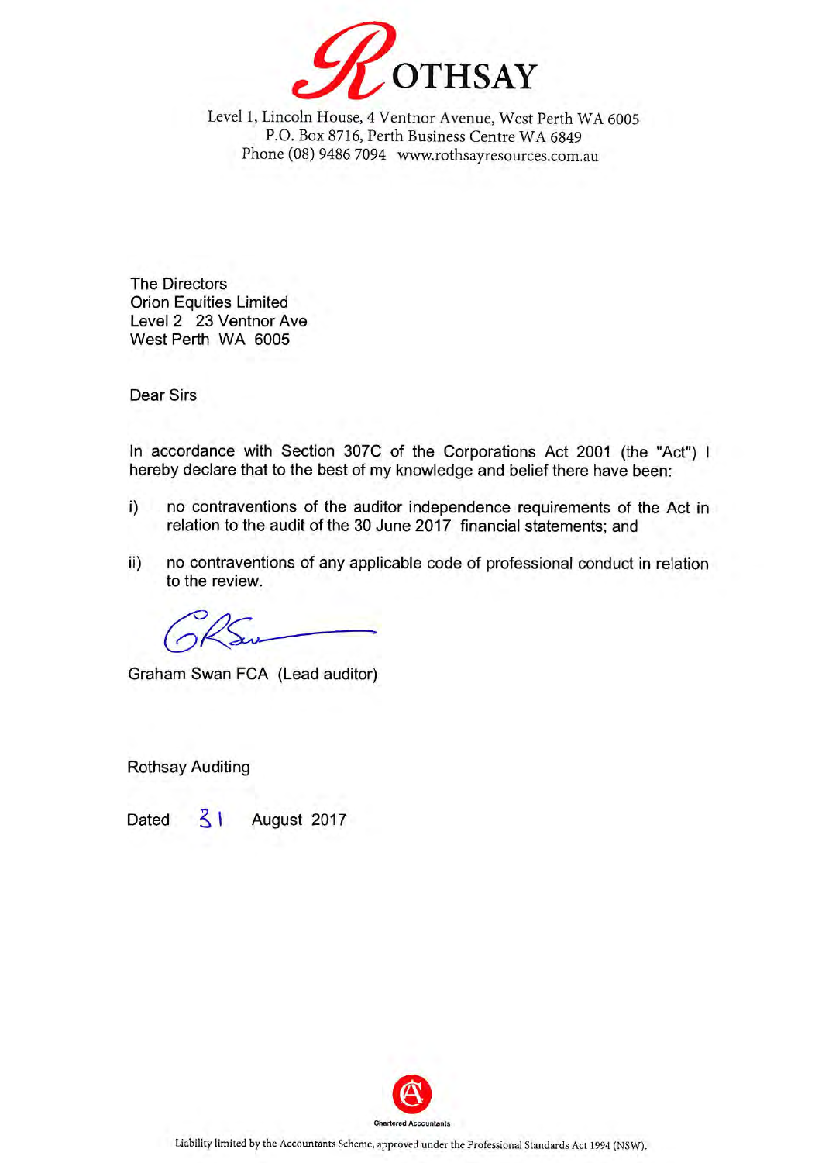

Level 1, Lincoln House, 4 Ventnor Avenue, West Perth WA 6005 P.O. Box 8716, Perth Business Centre WA 6849 Phone (08) 9486 7094 www.rothsayresources.com.au

**The Directors Orion Equities Limited** Level 2 23 Ventnor Ave West Perth WA 6005

**Dear Sirs** 

In accordance with Section 307C of the Corporations Act 2001 (the "Act") I hereby declare that to the best of my knowledge and belief there have been:

- no contraventions of the auditor independence requirements of the Act in  $i)$ relation to the audit of the 30 June 2017 financial statements; and
- no contraventions of any applicable code of professional conduct in relation ii) to the review.

Graham Swan FCA (Lead auditor)

**Rothsay Auditing** 

Dated  $\leq$   $\mid$ August 2017

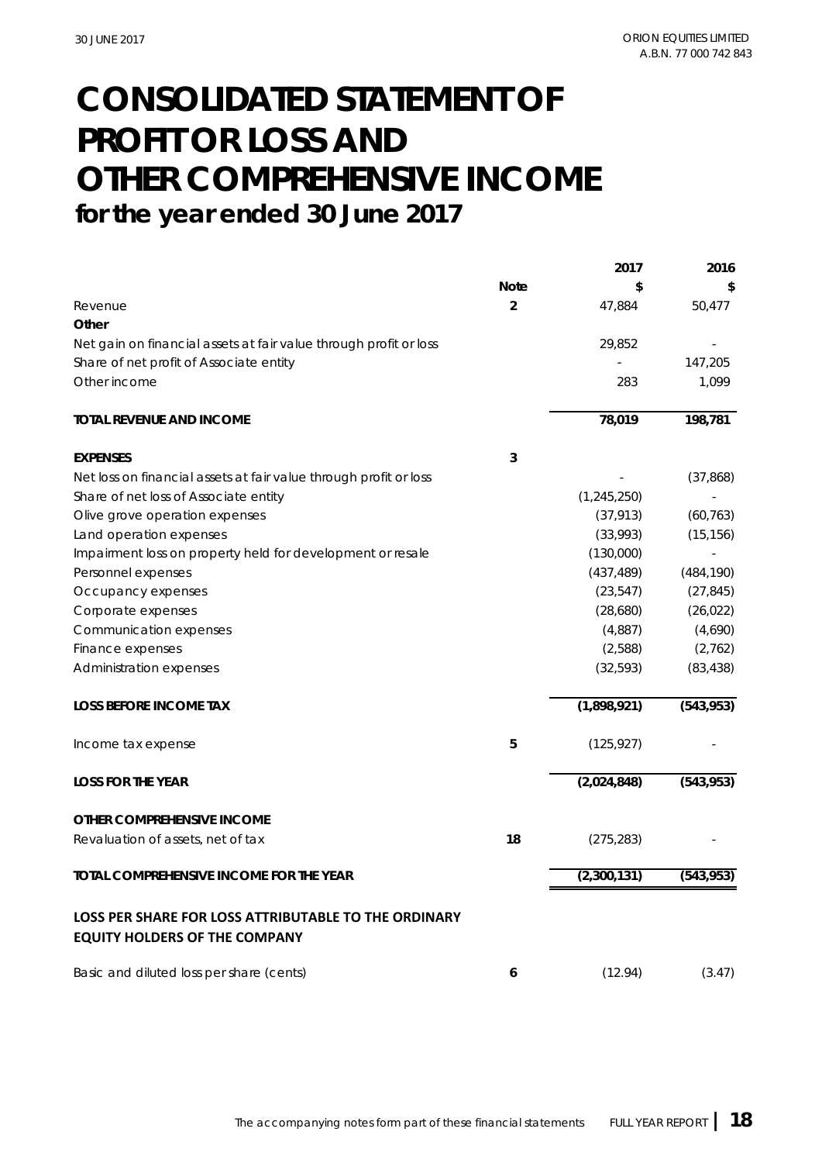## **CONSOLIDATED STATEMENT OF PROFIT OR LOSS AND OTHER COMPREHENSIVE INCOME for the year ended 30 June 2017**

|                                                                                              |                | 2017          | 2016       |
|----------------------------------------------------------------------------------------------|----------------|---------------|------------|
|                                                                                              | <b>Note</b>    | \$            | \$         |
| Revenue                                                                                      | $\overline{2}$ | 47,884        | 50,477     |
| Other                                                                                        |                |               |            |
| Net gain on financial assets at fair value through profit or loss                            |                | 29,852        |            |
| Share of net profit of Associate entity                                                      |                |               | 147,205    |
| Other income                                                                                 |                | 283           | 1,099      |
| TOTAL REVENUE AND INCOME                                                                     |                | 78,019        | 198,781    |
| <b>EXPENSES</b>                                                                              | 3              |               |            |
| Net loss on financial assets at fair value through profit or loss                            |                |               | (37,868)   |
| Share of net loss of Associate entity                                                        |                | (1, 245, 250) |            |
| Olive grove operation expenses                                                               |                | (37, 913)     | (60, 763)  |
| Land operation expenses                                                                      |                | (33,993)      | (15, 156)  |
| Impairment loss on property held for development or resale                                   |                | (130,000)     |            |
| Personnel expenses                                                                           |                | (437, 489)    | (484, 190) |
| Occupancy expenses                                                                           |                | (23, 547)     | (27, 845)  |
| Corporate expenses                                                                           |                | (28,680)      | (26, 022)  |
| Communication expenses                                                                       |                | (4,887)       | (4,690)    |
| Finance expenses                                                                             |                | (2,588)       | (2,762)    |
| Administration expenses                                                                      |                | (32, 593)     | (83, 438)  |
| <b>LOSS BEFORE INCOME TAX</b>                                                                |                | (1,898,921)   | (543, 953) |
| Income tax expense                                                                           | 5              | (125, 927)    |            |
| <b>LOSS FOR THE YEAR</b>                                                                     |                | (2,024,848)   | (543,953)  |
| OTHER COMPREHENSIVE INCOME                                                                   |                |               |            |
| Revaluation of assets, net of tax                                                            | 18             | (275, 283)    |            |
| TOTAL COMPREHENSIVE INCOME FOR THE YEAR                                                      |                | (2,300,131)   | (543, 953) |
| LOSS PER SHARE FOR LOSS ATTRIBUTABLE TO THE ORDINARY<br><b>EQUITY HOLDERS OF THE COMPANY</b> |                |               |            |
| Basic and diluted loss per share (cents)                                                     | 6              | (12.94)       | (3.47)     |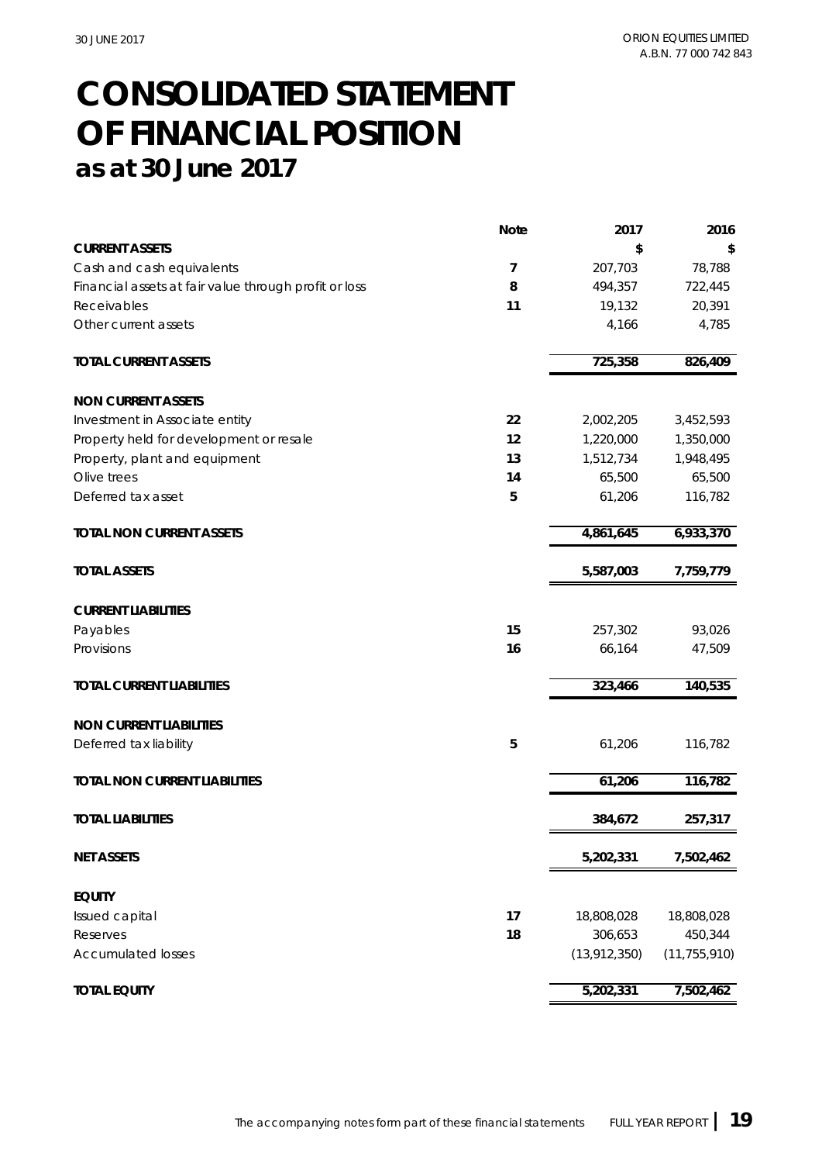## **CONSOLIDATED STATEMENT as at 30 June 2017 OF FINANCIAL POSITION**

|                                                       | Note | 2017           | 2016           |
|-------------------------------------------------------|------|----------------|----------------|
| <b>CURRENT ASSETS</b>                                 |      | \$             | \$             |
| Cash and cash equivalents                             | 7    | 207,703        | 78,788         |
| Financial assets at fair value through profit or loss | 8    | 494,357        | 722,445        |
| Receivables                                           | 11   | 19,132         | 20,391         |
| Other current assets                                  |      | 4,166          | 4,785          |
| TOTAL CURRENT ASSETS                                  |      | 725,358        | 826,409        |
| NON CURRENT ASSETS                                    |      |                |                |
| Investment in Associate entity                        | 22   | 2,002,205      | 3,452,593      |
| Property held for development or resale               | 12   | 1,220,000      | 1,350,000      |
| Property, plant and equipment                         | 13   | 1,512,734      | 1,948,495      |
| Olive trees                                           | 14   | 65,500         | 65,500         |
| Deferred tax asset                                    | 5    | 61,206         | 116,782        |
| TOTAL NON CURRENT ASSETS                              |      | 4,861,645      | 6,933,370      |
| <b>TOTAL ASSETS</b>                                   |      | 5,587,003      | 7,759,779      |
|                                                       |      |                |                |
| <b>CURRENT LIABILITIES</b>                            |      |                |                |
| Payables                                              | 15   | 257,302        | 93,026         |
| Provisions                                            | 16   | 66,164         | 47,509         |
| <b>TOTAL CURRENT LIABILITIES</b>                      |      | 323,466        | 140,535        |
| NON CURRENT LIABILITIES                               |      |                |                |
| Deferred tax liability                                | 5    | 61,206         | 116,782        |
| TOTAL NON CURRENT LIABILITIES                         |      | 61,206         | 116,782        |
| <b>TOTAL LIABILITIES</b>                              |      | 384,672        | 257,317        |
| <b>NET ASSETS</b>                                     |      | 5,202,331      | 7,502,462      |
| <b>EQUITY</b>                                         |      |                |                |
| Issued capital                                        | 17   | 18,808,028     | 18,808,028     |
| Reserves                                              | 18   | 306,653        | 450,344        |
| <b>Accumulated losses</b>                             |      | (13, 912, 350) | (11, 755, 910) |
| <b>TOTAL EQUITY</b>                                   |      | 5,202,331      | 7,502,462      |
|                                                       |      |                |                |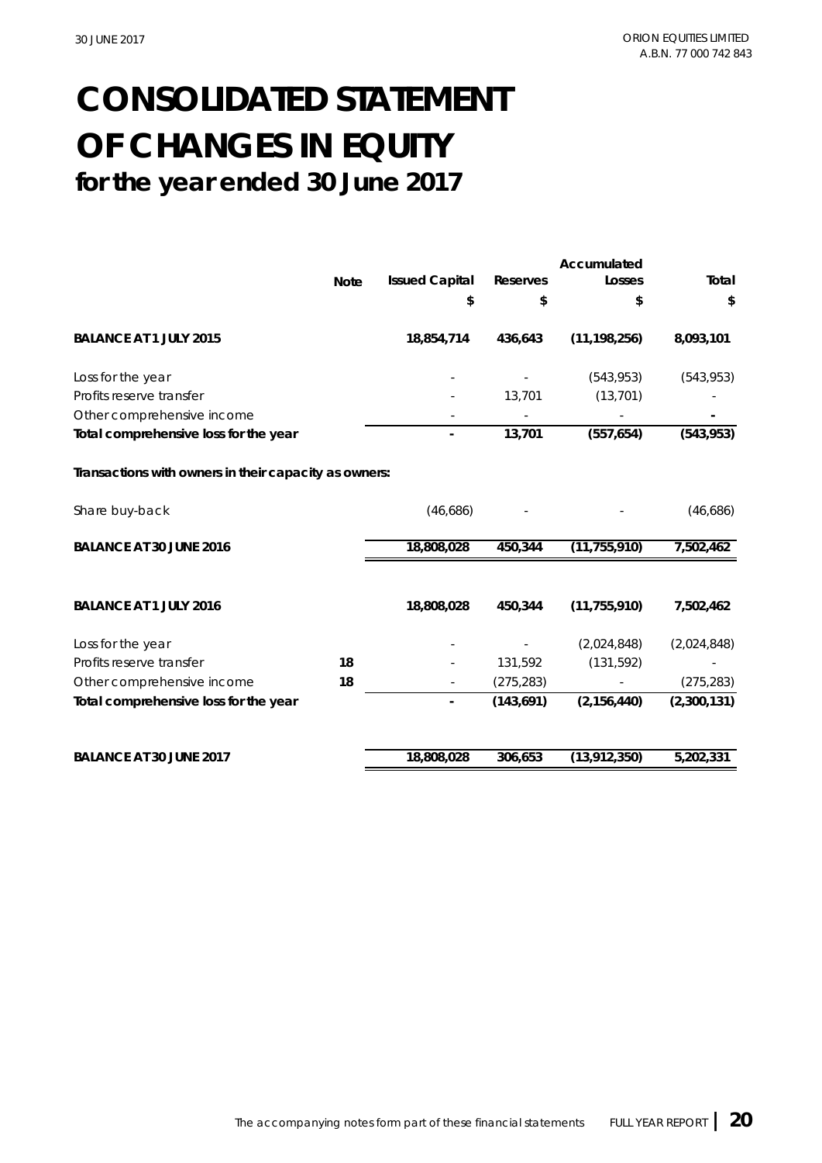## **for the year ended 30 June 2017 CONSOLIDATED STATEMENT OF CHANGES IN EQUITY**

|                                                       |             |                       |            | Accumulated    |             |
|-------------------------------------------------------|-------------|-----------------------|------------|----------------|-------------|
|                                                       | <b>Note</b> | <b>Issued Capital</b> | Reserves   | Losses         | Total       |
|                                                       |             | \$                    | \$         | \$             | \$          |
| BALANCE AT 1 JULY 2015                                |             | 18,854,714            | 436,643    | (11, 198, 256) | 8,093,101   |
| Loss for the year                                     |             |                       |            | (543, 953)     | (543, 953)  |
| Profits reserve transfer                              |             |                       | 13,701     | (13, 701)      |             |
| Other comprehensive income                            |             |                       |            |                |             |
| Total comprehensive loss for the year                 |             |                       | 13,701     | (557, 654)     | (543, 953)  |
| Transactions with owners in their capacity as owners: |             |                       |            |                |             |
| Share buy-back                                        |             | (46,686)              |            |                | (46,686)    |
| BALANCE AT 30 JUNE 2016                               |             | 18,808,028            | 450,344    | (11, 755, 910) | 7,502,462   |
| BALANCE AT 1 JULY 2016                                |             | 18,808,028            | 450,344    | (11, 755, 910) | 7,502,462   |
| Loss for the year                                     |             |                       |            | (2,024,848)    | (2,024,848) |
| Profits reserve transfer                              | 18          |                       | 131,592    | (131, 592)     |             |
| Other comprehensive income                            | 18          |                       | (275, 283) |                | (275, 283)  |
| Total comprehensive loss for the year                 |             |                       | (143, 691) | (2, 156, 440)  | (2,300,131) |
| BALANCE AT 30 JUNE 2017                               |             | 18,808,028            | 306,653    | (13, 912, 350) | 5,202,331   |
|                                                       |             |                       |            |                |             |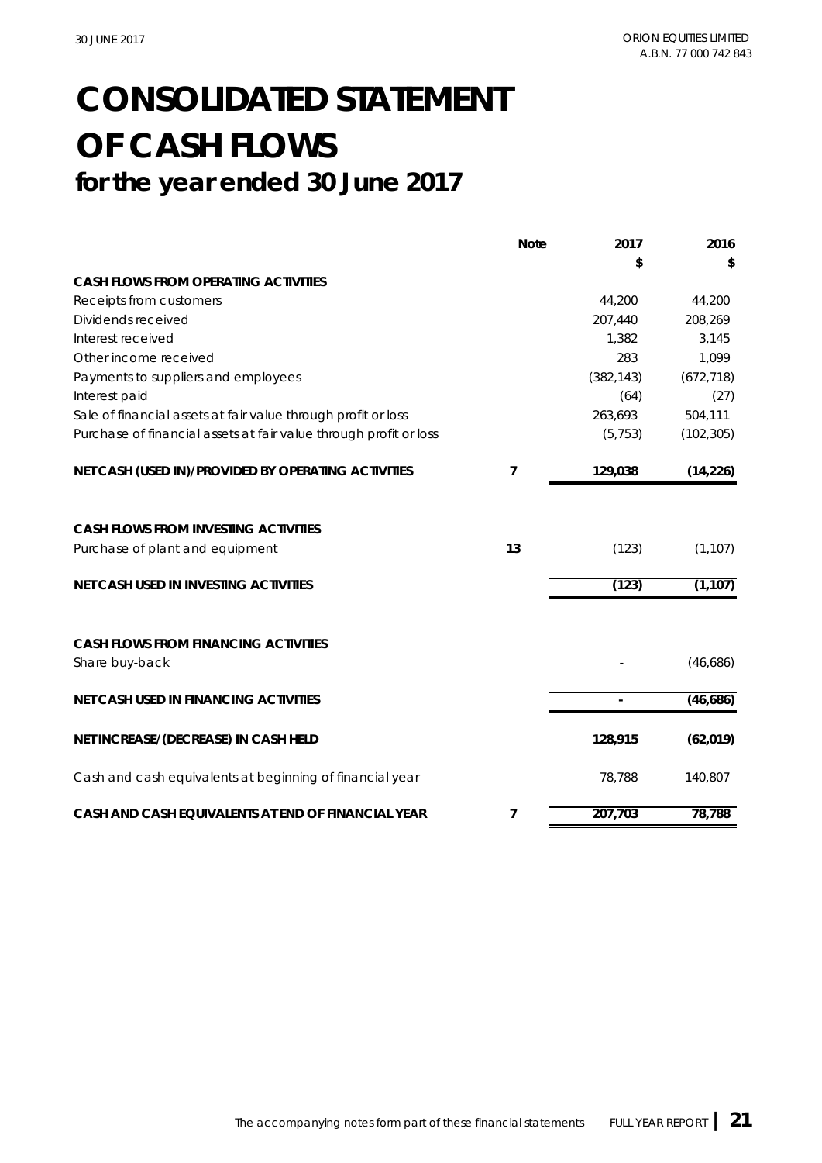## **CONSOLIDATED STATEMENT OF CASH FLOWS for the year ended 30 June 2017**

|                                                                   | <b>Note</b> | 2017          | 2016       |
|-------------------------------------------------------------------|-------------|---------------|------------|
|                                                                   |             | \$            | \$         |
| CASH FLOWS FROM OPERATING ACTIVITIES                              |             |               |            |
| Receipts from customers                                           |             | 44,200        | 44,200     |
| Dividends received                                                |             | 207,440       | 208,269    |
| Interest received                                                 |             | 1,382         | 3,145      |
| Other income received                                             |             | 283           | 1,099      |
| Payments to suppliers and employees                               |             | (382, 143)    | (672, 718) |
| Interest paid                                                     |             | (64)          | (27)       |
| Sale of financial assets at fair value through profit or loss     |             | 263,693       | 504,111    |
| Purchase of financial assets at fair value through profit or loss |             | (5, 753)      | (102, 305) |
| NET CASH (USED IN)/PROVIDED BY OPERATING ACTIVITIES               | 7           | 129,038       | (14, 226)  |
| CASH FLOWS FROM INVESTING ACTIVITIES                              |             |               |            |
| Purchase of plant and equipment                                   | 13          | (123)         | (1, 107)   |
| NET CASH USED IN INVESTING ACTIVITIES                             |             | (123)         | (1, 107)   |
| CASH FLOWS FROM FINANCING ACTIVITIES<br>Share buy-back            |             |               | (46,686)   |
|                                                                   |             |               |            |
| NET CASH USED IN FINANCING ACTIVITIES                             |             | $\mathcal{L}$ | (46,686)   |
| NET INCREASE/(DECREASE) IN CASH HELD                              |             | 128,915       | (62, 019)  |
| Cash and cash equivalents at beginning of financial year          |             | 78,788        | 140,807    |
| CASH AND CASH EQUIVALENTS AT END OF FINANCIAL YEAR                | 7           | 207,703       | 78,788     |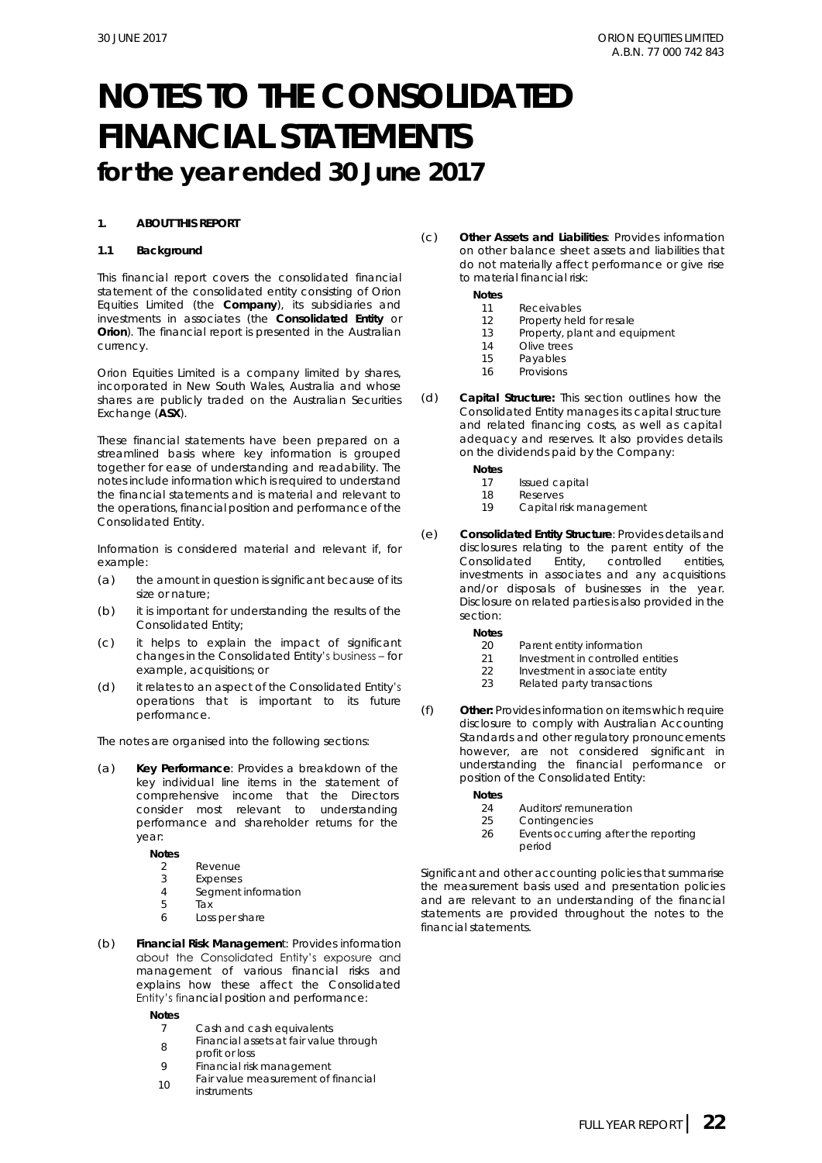#### **1. ABOUT THIS REPORT**

#### **1.1 Background**

This financial report covers the consolidated financial statement of the consolidated entity consisting of Orion Equities Limited (the **Company**), its subsidiaries and investments in associates (the **Consolidated Entity** or **Orion**). The financial report is presented in the Australian currency.

Orion Equities Limited is a company limited by shares, incorporated in New South Wales, Australia and whose shares are publicly traded on the Australian Securities Exchange (**ASX**).

These financial statements have been prepared on a streamlined basis where key information is grouped together for ease of understanding and readability. The notes include information which is required to understand the financial statements and is material and relevant to the operations, financial position and performance of the Consolidated Entity.

Information is considered material and relevant if, for example:

- (a) the amount in question is significant because of its size or nature;
- (b) it is important for understanding the results of the Consolidated Entity;
- (c) it helps to explain the impact of significant changes in the Consolidated Entity's business – for example, acquisitions; or
- (d) it relates to an aspect of the Consolidated Entity's operations that is important to its future performance.

The notes are organised into the following sections:

(a) **Key Performance**: Provides a breakdown of the key individual line items in the statement of comprehensive income that the Directors consider most relevant to understanding performance and shareholder returns for the year:

**Notes**

- 2 Revenue
- 3 Expenses
- 4 Segment information<br>5 Tax
- 5 Tax 6 Loss per share
- (b) **Financial Risk Managemen**t: Provides information about the Consolidated Entity's exposure and management of various financial risks and explains how these affect the Consolidated Entity's financial position and performance:

**Notes**

- 7 Cash and cash equivalents
- 8 Financial assets at fair value through profit or loss
- 9 Financial risk management
- 10 Fair value measurement of financial instruments

(c) **Other Assets and Liabilities**: Provides information on other balance sheet assets and liabilities that do not materially affect performance or give rise to material financial risk:

**Notes**

- 11 Receivables
- 
- 12 Property held for resale<br>13 Property, plant and equ Property, plant and equipment
- 14 Olive trees
- 15 Payables<br>16 Provisions
- Provisions
- (d) **Capital Structure:** This section outlines how the Consolidated Entity manages its capital structure and related financing costs, as well as capital adequacy and reserves. It also provides details on the dividends paid by the Company:
	- **Notes**
		- 17 Issued capital
		- 18 Reserves<br>19 Capital ri
		- Capital risk management
- (e) **Consolidated Entity Structure**: Provides details and disclosures relating to the parent entity of the Consolidated Entity, controlled entities, investments in associates and any acquisitions and/or disposals of businesses in the year. Disclosure on related parties is also provided in the section:
	- **Notes**
	- 20 Parent entity information<br>21 Investment in controlled
	- 21 Investment in controlled entities<br>22 Investment in associate entity
	- Investment in associate entity
	- 23 Related party transactions
- (f) **Other:** Provides information on items which require disclosure to comply with Australian Accounting Standards and other regulatory pronouncements however, are not considered significant in understanding the financial performance or position of the Consolidated Entity:
	- **Notes**
		- 24 Auditors' remuneration<br>25 Contingencies
		- Contingencies
		- 26 Events occurring after the reporting period

Significant and other accounting policies that summarise the measurement basis used and presentation policies and are relevant to an understanding of the financial statements are provided throughout the notes to the financial statements.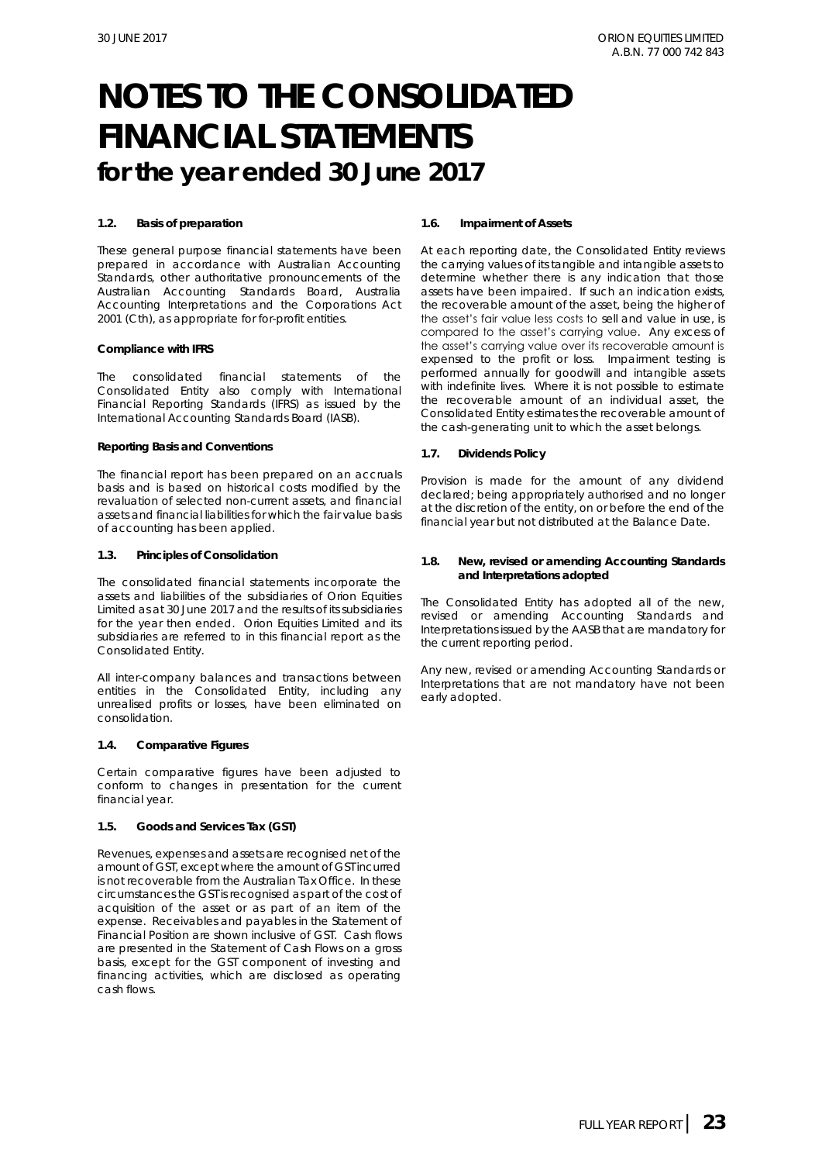#### **1.2. Basis of preparation**

These general purpose financial statements have been prepared in accordance with Australian Accounting Standards, other authoritative pronouncements of the Australian Accounting Standards Board, Australia Accounting Interpretations and the *Corporations Act 2001 (Cth)*, as appropriate for for-profit entities*.*

#### *Compliance with IFRS*

The consolidated financial statements of the Consolidated Entity also comply with International Financial Reporting Standards (IFRS) as issued by the International Accounting Standards Board (IASB).

#### *Reporting Basis and Conventions*

The financial report has been prepared on an accruals basis and is based on historical costs modified by the revaluation of selected non-current assets, and financial assets and financial liabilities for which the fair value basis of accounting has been applied.

#### **1.3. Principles of Consolidation**

The consolidated financial statements incorporate the assets and liabilities of the subsidiaries of Orion Equities Limited as at 30 June 2017 and the results of its subsidiaries for the year then ended. Orion Equities Limited and its subsidiaries are referred to in this financial report as the Consolidated Entity.

All inter-company balances and transactions between entities in the Consolidated Entity, including any unrealised profits or losses, have been eliminated on consolidation.

#### **1.4. Comparative Figures**

Certain comparative figures have been adjusted to conform to changes in presentation for the current financial year.

#### **1.5. Goods and Services Tax (GST)**

Revenues, expenses and assets are recognised net of the amount of GST, except where the amount of GST incurred is not recoverable from the Australian Tax Office. In these circumstances the GST is recognised as part of the cost of acquisition of the asset or as part of an item of the expense. Receivables and payables in the Statement of Financial Position are shown inclusive of GST. Cash flows are presented in the Statement of Cash Flows on a gross basis, except for the GST component of investing and financing activities, which are disclosed as operating cash flows.

#### **1.6. Impairment of Assets**

At each reporting date, the Consolidated Entity reviews the carrying values of its tangible and intangible assets to determine whether there is any indication that those assets have been impaired. If such an indication exists, the recoverable amount of the asset, being the higher of the asset's fair value less costs to sell and value in use, is compared to the asset's carrying value. Any excess of the asset's carrying value over its recoverable amount is expensed to the profit or loss. Impairment testing is performed annually for goodwill and intangible assets with indefinite lives. Where it is not possible to estimate the recoverable amount of an individual asset, the Consolidated Entity estimates the recoverable amount of the cash-generating unit to which the asset belongs.

**1.7. Dividends Policy** 

Provision is made for the amount of any dividend declared; being appropriately authorised and no longer at the discretion of the entity, on or before the end of the financial year but not distributed at the Balance Date.

**1.8. New, revised or amending Accounting Standards and Interpretations adopted**

The Consolidated Entity has adopted all of the new, revised or amending Accounting Standards and Interpretations issued by the AASB that are mandatory for the current reporting period.

Any new, revised or amending Accounting Standards or Interpretations that are not mandatory have not been early adopted.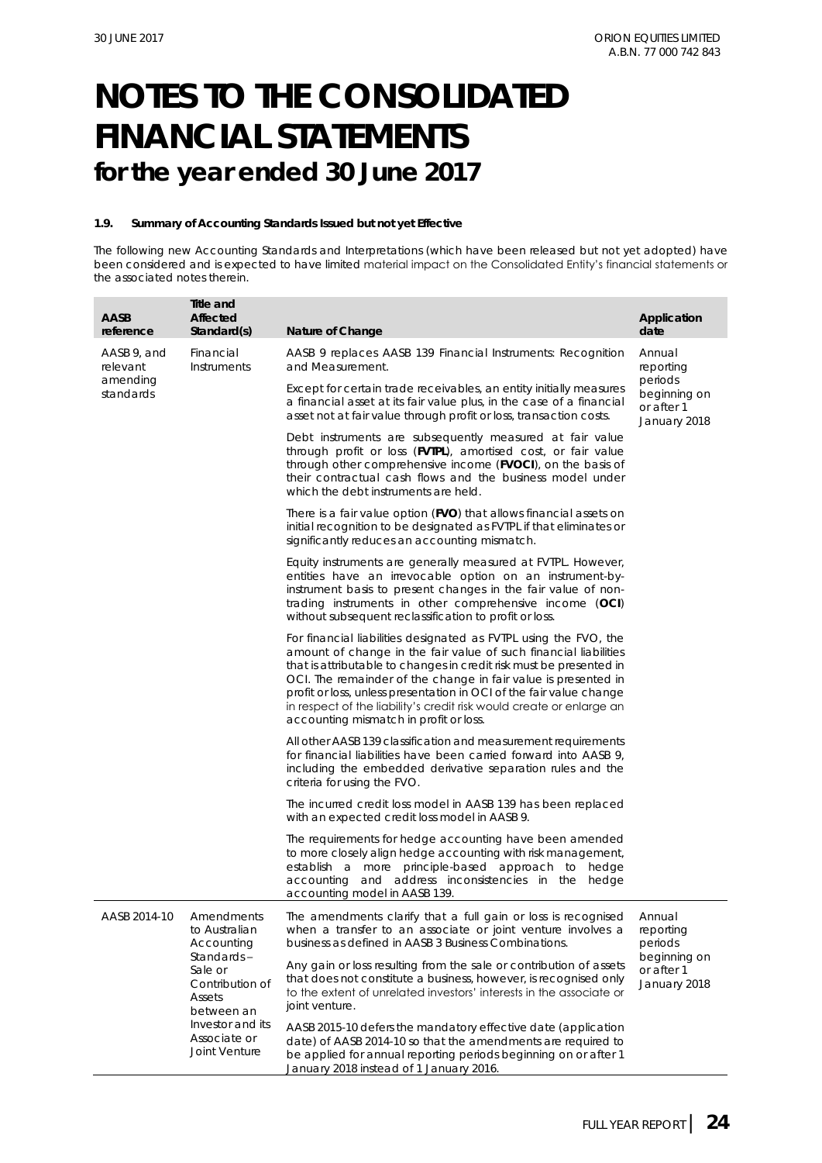#### **1.9. Summary of Accounting Standards Issued but not yet Effective**

The following new Accounting Standards and Interpretations (which have been released but not yet adopted) have been considered and is expected to have limited material impact on the Consolidated Entity's financial statements or the associated notes therein.

| <b>AASB</b><br>reference | Title and<br><b>Affected</b><br>Standard(s)                                                                           | Nature of Change                                                                                                                                                                                                                                                                                                                                                                                                                                                       | Application<br>date                                   |
|--------------------------|-----------------------------------------------------------------------------------------------------------------------|------------------------------------------------------------------------------------------------------------------------------------------------------------------------------------------------------------------------------------------------------------------------------------------------------------------------------------------------------------------------------------------------------------------------------------------------------------------------|-------------------------------------------------------|
| AASB 9, and<br>relevant  | Financial<br>Instruments                                                                                              | AASB 9 replaces AASB 139 Financial Instruments: Recognition<br>and Measurement.                                                                                                                                                                                                                                                                                                                                                                                        | Annual<br>reporting                                   |
| amending<br>standards    |                                                                                                                       | Except for certain trade receivables, an entity initially measures<br>a financial asset at its fair value plus, in the case of a financial<br>asset not at fair value through profit or loss, transaction costs.                                                                                                                                                                                                                                                       | periods<br>beginning on<br>or after 1<br>January 2018 |
|                          |                                                                                                                       | Debt instruments are subsequently measured at fair value<br>through profit or loss (FVTPL), amortised cost, or fair value<br>through other comprehensive income (FVOCI), on the basis of<br>their contractual cash flows and the business model under<br>which the debt instruments are held.                                                                                                                                                                          |                                                       |
|                          |                                                                                                                       | There is a fair value option (FVO) that allows financial assets on<br>initial recognition to be designated as FVTPL if that eliminates or<br>significantly reduces an accounting mismatch.                                                                                                                                                                                                                                                                             |                                                       |
|                          |                                                                                                                       | Equity instruments are generally measured at FVTPL. However,<br>entities have an irrevocable option on an instrument-by-<br>instrument basis to present changes in the fair value of non-<br>trading instruments in other comprehensive income (OCI)<br>without subsequent reclassification to profit or loss.                                                                                                                                                         |                                                       |
|                          |                                                                                                                       | For financial liabilities designated as FVTPL using the FVO, the<br>amount of change in the fair value of such financial liabilities<br>that is attributable to changes in credit risk must be presented in<br>OCI. The remainder of the change in fair value is presented in<br>profit or loss, unless presentation in OCI of the fair value change<br>in respect of the liability's credit risk would create or enlarge an<br>accounting mismatch in profit or loss. |                                                       |
|                          |                                                                                                                       | All other AASB 139 classification and measurement requirements<br>for financial liabilities have been carried forward into AASB 9,<br>including the embedded derivative separation rules and the<br>criteria for using the FVO.                                                                                                                                                                                                                                        |                                                       |
|                          |                                                                                                                       | The incurred credit loss model in AASB 139 has been replaced<br>with an expected credit loss model in AASB 9.                                                                                                                                                                                                                                                                                                                                                          |                                                       |
|                          |                                                                                                                       | The requirements for hedge accounting have been amended<br>to more closely align hedge accounting with risk management,<br>establish a more principle-based approach to hedge<br>accounting and address inconsistencies in the hedge<br>accounting model in AASB 139.                                                                                                                                                                                                  |                                                       |
| AASB 2014-10             | Amendments<br>to Australian<br>Accounting                                                                             | The amendments clarify that a full gain or loss is recognised<br>when a transfer to an associate or joint venture involves a<br>business as defined in AASB 3 Business Combinations.                                                                                                                                                                                                                                                                                   | Annual<br>reporting<br>periods                        |
|                          | Standards-<br>Sale or<br>Contribution of<br>Assets<br>between an<br>Investor and its<br>Associate or<br>Joint Venture | Any gain or loss resulting from the sale or contribution of assets<br>that does not constitute a business, however, is recognised only<br>to the extent of unrelated investors' interests in the associate or<br>joint venture.                                                                                                                                                                                                                                        | beginning on<br>or after 1<br>January 2018            |
|                          |                                                                                                                       | AASB 2015-10 defers the mandatory effective date (application<br>date) of AASB 2014-10 so that the amendments are required to<br>be applied for annual reporting periods beginning on or after 1<br>January 2018 instead of 1 January 2016.                                                                                                                                                                                                                            |                                                       |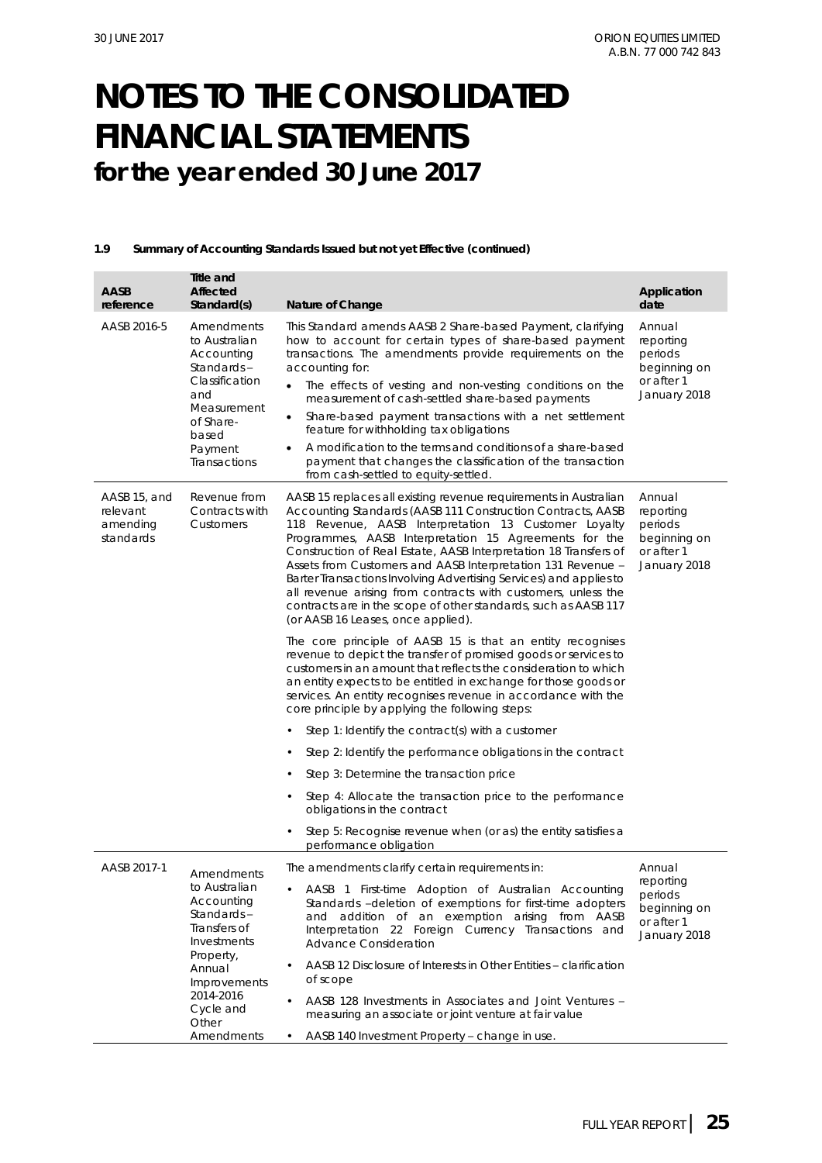#### **1.9 Summary of Accounting Standards Issued but not yet Effective (continued)**

| AASB<br>reference                                 | Title and<br>Affected<br>Standard(s)                                                                                                             | Nature of Change                                                                                                                                                                                                                                                                                                                                                                                                                                                                                                                                                                                                                    | Application<br>date                                                          |
|---------------------------------------------------|--------------------------------------------------------------------------------------------------------------------------------------------------|-------------------------------------------------------------------------------------------------------------------------------------------------------------------------------------------------------------------------------------------------------------------------------------------------------------------------------------------------------------------------------------------------------------------------------------------------------------------------------------------------------------------------------------------------------------------------------------------------------------------------------------|------------------------------------------------------------------------------|
| AASB 2016-5                                       | Amendments<br>to Australian<br>Accounting<br>Standards-<br>Classification<br>and<br>Measurement<br>of Share-<br>based<br>Payment<br>Transactions | This Standard amends AASB 2 Share-based Payment, clarifying<br>how to account for certain types of share-based payment<br>transactions. The amendments provide requirements on the<br>accounting for:<br>The effects of vesting and non-vesting conditions on the<br>measurement of cash-settled share-based payments<br>Share-based payment transactions with a net settlement<br>$\bullet$<br>feature for withholding tax obligations<br>A modification to the terms and conditions of a share-based<br>payment that changes the classification of the transaction<br>from cash-settled to equity-settled.                        | Annual<br>reporting<br>periods<br>beginning on<br>or after 1<br>January 2018 |
| AASB 15, and<br>relevant<br>amending<br>standards | Revenue from<br>Contracts with<br>Customers                                                                                                      | AASB 15 replaces all existing revenue requirements in Australian<br>Accounting Standards (AASB 111 Construction Contracts, AASB<br>118 Revenue, AASB Interpretation 13 Customer Loyalty<br>Programmes, AASB Interpretation 15 Agreements for the<br>Construction of Real Estate, AASB Interpretation 18 Transfers of<br>Assets from Customers and AASB Interpretation 131 Revenue -<br>Barter Transactions Involving Advertising Services) and applies to<br>all revenue arising from contracts with customers, unless the<br>contracts are in the scope of other standards, such as AASB 117<br>(or AASB 16 Leases, once applied). | Annual<br>reporting<br>periods<br>beginning on<br>or after 1<br>January 2018 |
|                                                   |                                                                                                                                                  | The core principle of AASB 15 is that an entity recognises<br>revenue to depict the transfer of promised goods or services to<br>customers in an amount that reflects the consideration to which<br>an entity expects to be entitled in exchange for those goods or<br>services. An entity recognises revenue in accordance with the<br>core principle by applying the following steps:                                                                                                                                                                                                                                             |                                                                              |
|                                                   |                                                                                                                                                  | Step 1: Identify the contract(s) with a customer                                                                                                                                                                                                                                                                                                                                                                                                                                                                                                                                                                                    |                                                                              |
|                                                   |                                                                                                                                                  | Step 2: Identify the performance obligations in the contract                                                                                                                                                                                                                                                                                                                                                                                                                                                                                                                                                                        |                                                                              |
|                                                   |                                                                                                                                                  | Step 3: Determine the transaction price<br>٠                                                                                                                                                                                                                                                                                                                                                                                                                                                                                                                                                                                        |                                                                              |
|                                                   |                                                                                                                                                  | Step 4: Allocate the transaction price to the performance<br>obligations in the contract                                                                                                                                                                                                                                                                                                                                                                                                                                                                                                                                            |                                                                              |
|                                                   |                                                                                                                                                  | Step 5: Recognise revenue when (or as) the entity satisfies a<br>٠<br>performance obligation                                                                                                                                                                                                                                                                                                                                                                                                                                                                                                                                        |                                                                              |
| AASB 2017-1                                       | Amendments                                                                                                                                       | The amendments clarify certain requirements in:                                                                                                                                                                                                                                                                                                                                                                                                                                                                                                                                                                                     | Annual                                                                       |
|                                                   | to Australian<br>Accounting<br>Standards-<br>Transfers of<br>Investments                                                                         | • AASB 1 First-time Adoption of Australian Accounting<br>Standards -deletion of exemptions for first-time adopters<br>and addition of an exemption arising from AASB<br>Interpretation 22 Foreign Currency Transactions and<br><b>Advance Consideration</b>                                                                                                                                                                                                                                                                                                                                                                         | reporting<br>periods<br>beginning on<br>or after 1<br>January 2018           |
|                                                   | Property,<br>Annual                                                                                                                              | AASB 12 Disclosure of Interests in Other Entities - clarification<br>$\bullet$<br>of scope                                                                                                                                                                                                                                                                                                                                                                                                                                                                                                                                          |                                                                              |
|                                                   | Improvements<br>2014-2016                                                                                                                        | AASB 128 Investments in Associates and Joint Ventures -                                                                                                                                                                                                                                                                                                                                                                                                                                                                                                                                                                             |                                                                              |
|                                                   | Cycle and<br>Other                                                                                                                               | measuring an associate or joint venture at fair value                                                                                                                                                                                                                                                                                                                                                                                                                                                                                                                                                                               |                                                                              |
|                                                   | Amendments                                                                                                                                       | AASB 140 Investment Property - change in use.<br>٠                                                                                                                                                                                                                                                                                                                                                                                                                                                                                                                                                                                  |                                                                              |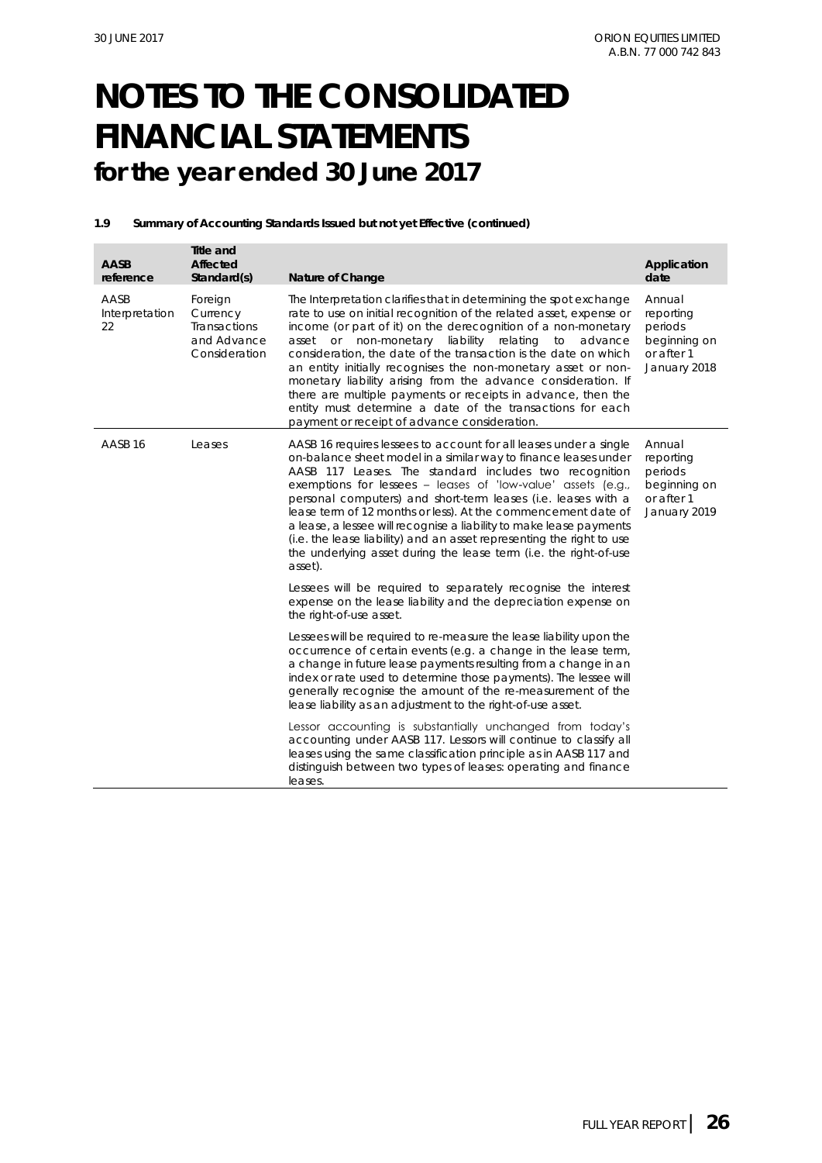#### **1.9 Summary of Accounting Standards Issued but not yet Effective (continued)**

| AASB<br>reference            | Title and<br>Affected<br>Standard(s)                                | Nature of Change                                                                                                                                                                                                                                                                                                                                                                                                                                                                                                                                                                                                                                    | Application<br>date                                                          |
|------------------------------|---------------------------------------------------------------------|-----------------------------------------------------------------------------------------------------------------------------------------------------------------------------------------------------------------------------------------------------------------------------------------------------------------------------------------------------------------------------------------------------------------------------------------------------------------------------------------------------------------------------------------------------------------------------------------------------------------------------------------------------|------------------------------------------------------------------------------|
| AASB<br>Interpretation<br>22 | Foreign<br>Currency<br>Transactions<br>and Advance<br>Consideration | The Interpretation clarifies that in determining the spot exchange<br>rate to use on initial recognition of the related asset, expense or<br>income (or part of it) on the derecognition of a non-monetary<br>asset or non-monetary liability relating to advance<br>consideration, the date of the transaction is the date on which<br>an entity initially recognises the non-monetary asset or non-<br>monetary liability arising from the advance consideration. If<br>there are multiple payments or receipts in advance, then the<br>entity must determine a date of the transactions for each<br>payment or receipt of advance consideration. | Annual<br>reporting<br>periods<br>beginning on<br>or after 1<br>January 2018 |
| AASB 16                      | Leases                                                              | AASB 16 requires lessees to account for all leases under a single<br>on-balance sheet model in a similar way to finance leases under<br>AASB 117 Leases. The standard includes two recognition<br>exemptions for lessees - leases of 'low-value' assets (e.g.,<br>personal computers) and short-term leases (i.e. leases with a<br>lease term of 12 months or less). At the commencement date of<br>a lease, a lessee will recognise a liability to make lease payments<br>(i.e. the lease liability) and an asset representing the right to use<br>the underlying asset during the lease term (i.e. the right-of-use<br>asset).                    | Annual<br>reporting<br>periods<br>beginning on<br>or after 1<br>January 2019 |
|                              |                                                                     | Lessees will be required to separately recognise the interest<br>expense on the lease liability and the depreciation expense on<br>the right-of-use asset.                                                                                                                                                                                                                                                                                                                                                                                                                                                                                          |                                                                              |
|                              |                                                                     | Lessees will be required to re-measure the lease liability upon the<br>occurrence of certain events (e.g. a change in the lease term,<br>a change in future lease payments resulting from a change in an<br>index or rate used to determine those payments). The lessee will<br>generally recognise the amount of the re-measurement of the<br>lease liability as an adjustment to the right-of-use asset.                                                                                                                                                                                                                                          |                                                                              |
|                              |                                                                     | Lessor accounting is substantially unchanged from today's<br>accounting under AASB 117. Lessors will continue to classify all<br>leases using the same classification principle as in AASB 117 and<br>distinguish between two types of leases: operating and finance<br>leases.                                                                                                                                                                                                                                                                                                                                                                     |                                                                              |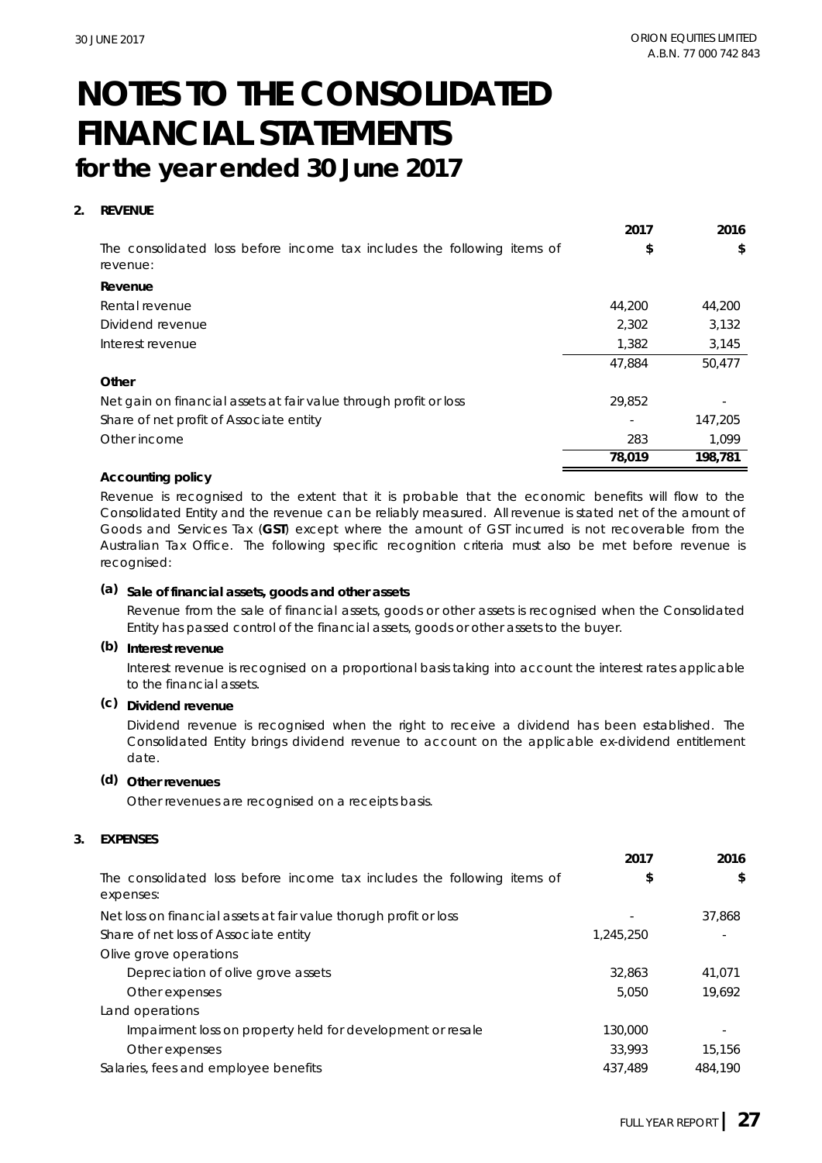#### **2. REVENUE**

|                                                                                     | 2017   | 2016    |
|-------------------------------------------------------------------------------------|--------|---------|
| The consolidated loss before income tax includes the following items of<br>revenue: | \$     | \$      |
| Revenue                                                                             |        |         |
| Rental revenue                                                                      | 44,200 | 44.200  |
| Dividend revenue                                                                    | 2,302  | 3,132   |
| Interest revenue                                                                    | 1,382  | 3,145   |
|                                                                                     | 47.884 | 50,477  |
| Other                                                                               |        |         |
| Net gain on financial assets at fair value through profit or loss                   | 29.852 |         |
| Share of net profit of Associate entity                                             |        | 147,205 |
| Other income                                                                        | 283    | 1.099   |
|                                                                                     | 78.019 | 198.781 |

#### **Accounting policy**

Revenue is recognised to the extent that it is probable that the economic benefits will flow to the Consolidated Entity and the revenue can be reliably measured. All revenue is stated net of the amount of Goods and Services Tax (**GST**) except where the amount of GST incurred is not recoverable from the Australian Tax Office. The following specific recognition criteria must also be met before revenue is recognised:

**(a) Sale of financial assets, goods and other assets**

Revenue from the sale of financial assets, goods or other assets is recognised when the Consolidated Entity has passed control of the financial assets, goods or other assets to the buyer.

**(b) Interest revenue**

Interest revenue is recognised on a proportional basis taking into account the interest rates applicable to the financial assets.

**(c) Dividend revenue**

Dividend revenue is recognised when the right to receive a dividend has been established. The Consolidated Entity brings dividend revenue to account on the applicable ex-dividend entitlement date.

**(d) Other revenues**

Other revenues are recognised on a receipts basis.

**3. EXPENSES**

|                                                                                      | 20 I L    | ZUIU    |
|--------------------------------------------------------------------------------------|-----------|---------|
| The consolidated loss before income tax includes the following items of<br>expenses: | \$        | \$      |
| Net loss on financial assets at fair value thorugh profit or loss                    |           | 37.868  |
| Share of net loss of Associate entity                                                | 1.245.250 |         |
| Olive grove operations                                                               |           |         |
| Depreciation of olive grove assets                                                   | 32.863    | 41.071  |
| Other expenses                                                                       | 5.050     | 19.692  |
| Land operations                                                                      |           |         |
| Impairment loss on property held for development or resale                           | 130,000   |         |
| Other expenses                                                                       | 33.993    | 15.156  |
| Salaries, fees and employee benefits                                                 | 437.489   | 484.190 |
|                                                                                      |           |         |

**2017 2016**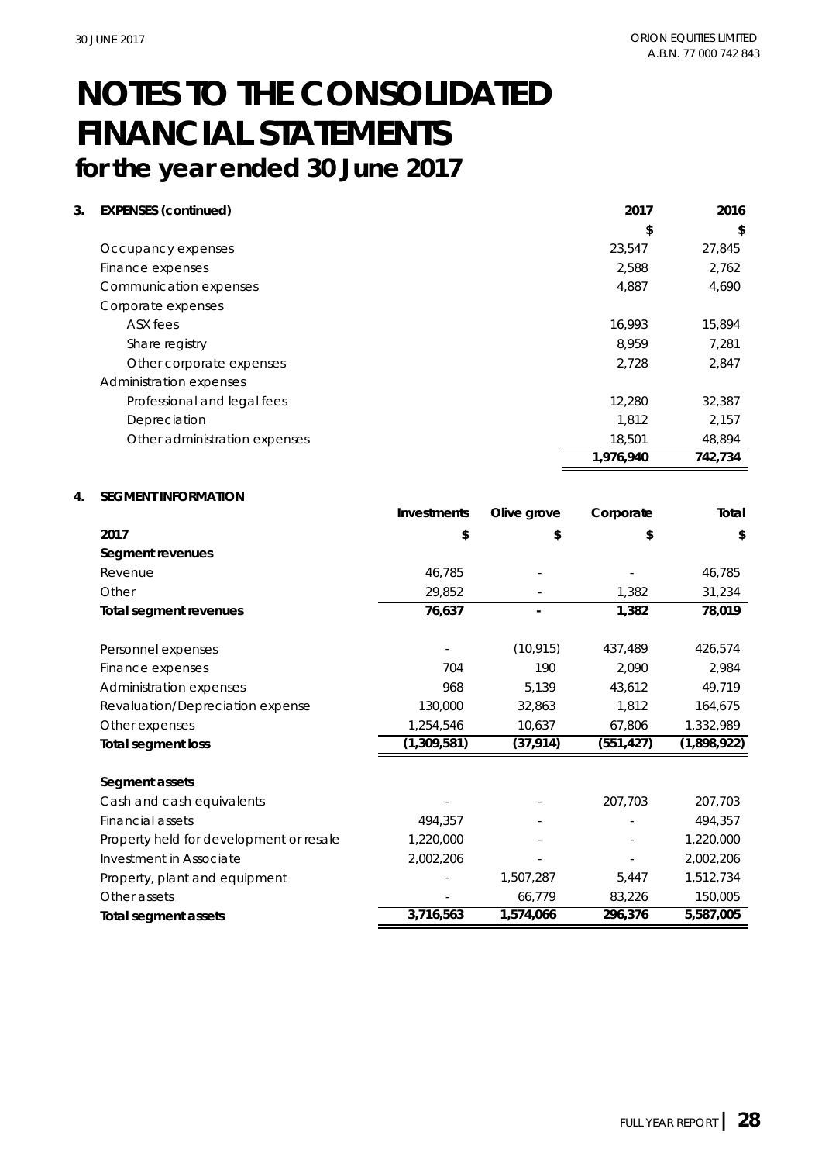**3. EXPENSES (continued) 2017 2016**

|                               | \$        | \$      |
|-------------------------------|-----------|---------|
| Occupancy expenses            | 23,547    | 27,845  |
| Finance expenses              | 2,588     | 2,762   |
| Communication expenses        | 4,887     | 4,690   |
| Corporate expenses            |           |         |
| ASX fees                      | 16.993    | 15,894  |
| Share registry                | 8.959     | 7,281   |
| Other corporate expenses      | 2,728     | 2,847   |
| Administration expenses       |           |         |
| Professional and legal fees   | 12,280    | 32,387  |
| Depreciation                  | 1.812     | 2.157   |
| Other administration expenses | 18,501    | 48.894  |
|                               | 1,976,940 | 742,734 |

#### **4. SEGMENT INFORMATION**

|                                         | Investments | Olive grove | Corporate  | Total       |
|-----------------------------------------|-------------|-------------|------------|-------------|
| 2017                                    | \$          | \$          | \$         | \$          |
| Segment revenues                        |             |             |            |             |
| Revenue                                 | 46,785      |             |            | 46,785      |
| Other                                   | 29,852      |             | 1,382      | 31,234      |
| Total segment revenues                  | 76,637      |             | 1,382      | 78,019      |
| Personnel expenses                      |             | (10, 915)   | 437,489    | 426,574     |
| Finance expenses                        | 704         | 190         | 2,090      | 2,984       |
| Administration expenses                 | 968         | 5,139       | 43,612     | 49,719      |
| Revaluation/Depreciation expense        | 130,000     | 32,863      | 1,812      | 164,675     |
| Other expenses                          | 1,254,546   | 10,637      | 67,806     | 1,332,989   |
| Total segment loss                      | (1,309,581) | (37, 914)   | (551, 427) | (1,898,922) |
| Segment assets                          |             |             |            |             |
| Cash and cash equivalents               |             |             | 207,703    | 207,703     |
| Financial assets                        | 494,357     |             |            | 494,357     |
| Property held for development or resale | 1,220,000   |             |            | 1,220,000   |
| Investment in Associate                 | 2,002,206   |             |            | 2,002,206   |
| Property, plant and equipment           |             | 1,507,287   | 5,447      | 1,512,734   |
| Other assets                            |             | 66,779      | 83,226     | 150,005     |
| Total segment assets                    | 3,716,563   | 1,574,066   | 296,376    | 5,587,005   |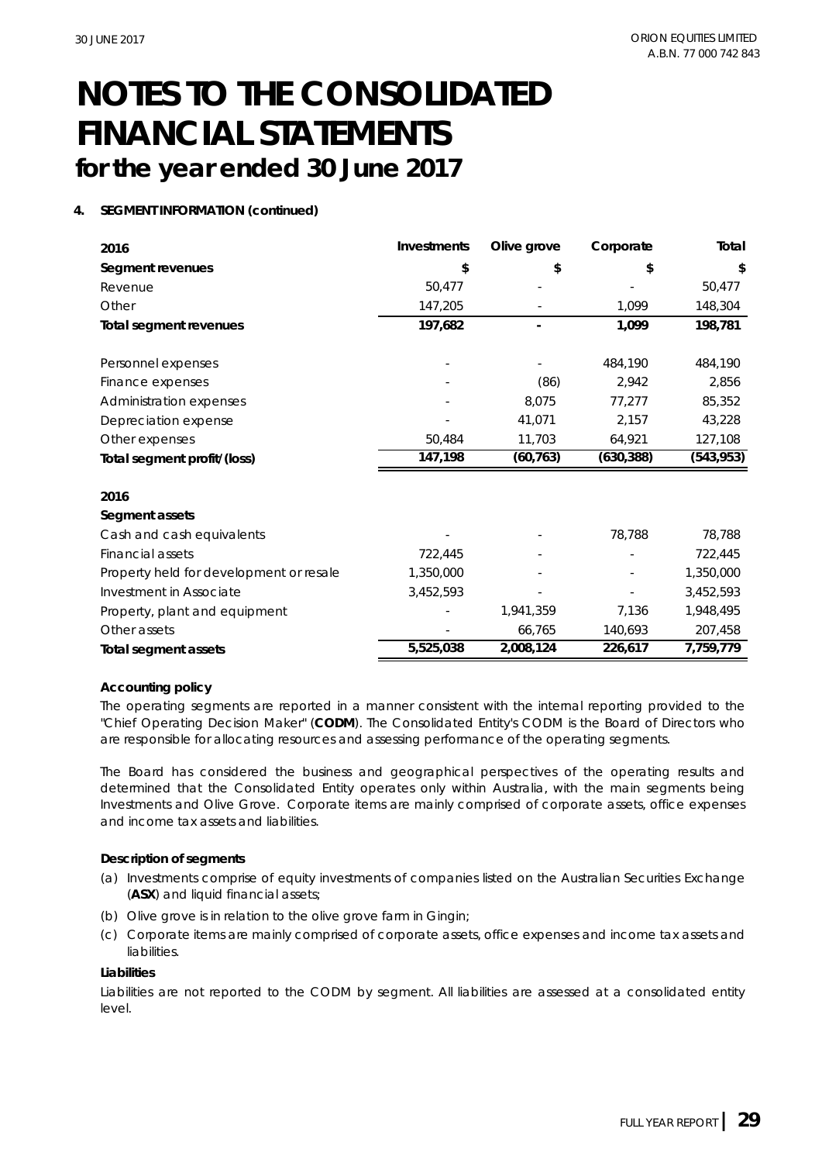**4. SEGMENT INFORMATION (continued)**

| 2016                                    | Investments | Olive grove | Corporate  | Total      |
|-----------------------------------------|-------------|-------------|------------|------------|
| Segment revenues                        | \$          | \$          | \$         | \$         |
| Revenue                                 | 50,477      |             |            | 50,477     |
| Other                                   | 147,205     |             | 1,099      | 148,304    |
| Total segment revenues                  | 197,682     |             | 1,099      | 198,781    |
| Personnel expenses                      |             |             | 484,190    | 484,190    |
| Finance expenses                        |             | (86)        | 2,942      | 2,856      |
| Administration expenses                 |             | 8,075       | 77,277     | 85,352     |
| Depreciation expense                    |             | 41,071      | 2,157      | 43,228     |
| Other expenses                          | 50,484      | 11,703      | 64,921     | 127,108    |
| Total segment profit/(loss)             | 147,198     | (60, 763)   | (630, 388) | (543, 953) |
| 2016                                    |             |             |            |            |
| Segment assets                          |             |             |            |            |
| Cash and cash equivalents               |             |             | 78,788     | 78,788     |
| Financial assets                        | 722,445     |             |            | 722,445    |
| Property held for development or resale | 1,350,000   |             |            | 1,350,000  |
| Investment in Associate                 | 3,452,593   |             |            | 3,452,593  |
| Property, plant and equipment           |             | 1,941,359   | 7,136      | 1,948,495  |
| Other assets                            |             | 66,765      | 140,693    | 207,458    |
| Total segment assets                    | 5,525,038   | 2,008,124   | 226,617    | 7,759,779  |

#### **Accounting policy**

The operating segments are reported in a manner consistent with the internal reporting provided to the "Chief Operating Decision Maker" (**CODM**). The Consolidated Entity's CODM is the Board of Directors who are responsible for allocating resources and assessing performance of the operating segments.

The Board has considered the business and geographical perspectives of the operating results and determined that the Consolidated Entity operates only within Australia, with the main segments being Investments and Olive Grove. Corporate items are mainly comprised of corporate assets, office expenses and income tax assets and liabilities.

**Description of segments**

- (a) Investments comprise of equity investments of companies listed on the Australian Securities Exchange (**ASX**) and liquid financial assets;
- (b) Olive grove is in relation to the olive grove farm in Gingin;
- (c) Corporate items are mainly comprised of corporate assets, office expenses and income tax assets and liabilities.

#### **Liabilities**

Liabilities are not reported to the CODM by segment. All liabilities are assessed at a consolidated entity level.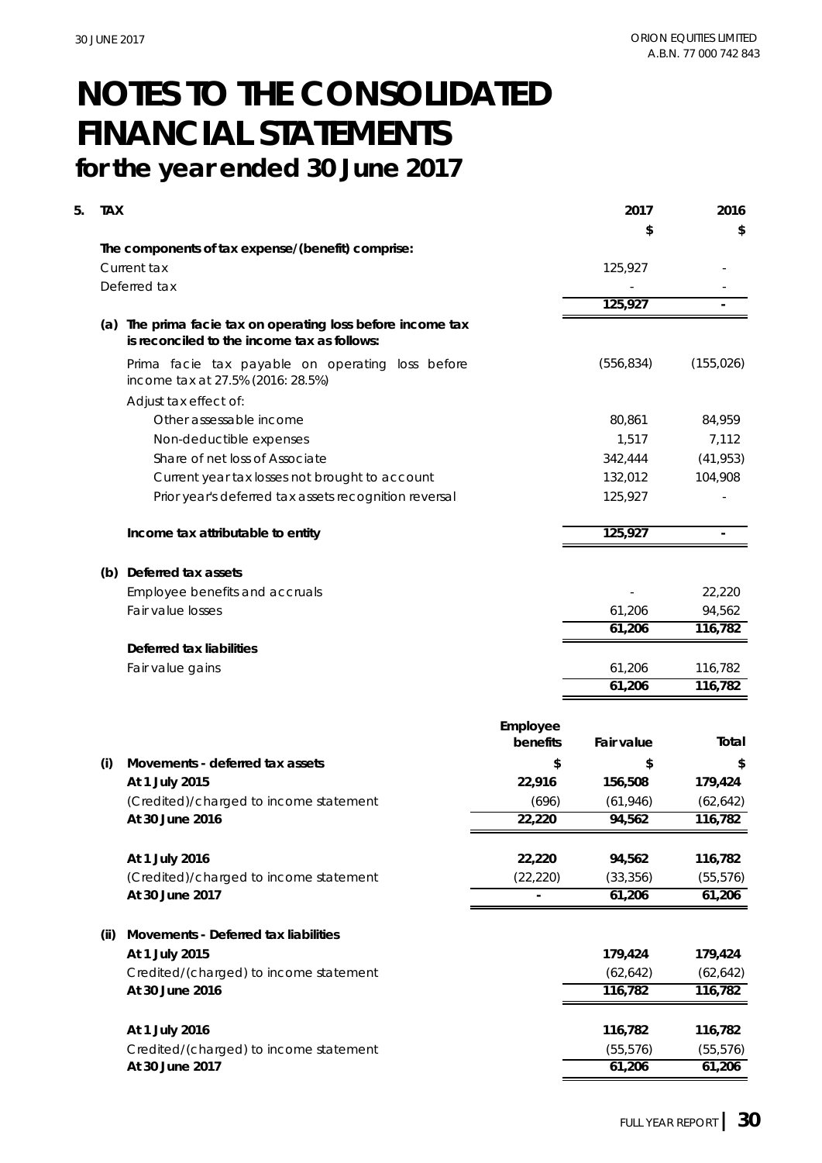| \$<br>\$<br>The components of tax expense/(benefit) comprise:<br>Current tax<br>125,927<br>Deferred tax<br>125,927<br>(a) The prima facie tax on operating loss before income tax<br>is reconciled to the income tax as follows:<br>(556, 834)<br>(155, 026)<br>Prima facie tax payable on operating loss before<br>income tax at 27.5% (2016: 28.5%)<br>Adjust tax effect of:<br>Other assessable income<br>80,861<br>84,959<br>1,517<br>7,112<br>Non-deductible expenses<br>Share of net loss of Associate<br>(41, 953)<br>342,444<br>Current year tax losses not brought to account<br>104,908<br>132,012<br>125,927<br>Prior year's deferred tax assets recognition reversal<br>125,927<br>Income tax attributable to entity<br>$\bar{ }$<br>(b) Deferred tax assets<br>Employee benefits and accruals<br>22,220<br>Fair value losses<br>94,562<br>61,206<br>61,206<br>116,782<br>Deferred tax liabilities<br>Fair value gains<br>61,206<br>116,782<br>61,206<br>116,782<br>Employee<br>Total<br>benefits<br>Fair value<br>Movements - deferred tax assets<br>\$<br>\$<br>(i)<br>\$<br>At 1 July 2015<br>22,916<br>156,508<br>179,424<br>(Credited)/charged to income statement<br>(696)<br>(61, 946)<br>(62, 642)<br>22,220<br>94,562<br>116,782<br>At 30 June 2016<br>At 1 July 2016<br>22,220<br>94,562<br>116,782<br>(Credited)/charged to income statement<br>(22, 220)<br>(33, 356)<br>(55, 576)<br>At 30 June 2017<br>61,206<br>61,206<br>Movements - Deferred tax liabilities<br>(ii)<br>At 1 July 2015<br>179,424<br>179,424<br>Credited/(charged) to income statement<br>(62, 642)<br>(62, 642)<br>At 30 June 2016<br>116,782<br>116,782<br>At 1 July 2016<br>116,782<br>116,782<br>Credited/(charged) to income statement<br>(55, 576)<br>(55, 576) | 5. | <b>TAX</b> |                 |  | 2017   | 2016   |
|--------------------------------------------------------------------------------------------------------------------------------------------------------------------------------------------------------------------------------------------------------------------------------------------------------------------------------------------------------------------------------------------------------------------------------------------------------------------------------------------------------------------------------------------------------------------------------------------------------------------------------------------------------------------------------------------------------------------------------------------------------------------------------------------------------------------------------------------------------------------------------------------------------------------------------------------------------------------------------------------------------------------------------------------------------------------------------------------------------------------------------------------------------------------------------------------------------------------------------------------------------------------------------------------------------------------------------------------------------------------------------------------------------------------------------------------------------------------------------------------------------------------------------------------------------------------------------------------------------------------------------------------------------------------------------------------------------------------------------------------------------------------|----|------------|-----------------|--|--------|--------|
|                                                                                                                                                                                                                                                                                                                                                                                                                                                                                                                                                                                                                                                                                                                                                                                                                                                                                                                                                                                                                                                                                                                                                                                                                                                                                                                                                                                                                                                                                                                                                                                                                                                                                                                                                                    |    |            |                 |  |        |        |
|                                                                                                                                                                                                                                                                                                                                                                                                                                                                                                                                                                                                                                                                                                                                                                                                                                                                                                                                                                                                                                                                                                                                                                                                                                                                                                                                                                                                                                                                                                                                                                                                                                                                                                                                                                    |    |            |                 |  |        |        |
|                                                                                                                                                                                                                                                                                                                                                                                                                                                                                                                                                                                                                                                                                                                                                                                                                                                                                                                                                                                                                                                                                                                                                                                                                                                                                                                                                                                                                                                                                                                                                                                                                                                                                                                                                                    |    |            |                 |  |        |        |
|                                                                                                                                                                                                                                                                                                                                                                                                                                                                                                                                                                                                                                                                                                                                                                                                                                                                                                                                                                                                                                                                                                                                                                                                                                                                                                                                                                                                                                                                                                                                                                                                                                                                                                                                                                    |    |            |                 |  |        |        |
|                                                                                                                                                                                                                                                                                                                                                                                                                                                                                                                                                                                                                                                                                                                                                                                                                                                                                                                                                                                                                                                                                                                                                                                                                                                                                                                                                                                                                                                                                                                                                                                                                                                                                                                                                                    |    |            |                 |  |        |        |
|                                                                                                                                                                                                                                                                                                                                                                                                                                                                                                                                                                                                                                                                                                                                                                                                                                                                                                                                                                                                                                                                                                                                                                                                                                                                                                                                                                                                                                                                                                                                                                                                                                                                                                                                                                    |    |            |                 |  |        |        |
|                                                                                                                                                                                                                                                                                                                                                                                                                                                                                                                                                                                                                                                                                                                                                                                                                                                                                                                                                                                                                                                                                                                                                                                                                                                                                                                                                                                                                                                                                                                                                                                                                                                                                                                                                                    |    |            |                 |  |        |        |
|                                                                                                                                                                                                                                                                                                                                                                                                                                                                                                                                                                                                                                                                                                                                                                                                                                                                                                                                                                                                                                                                                                                                                                                                                                                                                                                                                                                                                                                                                                                                                                                                                                                                                                                                                                    |    |            |                 |  |        |        |
|                                                                                                                                                                                                                                                                                                                                                                                                                                                                                                                                                                                                                                                                                                                                                                                                                                                                                                                                                                                                                                                                                                                                                                                                                                                                                                                                                                                                                                                                                                                                                                                                                                                                                                                                                                    |    |            |                 |  |        |        |
|                                                                                                                                                                                                                                                                                                                                                                                                                                                                                                                                                                                                                                                                                                                                                                                                                                                                                                                                                                                                                                                                                                                                                                                                                                                                                                                                                                                                                                                                                                                                                                                                                                                                                                                                                                    |    |            |                 |  |        |        |
|                                                                                                                                                                                                                                                                                                                                                                                                                                                                                                                                                                                                                                                                                                                                                                                                                                                                                                                                                                                                                                                                                                                                                                                                                                                                                                                                                                                                                                                                                                                                                                                                                                                                                                                                                                    |    |            |                 |  |        |        |
|                                                                                                                                                                                                                                                                                                                                                                                                                                                                                                                                                                                                                                                                                                                                                                                                                                                                                                                                                                                                                                                                                                                                                                                                                                                                                                                                                                                                                                                                                                                                                                                                                                                                                                                                                                    |    |            |                 |  |        |        |
|                                                                                                                                                                                                                                                                                                                                                                                                                                                                                                                                                                                                                                                                                                                                                                                                                                                                                                                                                                                                                                                                                                                                                                                                                                                                                                                                                                                                                                                                                                                                                                                                                                                                                                                                                                    |    |            |                 |  |        |        |
|                                                                                                                                                                                                                                                                                                                                                                                                                                                                                                                                                                                                                                                                                                                                                                                                                                                                                                                                                                                                                                                                                                                                                                                                                                                                                                                                                                                                                                                                                                                                                                                                                                                                                                                                                                    |    |            |                 |  |        |        |
|                                                                                                                                                                                                                                                                                                                                                                                                                                                                                                                                                                                                                                                                                                                                                                                                                                                                                                                                                                                                                                                                                                                                                                                                                                                                                                                                                                                                                                                                                                                                                                                                                                                                                                                                                                    |    |            |                 |  |        |        |
|                                                                                                                                                                                                                                                                                                                                                                                                                                                                                                                                                                                                                                                                                                                                                                                                                                                                                                                                                                                                                                                                                                                                                                                                                                                                                                                                                                                                                                                                                                                                                                                                                                                                                                                                                                    |    |            |                 |  |        |        |
|                                                                                                                                                                                                                                                                                                                                                                                                                                                                                                                                                                                                                                                                                                                                                                                                                                                                                                                                                                                                                                                                                                                                                                                                                                                                                                                                                                                                                                                                                                                                                                                                                                                                                                                                                                    |    |            |                 |  |        |        |
|                                                                                                                                                                                                                                                                                                                                                                                                                                                                                                                                                                                                                                                                                                                                                                                                                                                                                                                                                                                                                                                                                                                                                                                                                                                                                                                                                                                                                                                                                                                                                                                                                                                                                                                                                                    |    |            |                 |  |        |        |
|                                                                                                                                                                                                                                                                                                                                                                                                                                                                                                                                                                                                                                                                                                                                                                                                                                                                                                                                                                                                                                                                                                                                                                                                                                                                                                                                                                                                                                                                                                                                                                                                                                                                                                                                                                    |    |            |                 |  |        |        |
|                                                                                                                                                                                                                                                                                                                                                                                                                                                                                                                                                                                                                                                                                                                                                                                                                                                                                                                                                                                                                                                                                                                                                                                                                                                                                                                                                                                                                                                                                                                                                                                                                                                                                                                                                                    |    |            |                 |  |        |        |
|                                                                                                                                                                                                                                                                                                                                                                                                                                                                                                                                                                                                                                                                                                                                                                                                                                                                                                                                                                                                                                                                                                                                                                                                                                                                                                                                                                                                                                                                                                                                                                                                                                                                                                                                                                    |    |            |                 |  |        |        |
|                                                                                                                                                                                                                                                                                                                                                                                                                                                                                                                                                                                                                                                                                                                                                                                                                                                                                                                                                                                                                                                                                                                                                                                                                                                                                                                                                                                                                                                                                                                                                                                                                                                                                                                                                                    |    |            |                 |  |        |        |
|                                                                                                                                                                                                                                                                                                                                                                                                                                                                                                                                                                                                                                                                                                                                                                                                                                                                                                                                                                                                                                                                                                                                                                                                                                                                                                                                                                                                                                                                                                                                                                                                                                                                                                                                                                    |    |            |                 |  |        |        |
|                                                                                                                                                                                                                                                                                                                                                                                                                                                                                                                                                                                                                                                                                                                                                                                                                                                                                                                                                                                                                                                                                                                                                                                                                                                                                                                                                                                                                                                                                                                                                                                                                                                                                                                                                                    |    |            |                 |  |        |        |
|                                                                                                                                                                                                                                                                                                                                                                                                                                                                                                                                                                                                                                                                                                                                                                                                                                                                                                                                                                                                                                                                                                                                                                                                                                                                                                                                                                                                                                                                                                                                                                                                                                                                                                                                                                    |    |            |                 |  |        |        |
|                                                                                                                                                                                                                                                                                                                                                                                                                                                                                                                                                                                                                                                                                                                                                                                                                                                                                                                                                                                                                                                                                                                                                                                                                                                                                                                                                                                                                                                                                                                                                                                                                                                                                                                                                                    |    |            |                 |  |        |        |
|                                                                                                                                                                                                                                                                                                                                                                                                                                                                                                                                                                                                                                                                                                                                                                                                                                                                                                                                                                                                                                                                                                                                                                                                                                                                                                                                                                                                                                                                                                                                                                                                                                                                                                                                                                    |    |            |                 |  |        |        |
|                                                                                                                                                                                                                                                                                                                                                                                                                                                                                                                                                                                                                                                                                                                                                                                                                                                                                                                                                                                                                                                                                                                                                                                                                                                                                                                                                                                                                                                                                                                                                                                                                                                                                                                                                                    |    |            |                 |  |        |        |
|                                                                                                                                                                                                                                                                                                                                                                                                                                                                                                                                                                                                                                                                                                                                                                                                                                                                                                                                                                                                                                                                                                                                                                                                                                                                                                                                                                                                                                                                                                                                                                                                                                                                                                                                                                    |    |            |                 |  |        |        |
|                                                                                                                                                                                                                                                                                                                                                                                                                                                                                                                                                                                                                                                                                                                                                                                                                                                                                                                                                                                                                                                                                                                                                                                                                                                                                                                                                                                                                                                                                                                                                                                                                                                                                                                                                                    |    |            |                 |  |        |        |
|                                                                                                                                                                                                                                                                                                                                                                                                                                                                                                                                                                                                                                                                                                                                                                                                                                                                                                                                                                                                                                                                                                                                                                                                                                                                                                                                                                                                                                                                                                                                                                                                                                                                                                                                                                    |    |            |                 |  |        |        |
|                                                                                                                                                                                                                                                                                                                                                                                                                                                                                                                                                                                                                                                                                                                                                                                                                                                                                                                                                                                                                                                                                                                                                                                                                                                                                                                                                                                                                                                                                                                                                                                                                                                                                                                                                                    |    |            |                 |  |        |        |
|                                                                                                                                                                                                                                                                                                                                                                                                                                                                                                                                                                                                                                                                                                                                                                                                                                                                                                                                                                                                                                                                                                                                                                                                                                                                                                                                                                                                                                                                                                                                                                                                                                                                                                                                                                    |    |            |                 |  |        |        |
|                                                                                                                                                                                                                                                                                                                                                                                                                                                                                                                                                                                                                                                                                                                                                                                                                                                                                                                                                                                                                                                                                                                                                                                                                                                                                                                                                                                                                                                                                                                                                                                                                                                                                                                                                                    |    |            |                 |  |        |        |
|                                                                                                                                                                                                                                                                                                                                                                                                                                                                                                                                                                                                                                                                                                                                                                                                                                                                                                                                                                                                                                                                                                                                                                                                                                                                                                                                                                                                                                                                                                                                                                                                                                                                                                                                                                    |    |            |                 |  |        |        |
|                                                                                                                                                                                                                                                                                                                                                                                                                                                                                                                                                                                                                                                                                                                                                                                                                                                                                                                                                                                                                                                                                                                                                                                                                                                                                                                                                                                                                                                                                                                                                                                                                                                                                                                                                                    |    |            |                 |  |        |        |
|                                                                                                                                                                                                                                                                                                                                                                                                                                                                                                                                                                                                                                                                                                                                                                                                                                                                                                                                                                                                                                                                                                                                                                                                                                                                                                                                                                                                                                                                                                                                                                                                                                                                                                                                                                    |    |            |                 |  |        |        |
|                                                                                                                                                                                                                                                                                                                                                                                                                                                                                                                                                                                                                                                                                                                                                                                                                                                                                                                                                                                                                                                                                                                                                                                                                                                                                                                                                                                                                                                                                                                                                                                                                                                                                                                                                                    |    |            |                 |  |        |        |
|                                                                                                                                                                                                                                                                                                                                                                                                                                                                                                                                                                                                                                                                                                                                                                                                                                                                                                                                                                                                                                                                                                                                                                                                                                                                                                                                                                                                                                                                                                                                                                                                                                                                                                                                                                    |    |            | At 30 June 2017 |  | 61,206 | 61,206 |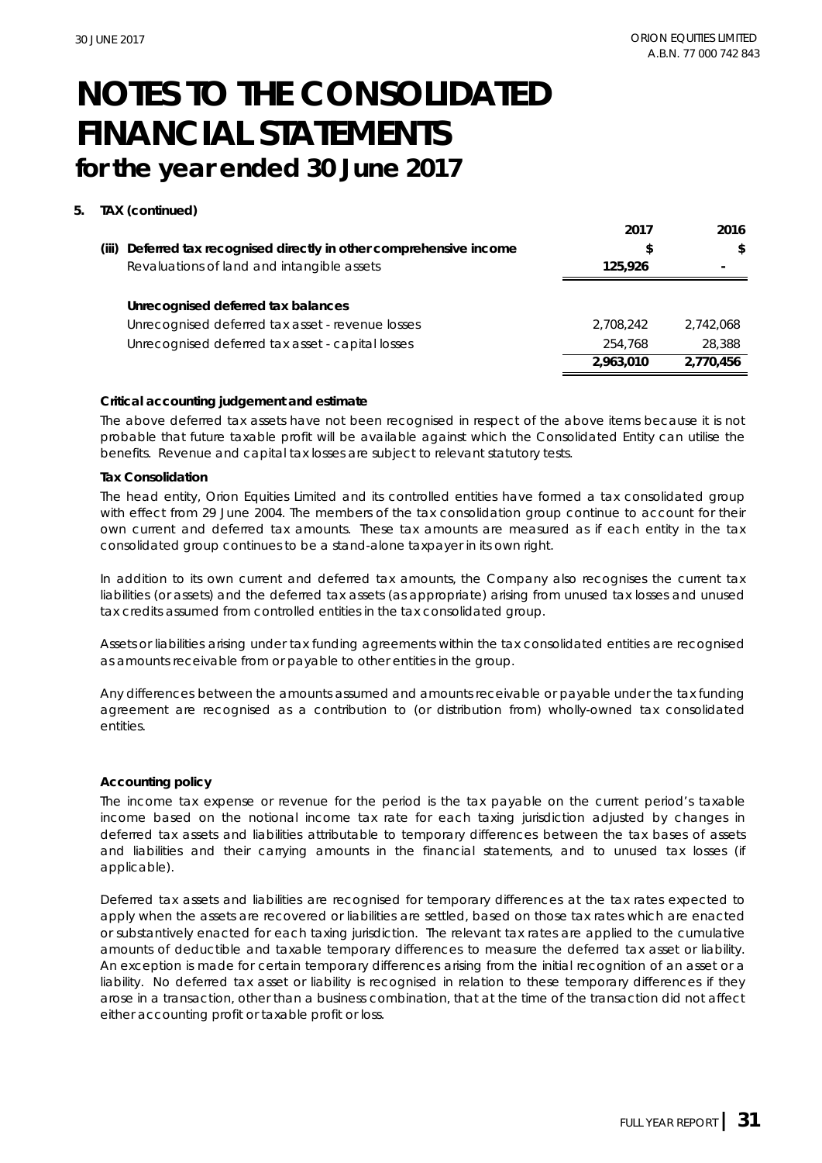#### **5. TAX (continued)**

|       |                                                                | 2017      | 2016      |
|-------|----------------------------------------------------------------|-----------|-----------|
| (iii) | Deferred tax recognised directly in other comprehensive income |           | \$        |
|       | Revaluations of land and intangible assets                     | 125.926   |           |
|       |                                                                |           |           |
|       | Unrecognised deferred tax balances                             |           |           |
|       | Unrecognised deferred tax asset - revenue losses               | 2.708.242 | 2.742.068 |
|       | Unrecognised deferred tax asset - capital losses               | 254,768   | 28,388    |
|       |                                                                | 2,963,010 | 2.770.456 |

#### **Critical accounting judgement and estimate**

The above deferred tax assets have not been recognised in respect of the above items because it is not probable that future taxable profit will be available against which the Consolidated Entity can utilise the benefits. Revenue and capital tax losses are subject to relevant statutory tests.

#### **Tax Consolidation**

The head entity, Orion Equities Limited and its controlled entities have formed a tax consolidated group with effect from 29 June 2004. The members of the tax consolidation group continue to account for their own current and deferred tax amounts. These tax amounts are measured as if each entity in the tax consolidated group continues to be a stand-alone taxpayer in its own right.

In addition to its own current and deferred tax amounts, the Company also recognises the current tax liabilities (or assets) and the deferred tax assets (as appropriate) arising from unused tax losses and unused tax credits assumed from controlled entities in the tax consolidated group.

Assets or liabilities arising under tax funding agreements within the tax consolidated entities are recognised as amounts receivable from or payable to other entities in the group.

Any differences between the amounts assumed and amounts receivable or payable under the tax funding agreement are recognised as a contribution to (or distribution from) wholly-owned tax consolidated entities.

#### **Accounting policy**

The income tax expense or revenue for the period is the tax payable on the current period's taxable income based on the notional income tax rate for each taxing jurisdiction adjusted by changes in deferred tax assets and liabilities attributable to temporary differences between the tax bases of assets and liabilities and their carrying amounts in the financial statements, and to unused tax losses (if applicable).

Deferred tax assets and liabilities are recognised for temporary differences at the tax rates expected to apply when the assets are recovered or liabilities are settled, based on those tax rates which are enacted or substantively enacted for each taxing jurisdiction. The relevant tax rates are applied to the cumulative amounts of deductible and taxable temporary differences to measure the deferred tax asset or liability. An exception is made for certain temporary differences arising from the initial recognition of an asset or a liability. No deferred tax asset or liability is recognised in relation to these temporary differences if they arose in a transaction, other than a business combination, that at the time of the transaction did not affect either accounting profit or taxable profit or loss.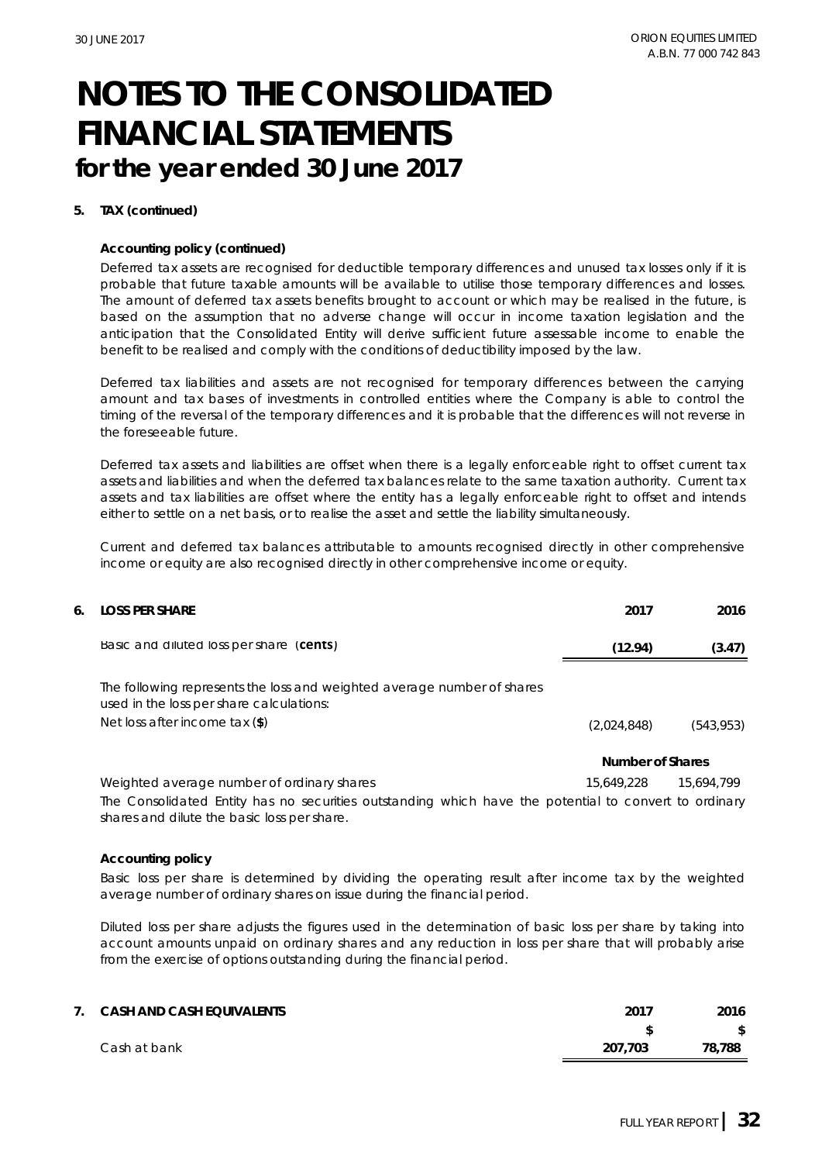#### **5. TAX (continued)**

#### **Accounting policy (continued)**

Deferred tax assets are recognised for deductible temporary differences and unused tax losses only if it is probable that future taxable amounts will be available to utilise those temporary differences and losses. The amount of deferred tax assets benefits brought to account or which may be realised in the future, is based on the assumption that no adverse change will occur in income taxation legislation and the anticipation that the Consolidated Entity will derive sufficient future assessable income to enable the benefit to be realised and comply with the conditions of deductibility imposed by the law.

Deferred tax liabilities and assets are not recognised for temporary differences between the carrying amount and tax bases of investments in controlled entities where the Company is able to control the timing of the reversal of the temporary differences and it is probable that the differences will not reverse in the foreseeable future.

Deferred tax assets and liabilities are offset when there is a legally enforceable right to offset current tax assets and liabilities and when the deferred tax balances relate to the same taxation authority. Current tax assets and tax liabilities are offset where the entity has a legally enforceable right to offset and intends either to settle on a net basis, or to realise the asset and settle the liability simultaneously.

Current and deferred tax balances attributable to amounts recognised directly in other comprehensive income or equity are also recognised directly in other comprehensive income or equity.

| 6. | LOSS PER SHARE                                                                                                                                        | 2017             | 2016       |
|----|-------------------------------------------------------------------------------------------------------------------------------------------------------|------------------|------------|
|    | Basic and diluted loss per share (cents)                                                                                                              | (12.94)          | (3.47)     |
|    | The following represents the loss and weighted average number of shares<br>used in the loss per share calculations:<br>Net loss after income tax (\$) | (2,024,848)      | (543, 953) |
|    |                                                                                                                                                       | Number of Shares |            |
|    | Weighted average number of ordinary shares                                                                                                            | 15,649,228       | 15,694,799 |
|    | The Consolidated Entity has no securities outstanding which have the potential to convert to ordinary<br>shares and dilute the basic loss per share.  |                  |            |

#### **Accounting policy**

Basic loss per share is determined by dividing the operating result after income tax by the weighted average number of ordinary shares on issue during the financial period.

Diluted loss per share adjusts the figures used in the determination of basic loss per share by taking into account amounts unpaid on ordinary shares and any reduction in loss per share that will probably arise from the exercise of options outstanding during the financial period.

| 7. CASH AND CASH EQUIVALENTS | 2017    | 2016         |
|------------------------------|---------|--------------|
|                              |         | $\mathbb{S}$ |
| Cash at bank                 | 207.703 | 78,788       |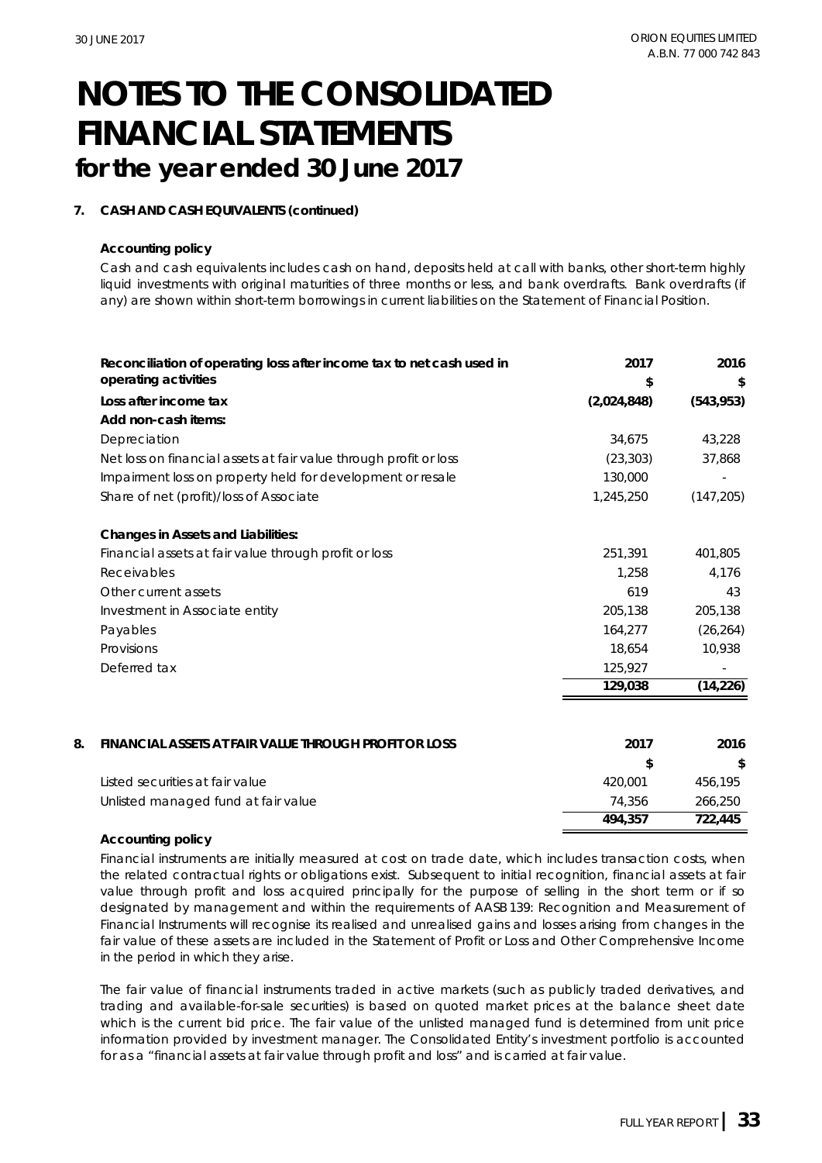#### **7. CASH AND CASH EQUIVALENTS (continued)**

#### **Accounting policy**

Cash and cash equivalents includes cash on hand, deposits held at call with banks, other short-term highly liquid investments with original maturities of three months or less, and bank overdrafts. Bank overdrafts (if any) are shown within short-term borrowings in current liabilities on the Statement of Financial Position.

|    | Reconciliation of operating loss after income tax to net cash used in<br>operating activities | 2017<br>\$    | 2016<br>\$ |
|----|-----------------------------------------------------------------------------------------------|---------------|------------|
|    | Loss after income tax                                                                         | (2,024,848)   | (543, 953) |
|    | Add non-cash items:                                                                           |               |            |
|    | Depreciation                                                                                  | 34,675        | 43,228     |
|    | Net loss on financial assets at fair value through profit or loss                             | (23, 303)     | 37,868     |
|    | Impairment loss on property held for development or resale                                    | 130,000       |            |
|    | Share of net (profit)/loss of Associate                                                       | 1,245,250     | (147, 205) |
|    | Changes in Assets and Liabilities:                                                            |               |            |
|    | Financial assets at fair value through profit or loss                                         | 251,391       | 401,805    |
|    | <b>Receivables</b>                                                                            | 1.258         | 4,176      |
|    | Other current assets                                                                          | 619           | 43         |
|    | Investment in Associate entity                                                                | 205,138       | 205,138    |
|    | Payables                                                                                      | 164,277       | (26, 264)  |
|    | Provisions                                                                                    | 18,654        | 10,938     |
|    | Deferred tax                                                                                  | 125,927       |            |
|    |                                                                                               | 129,038       | (14, 226)  |
|    |                                                                                               |               |            |
| 8. | FINANCIAL ASSETS AT FAIR VALUE THROUGH PROFIT OR LOSS                                         | 2017          | 2016       |
|    |                                                                                               | $\mathcal{L}$ | \$         |
|    | Listed securities at fair value                                                               | 420,001       | 456,195    |
|    | Unlisted managed fund at fair value                                                           | 74,356        | 266,250    |
|    |                                                                                               | 494,357       | 722,445    |

#### **Accounting policy**

Financial instruments are initially measured at cost on trade date, which includes transaction costs, when the related contractual rights or obligations exist. Subsequent to initial recognition, financial assets at fair value through profit and loss acquired principally for the purpose of selling in the short term or if so designated by management and within the requirements of AASB 139: Recognition and Measurement of Financial Instruments will recognise its realised and unrealised gains and losses arising from changes in the fair value of these assets are included in the Statement of Profit or Loss and Other Comprehensive Income in the period in which they arise.

The fair value of financial instruments traded in active markets (such as publicly traded derivatives, and trading and available-for-sale securities) is based on quoted market prices at the balance sheet date which is the current bid price. The fair value of the unlisted managed fund is determined from unit price information provided by investment manager. The Consolidated Entity's investment portfolio is accounted for as a "financial assets at fair value through profit and loss" and is carried at fair value.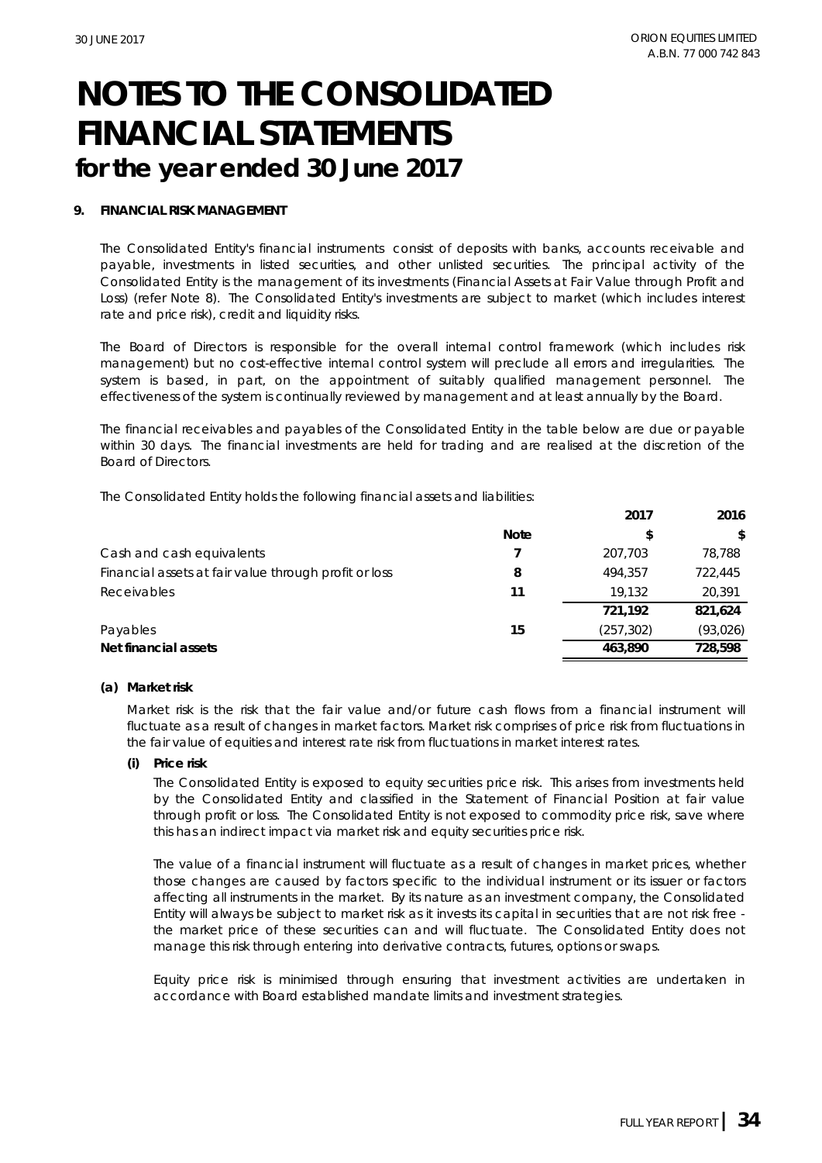#### **9. FINANCIAL RISK MANAGEMENT**

The Consolidated Entity's financial instruments consist of deposits with banks, accounts receivable and payable, investments in listed securities, and other unlisted securities. The principal activity of the Consolidated Entity is the management of its investments (Financial Assets at Fair Value through Profit and Loss) (refer Note 8). The Consolidated Entity's investments are subject to market (which includes interest rate and price risk), credit and liquidity risks.

The Board of Directors is responsible for the overall internal control framework (which includes risk management) but no cost-effective internal control system will preclude all errors and irregularities. The system is based, in part, on the appointment of suitably qualified management personnel. The effectiveness of the system is continually reviewed by management and at least annually by the Board.

The financial receivables and payables of the Consolidated Entity in the table below are due or payable within 30 days. The financial investments are held for trading and are realised at the discretion of the Board of Directors.

The Consolidated Entity holds the following financial assets and liabilities:

|                                                       |             | 2017       | 2016          |
|-------------------------------------------------------|-------------|------------|---------------|
|                                                       | <b>Note</b> |            | $\mathcal{L}$ |
| Cash and cash equivalents                             |             | 207.703    | 78,788        |
| Financial assets at fair value through profit or loss | 8           | 494.357    | 722,445       |
| Receivables                                           | 11          | 19.132     | 20.391        |
|                                                       |             | 721.192    | 821.624       |
| Payables                                              | 15          | (257, 302) | (93, 026)     |
| Net financial assets                                  |             | 463.890    | 728.598       |

#### **(a) Market risk**

Market risk is the risk that the fair value and/or future cash flows from a financial instrument will fluctuate as a result of changes in market factors. Market risk comprises of price risk from fluctuations in the fair value of equities and interest rate risk from fluctuations in market interest rates.

#### **(i)** *Price risk*

The Consolidated Entity is exposed to equity securities price risk. This arises from investments held by the Consolidated Entity and classified in the Statement of Financial Position at fair value through profit or loss. The Consolidated Entity is not exposed to commodity price risk, save where this has an indirect impact via market risk and equity securities price risk.

The value of a financial instrument will fluctuate as a result of changes in market prices, whether those changes are caused by factors specific to the individual instrument or its issuer or factors affecting all instruments in the market. By its nature as an investment company, the Consolidated Entity will always be subject to market risk as it invests its capital in securities that are not risk free the market price of these securities can and will fluctuate. The Consolidated Entity does not manage this risk through entering into derivative contracts, futures, options or swaps.

Equity price risk is minimised through ensuring that investment activities are undertaken in accordance with Board established mandate limits and investment strategies.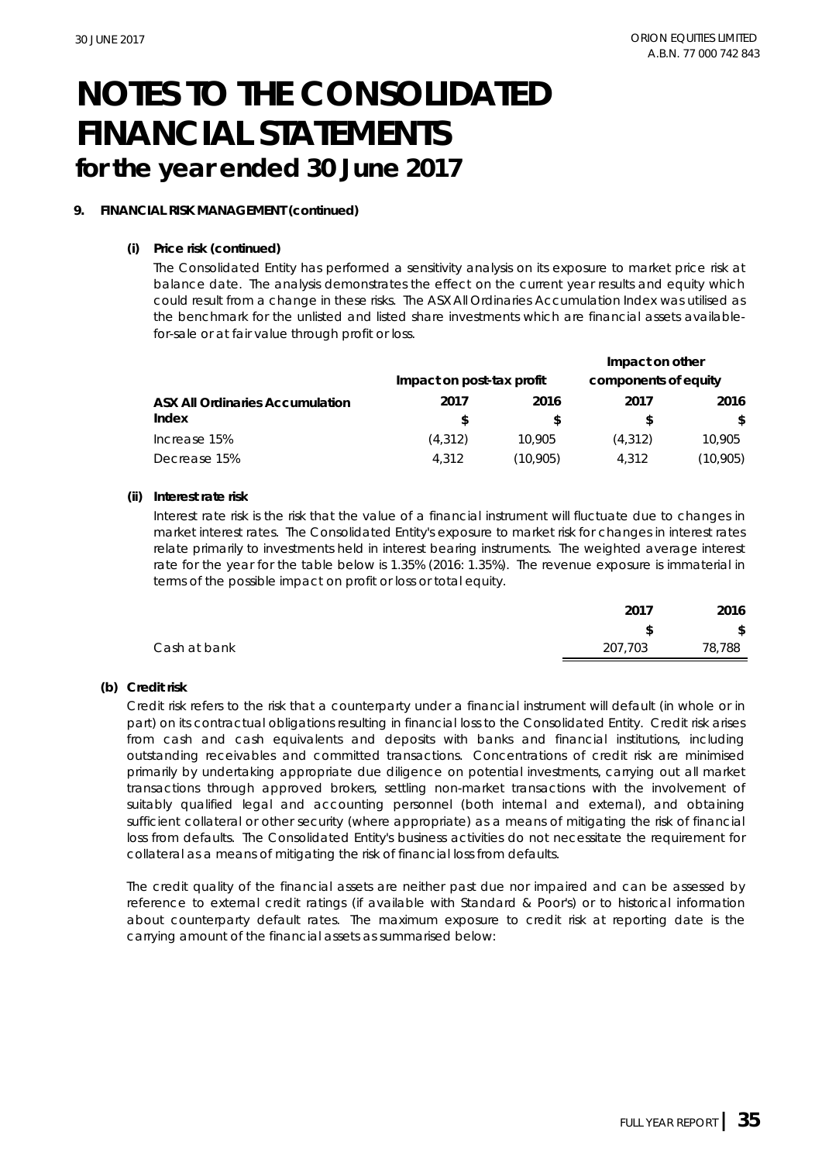### **9. FINANCIAL RISK MANAGEMENT (continued)**

#### **(i)** *Price risk (continued)*

The Consolidated Entity has performed a sensitivity analysis on its exposure to market price risk at balance date. The analysis demonstrates the effect on the current year results and equity which could result from a change in these risks. The ASX All Ordinaries Accumulation Index was utilised as the benchmark for the unlisted and listed share investments which are financial assets availablefor-sale or at fair value through profit or loss.

|                                 |                           |          | Impact on other      |           |
|---------------------------------|---------------------------|----------|----------------------|-----------|
|                                 | Impact on post-tax profit |          | components of equity |           |
| ASX All Ordinaries Accumulation | 2017                      | 2016     | 2017                 | 2016      |
| Index                           |                           |          |                      | \$        |
| Increase 15%                    | (4, 312)                  | 10.905   | (4, 312)             | 10,905    |
| Decrease 15%                    | 4.312                     | (10.905) | 4.312                | (10, 905) |

#### **(ii)** *Interest rate risk*

Interest rate risk is the risk that the value of a financial instrument will fluctuate due to changes in market interest rates. The Consolidated Entity's exposure to market risk for changes in interest rates relate primarily to investments held in interest bearing instruments. The weighted average interest rate for the year for the table below is 1.35% (2016: 1.35%). The revenue exposure is immaterial in terms of the possible impact on profit or loss or total equity.

|              | $\bigcap_{1}$ | 2016   |
|--------------|---------------|--------|
|              | s.            | \$     |
| Cash at bank | 207,703       | 78,788 |
|              |               |        |

#### **(b) Credit risk**

Credit risk refers to the risk that a counterparty under a financial instrument will default (in whole or in part) on its contractual obligations resulting in financial loss to the Consolidated Entity. Credit risk arises from cash and cash equivalents and deposits with banks and financial institutions, including outstanding receivables and committed transactions. Concentrations of credit risk are minimised primarily by undertaking appropriate due diligence on potential investments, carrying out all market transactions through approved brokers, settling non-market transactions with the involvement of suitably qualified legal and accounting personnel (both internal and external), and obtaining sufficient collateral or other security (where appropriate) as a means of mitigating the risk of financial loss from defaults. The Consolidated Entity's business activities do not necessitate the requirement for collateral as a means of mitigating the risk of financial loss from defaults.

The credit quality of the financial assets are neither past due nor impaired and can be assessed by reference to external credit ratings (if available with Standard & Poor's) or to historical information about counterparty default rates. The maximum exposure to credit risk at reporting date is the carrying amount of the financial assets as summarised below: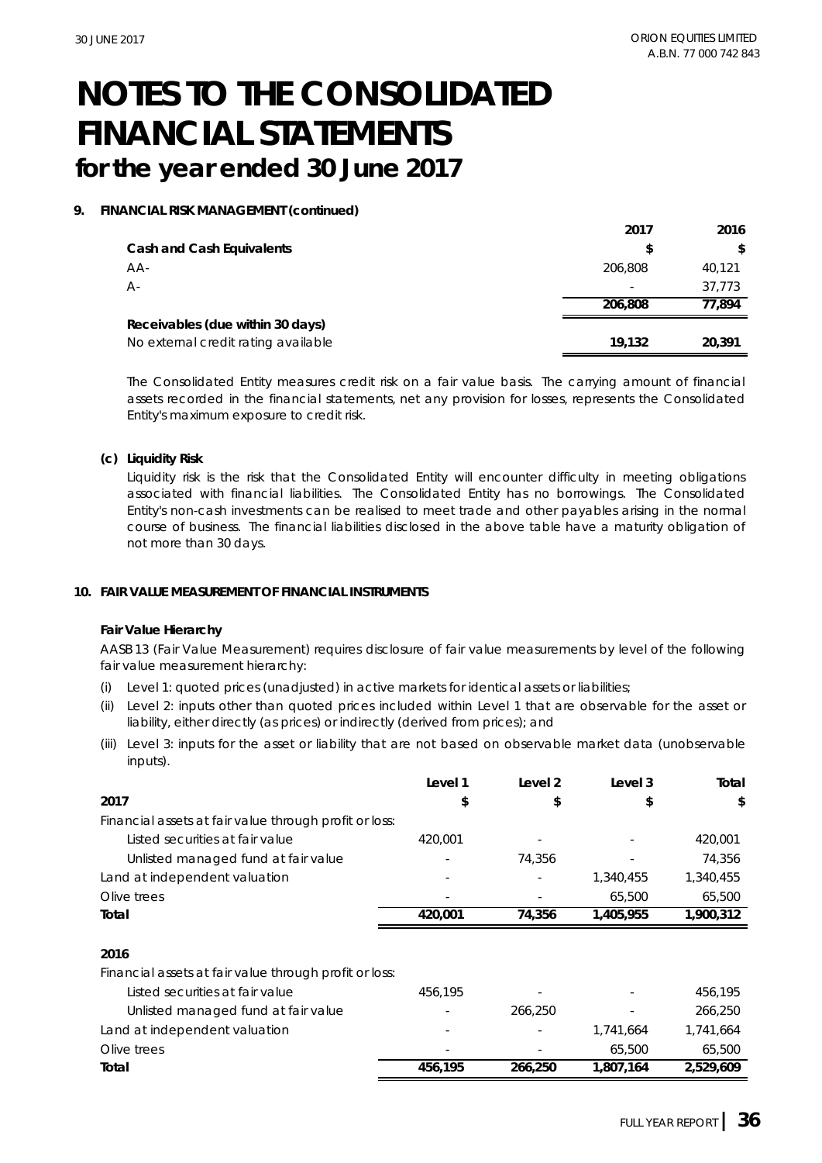#### **9. FINANCIAL RISK MANAGEMENT (continued)**

|                                     | 2017    | 2016   |
|-------------------------------------|---------|--------|
| Cash and Cash Equivalents           |         | \$     |
| $AA-$                               | 206,808 | 40,121 |
| А-                                  |         | 37.773 |
|                                     | 206,808 | 77.894 |
| Receivables (due within 30 days)    |         |        |
| No external credit rating available | 19.132  | 20.391 |

The Consolidated Entity measures credit risk on a fair value basis. The carrying amount of financial assets recorded in the financial statements, net any provision for losses, represents the Consolidated Entity's maximum exposure to credit risk.

**(c) Liquidity Risk**

Liquidity risk is the risk that the Consolidated Entity will encounter difficulty in meeting obligations associated with financial liabilities. The Consolidated Entity has no borrowings. The Consolidated Entity's non-cash investments can be realised to meet trade and other payables arising in the normal course of business. The financial liabilities disclosed in the above table have a maturity obligation of not more than 30 days.

#### **10. FAIR VALUE MEASUREMENT OF FINANCIAL INSTRUMENTS**

#### **Fair Value Hierarchy**

AASB 13 (Fair Value Measurement) requires disclosure of fair value measurements by level of the following fair value measurement hierarchy:

- (i) Level 1: quoted prices (unadjusted) in active markets for identical assets or liabilities;
- (ii) Level 2: inputs other than quoted prices included within Level 1 that are observable for the asset or liability, either directly (as prices) or indirectly (derived from prices); and
- (iii) Level 3: inputs for the asset or liability that are not based on observable market data (unobservable inputs).

|                                                        | Level 1 | Level 2 | Level 3   | Total     |
|--------------------------------------------------------|---------|---------|-----------|-----------|
| 2017                                                   | \$      | \$      | \$        | \$        |
| Financial assets at fair value through profit or loss: |         |         |           |           |
| Listed securities at fair value                        | 420,001 |         |           | 420,001   |
| Unlisted managed fund at fair value                    |         | 74,356  |           | 74,356    |
| Land at independent valuation                          |         |         | 1,340,455 | 1,340,455 |
| Olive trees                                            |         |         | 65,500    | 65,500    |
| Total                                                  | 420,001 | 74,356  | 1,405,955 | 1,900,312 |
|                                                        |         |         |           |           |
| 2016                                                   |         |         |           |           |
| Financial assets at fair value through profit or loss: |         |         |           |           |
| Listed securities at fair value                        | 456.195 |         |           | 456,195   |
| Unlisted managed fund at fair value                    |         | 266,250 |           | 266,250   |
| Land at independent valuation                          |         |         | 1,741,664 | 1,741,664 |
| Olive trees                                            |         |         | 65,500    | 65,500    |
| Total                                                  | 456,195 | 266,250 | 1,807,164 | 2,529,609 |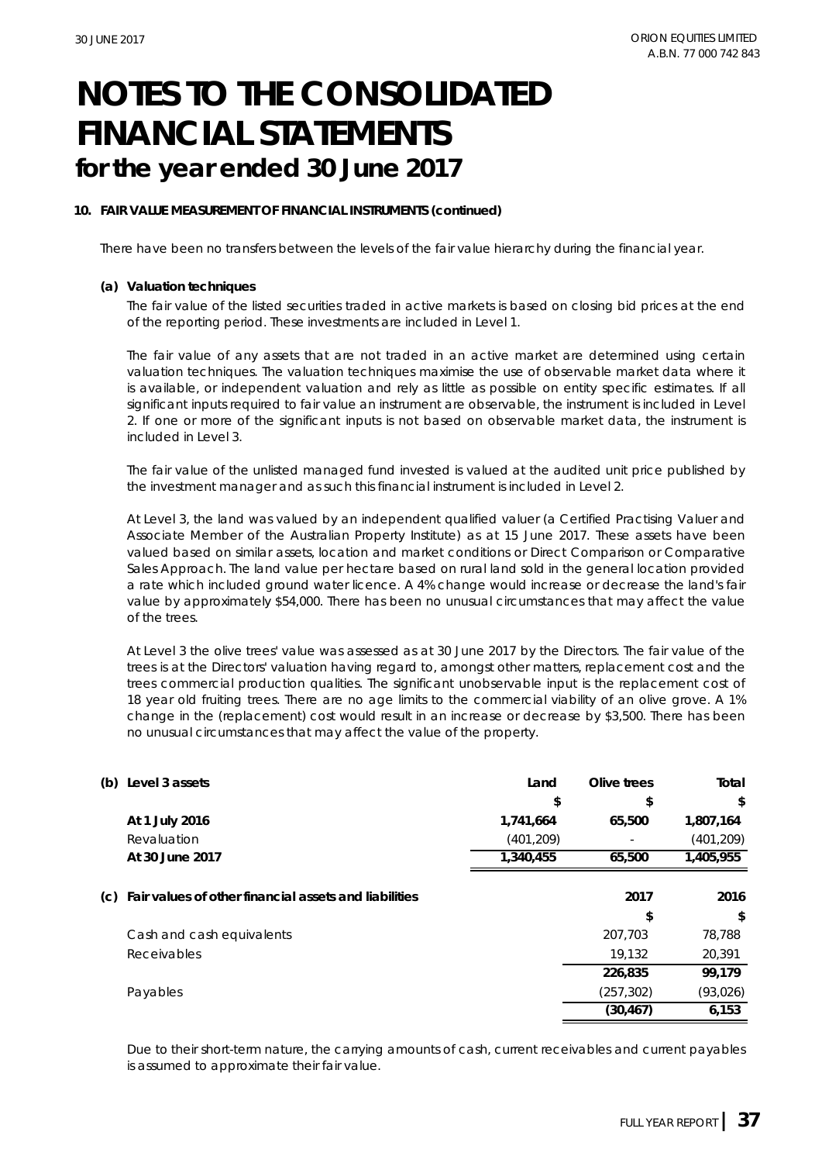#### **10. FAIR VALUE MEASUREMENT OF FINANCIAL INSTRUMENTS (continued)**

There have been no transfers between the levels of the fair value hierarchy during the financial year.

#### **(a) Valuation techniques**

The fair value of the listed securities traded in active markets is based on closing bid prices at the end of the reporting period. These investments are included in Level 1.

The fair value of any assets that are not traded in an active market are determined using certain valuation techniques. The valuation techniques maximise the use of observable market data where it is available, or independent valuation and rely as little as possible on entity specific estimates. If all significant inputs required to fair value an instrument are observable, the instrument is included in Level 2. If one or more of the significant inputs is not based on observable market data, the instrument is included in Level 3.

The fair value of the unlisted managed fund invested is valued at the audited unit price published by the investment manager and as such this financial instrument is included in Level 2.

At Level 3, the land was valued by an independent qualified valuer (a Certified Practising Valuer and Associate Member of the Australian Property Institute) as at 15 June 2017. These assets have been valued based on similar assets, location and market conditions or Direct Comparison or Comparative Sales Approach. The land value per hectare based on rural land sold in the general location provided a rate which included ground water licence. A 4% change would increase or decrease the land's fair value by approximately \$54,000. There has been no unusual circumstances that may affect the value of the trees.

At Level 3 the olive trees' value was assessed as at 30 June 2017 by the Directors. The fair value of the trees is at the Directors' valuation having regard to, amongst other matters, replacement cost and the trees commercial production qualities. The significant unobservable input is the replacement cost of 18 year old fruiting trees. There are no age limits to the commercial viability of an olive grove. A 1% change in the (replacement) cost would result in an increase or decrease by \$3,500. There has been no unusual circumstances that may affect the value of the property.

| (b) | Level 3 assets                                        | Land       | Olive trees | Total      |
|-----|-------------------------------------------------------|------------|-------------|------------|
|     |                                                       | \$         | \$          | \$         |
|     | At 1 July 2016                                        | 1,741,664  | 65,500      | 1,807,164  |
|     | Revaluation                                           | (401, 209) |             | (401, 209) |
|     | At 30 June 2017                                       | 1,340,455  | 65,500      | 1,405,955  |
|     |                                                       |            |             |            |
| (C) | Fair values of other financial assets and liabilities |            | 2017        | 2016       |
|     |                                                       |            | \$          | \$         |
|     | Cash and cash equivalents                             |            | 207,703     | 78,788     |
|     | Receivables                                           |            | 19,132      | 20,391     |
|     |                                                       |            | 226,835     | 99.179     |
|     | Payables                                              |            | (257, 302)  | (93, 026)  |
|     |                                                       |            | (30, 467)   | 6,153      |

Due to their short-term nature, the carrying amounts of cash, current receivables and current payables is assumed to approximate their fair value.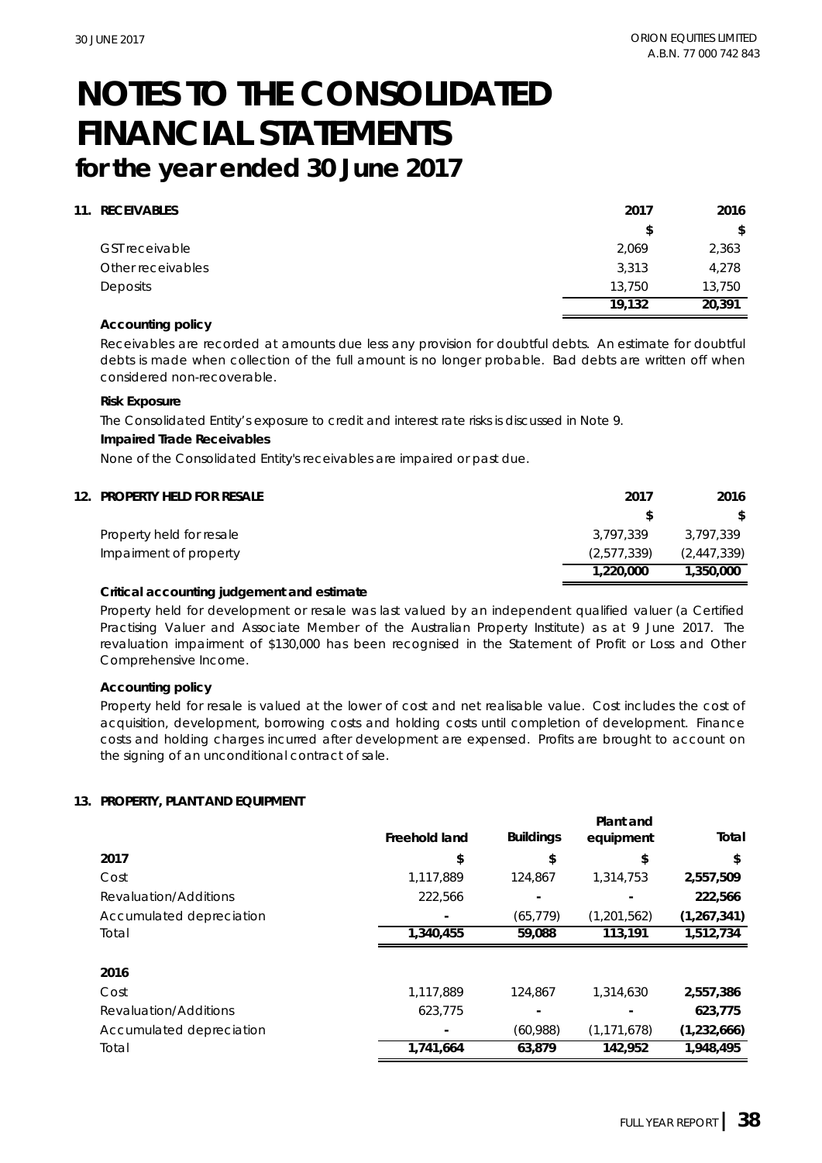#### **11. RECEIVABLES 2017 2016**

|                       |        | $-\circ$ . $\circ$ |
|-----------------------|--------|--------------------|
|                       |        | \$                 |
| <b>GST receivable</b> | 2.069  | 2,363              |
| Other receivables     | 3.313  | 4,278              |
| <b>Deposits</b>       | 13,750 | 13,750             |
|                       | 19.132 | 20,391             |

#### **Accounting policy**

Receivables are recorded at amounts due less any provision for doubtful debts. An estimate for doubtful debts is made when collection of the full amount is no longer probable. Bad debts are written off when considered non-recoverable.

#### **Risk Exposure**

The Consolidated Entity's exposure to credit and interest rate risks is discussed in Note 9.

#### **Impaired Trade Receivables**

None of the Consolidated Entity's receivables are impaired or past due.

### **12. PROPERTY HELD FOR RESALE 2017 2016 \$ \$** Property held for resale 3,797,339 3,797,339 3,797,339 Impairment of property (2,577,339) (2,447,339)  **1,220,000 1,350,000**

#### **Critical accounting judgement and estimate**

Property held for development or resale was last valued by an independent qualified valuer (a Certified Practising Valuer and Associate Member of the Australian Property Institute) as at 9 June 2017. The revaluation impairment of \$130,000 has been recognised in the Statement of Profit or Loss and Other Comprehensive Income.

#### **Accounting policy**

Property held for resale is valued at the lower of cost and net realisable value. Cost includes the cost of acquisition, development, borrowing costs and holding costs until completion of development. Finance costs and holding charges incurred after development are expensed. Profits are brought to account on the signing of an unconditional contract of sale.

#### **13. PROPERTY, PLANT AND EQUIPMENT**

|                          | Freehold land | <b>Buildings</b> | Plant and<br>equipment | Total         |
|--------------------------|---------------|------------------|------------------------|---------------|
| 2017                     | \$            | \$               | \$                     | \$            |
| Cost                     | 1,117,889     | 124.867          | 1,314,753              | 2,557,509     |
| Revaluation/Additions    | 222,566       |                  |                        | 222.566       |
| Accumulated depreciation |               | (65, 779)        | (1, 201, 562)          | (1, 267, 341) |
| Total                    | 1,340,455     | 59,088           | 113.191                | 1.512.734     |
| 2016                     |               |                  |                        |               |
| Cost                     | 1,117,889     | 124.867          | 1.314.630              | 2,557,386     |
| Revaluation/Additions    | 623.775       |                  |                        | 623.775       |
| Accumulated depreciation |               | (60, 988)        | (1, 171, 678)          | (1, 232, 666) |
| Total                    | 1,741,664     | 63.879           | 142,952                | 1,948,495     |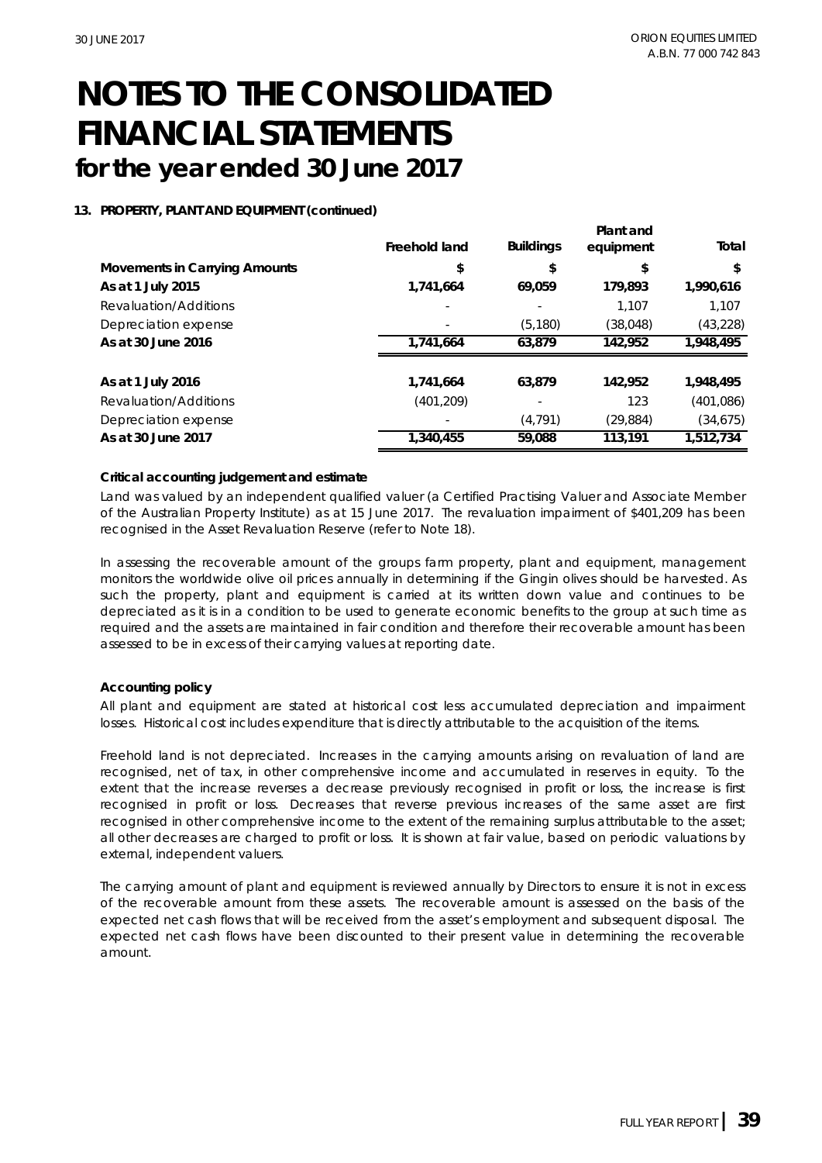#### **13. PROPERTY, PLANT AND EQUIPMENT (continued)**

|                               | Freehold land | <b>Buildings</b> | Plant and<br>equipment | Total     |
|-------------------------------|---------------|------------------|------------------------|-----------|
| Movements in Carrying Amounts | \$            | \$               | \$                     | \$        |
| As at 1 July 2015             | 1,741,664     | 69,059           | 179.893                | 1,990,616 |
| Revaluation/Additions         |               |                  | 1.107                  | 1.107     |
| Depreciation expense          |               | (5, 180)         | (38,048)               | (43, 228) |
| As at 30 June 2016            | 1.741.664     | 63.879           | 142.952                | 1,948,495 |
|                               |               |                  |                        |           |
| As at 1 July 2016             | 1,741,664     | 63,879           | 142,952                | 1,948,495 |
| Revaluation/Additions         | (401,209)     |                  | 123                    | (401,086) |
| Depreciation expense          |               | (4, 791)         | (29,884)               | (34, 675) |
| As at 30 June 2017            | 1,340,455     | 59,088           | 113,191                | 1,512,734 |

#### **Critical accounting judgement and estimate**

Land was valued by an independent qualified valuer (a Certified Practising Valuer and Associate Member of the Australian Property Institute) as at 15 June 2017. The revaluation impairment of \$401,209 has been recognised in the Asset Revaluation Reserve (refer to Note 18).

In assessing the recoverable amount of the groups farm property, plant and equipment, management monitors the worldwide olive oil prices annually in determining if the Gingin olives should be harvested. As such the property, plant and equipment is carried at its written down value and continues to be depreciated as it is in a condition to be used to generate economic benefits to the group at such time as required and the assets are maintained in fair condition and therefore their recoverable amount has been assessed to be in excess of their carrying values at reporting date.

#### **Accounting policy**

All plant and equipment are stated at historical cost less accumulated depreciation and impairment losses. Historical cost includes expenditure that is directly attributable to the acquisition of the items.

Freehold land is not depreciated. Increases in the carrying amounts arising on revaluation of land are recognised, net of tax, in other comprehensive income and accumulated in reserves in equity. To the extent that the increase reverses a decrease previously recognised in profit or loss, the increase is first recognised in profit or loss. Decreases that reverse previous increases of the same asset are first recognised in other comprehensive income to the extent of the remaining surplus attributable to the asset; all other decreases are charged to profit or loss. It is shown at fair value, based on periodic valuations by external, independent valuers.

The carrying amount of plant and equipment is reviewed annually by Directors to ensure it is not in excess of the recoverable amount from these assets. The recoverable amount is assessed on the basis of the expected net cash flows that will be received from the asset's employment and subsequent disposal. The expected net cash flows have been discounted to their present value in determining the recoverable amount.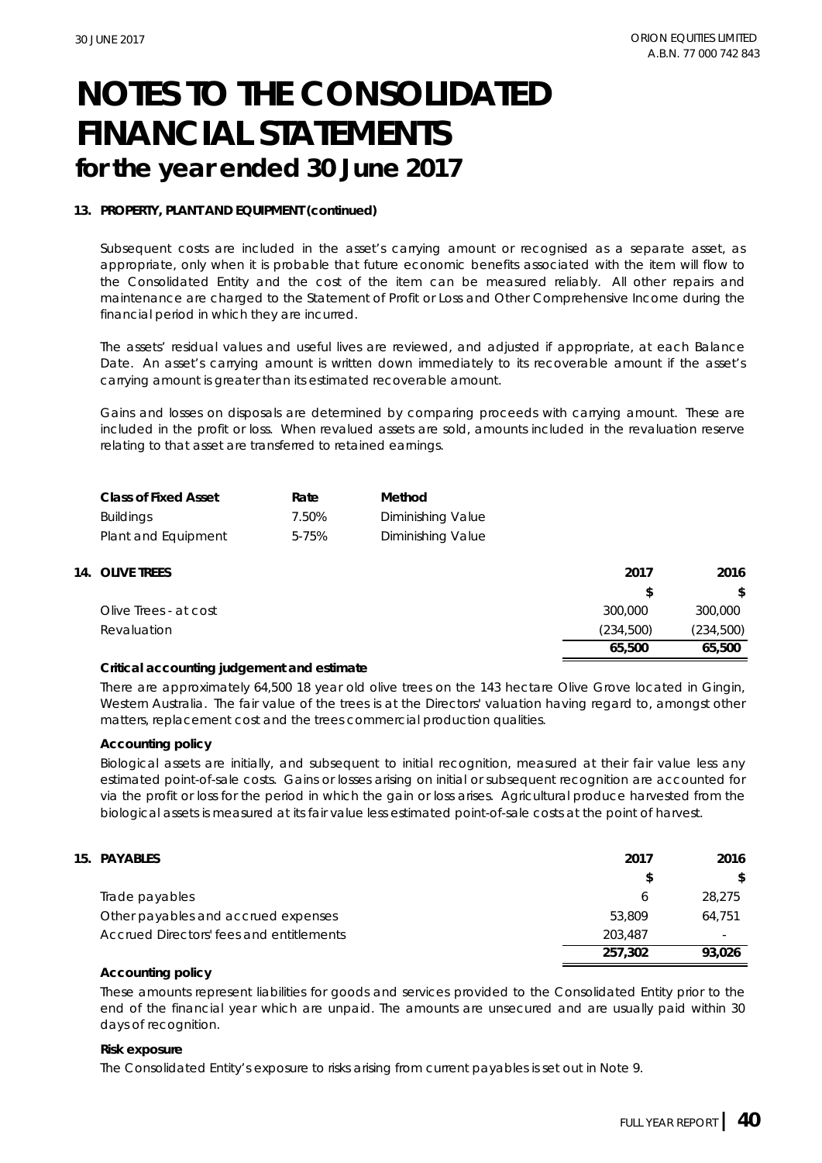#### **13. PROPERTY, PLANT AND EQUIPMENT (continued)**

Subsequent costs are included in the asset's carrying amount or recognised as a separate asset, as appropriate, only when it is probable that future economic benefits associated with the item will flow to the Consolidated Entity and the cost of the item can be measured reliably. All other repairs and maintenance are charged to the Statement of Profit or Loss and Other Comprehensive Income during the financial period in which they are incurred.

The assets' residual values and useful lives are reviewed, and adjusted if appropriate, at each Balance Date. An asset's carrying amount is written down immediately to its recoverable amount if the asset's carrying amount is greater than its estimated recoverable amount.

Gains and losses on disposals are determined by comparing proceeds with carrying amount. These are included in the profit or loss. When revalued assets are sold, amounts included in the revaluation reserve relating to that asset are transferred to retained earnings.

| Class of Fixed Asset | Rate  | Method                   |
|----------------------|-------|--------------------------|
| Buildings            | 7.50% | <b>Diminishing Value</b> |
| Plant and Equipment  | 5-75% | Diminishing Value        |

| 14. OLIVE TREES       | 2017      | 2016      |
|-----------------------|-----------|-----------|
|                       |           |           |
| Olive Trees - at cost | 300,000   | 300,000   |
| Revaluation           | (234,500) | (234,500) |
|                       | 65,500    | 65,500    |

#### **Critical accounting judgement and estimate**

There are approximately 64,500 18 year old olive trees on the 143 hectare Olive Grove located in Gingin, Western Australia. The fair value of the trees is at the Directors' valuation having regard to, amongst other matters, replacement cost and the trees commercial production qualities.

#### **Accounting policy**

Biological assets are initially, and subsequent to initial recognition, measured at their fair value less any estimated point-of-sale costs. Gains or losses arising on initial or subsequent recognition are accounted for via the profit or loss for the period in which the gain or loss arises. Agricultural produce harvested from the biological assets is measured at its fair value less estimated point-of-sale costs at the point of harvest.

| 15. PAYABLES                             | 2017    | 2016   |
|------------------------------------------|---------|--------|
|                                          | S       |        |
| Trade payables                           |         | 28.275 |
| Other payables and accrued expenses      | 53.809  | 64.751 |
| Accrued Directors' fees and entitlements | 203,487 | $\sim$ |
|                                          | 257.302 | 93.026 |

**Accounting policy**

These amounts represent liabilities for goods and services provided to the Consolidated Entity prior to the end of the financial year which are unpaid. The amounts are unsecured and are usually paid within 30 days of recognition.

#### **Risk exposure**

The Consolidated Entity's exposure to risks arising from current payables is set out in Note 9.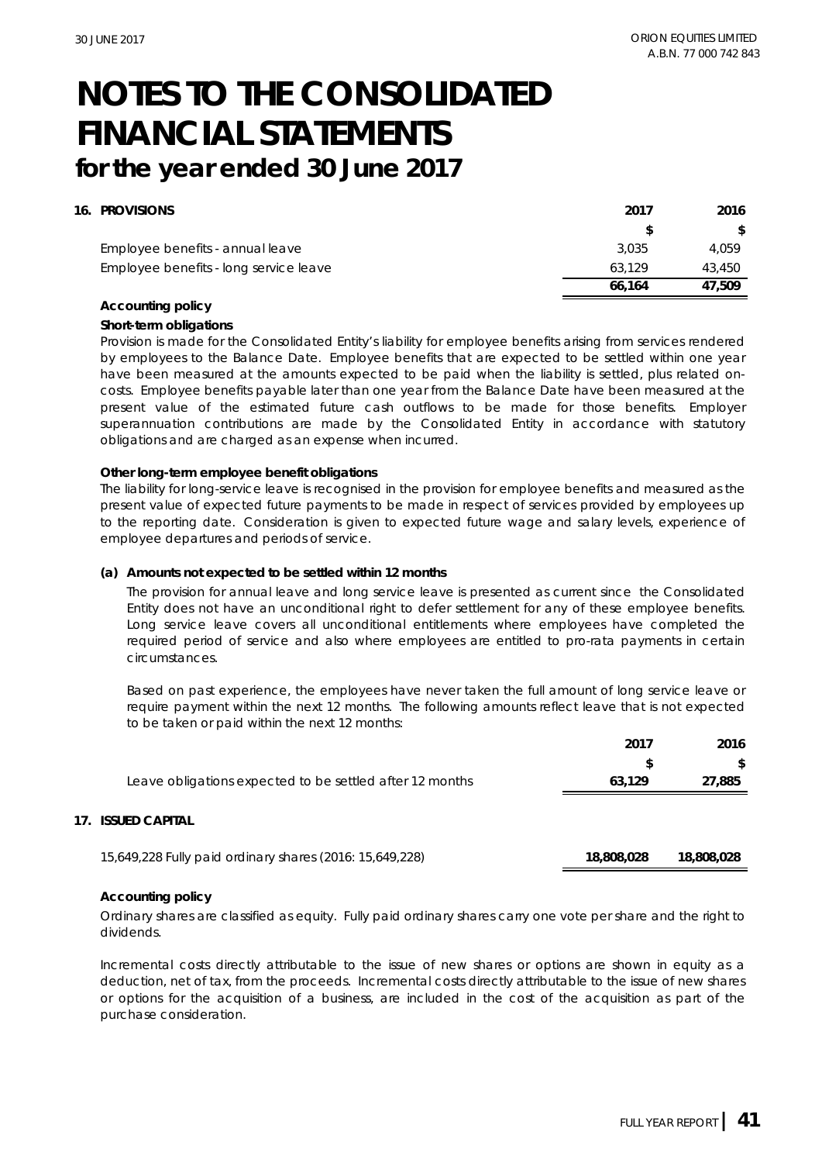#### **16. PROVISIONS 2017 2016**

| .                                      | .      | $\sim$ $\sim$ $\sim$ |
|----------------------------------------|--------|----------------------|
|                                        |        |                      |
| Employee benefits - annual leave       | 3.035  | 4.059                |
| Employee benefits - long service leave | 63.129 | 43.450               |
|                                        | 66.164 | 47.509               |

#### **Accounting policy**

**Short-term obligations**

Provision is made for the Consolidated Entity's liability for employee benefits arising from services rendered by employees to the Balance Date. Employee benefits that are expected to be settled within one year have been measured at the amounts expected to be paid when the liability is settled, plus related oncosts. Employee benefits payable later than one year from the Balance Date have been measured at the present value of the estimated future cash outflows to be made for those benefits. Employer superannuation contributions are made by the Consolidated Entity in accordance with statutory obligations and are charged as an expense when incurred.

#### **Other long-term employee benefit obligations**

The liability for long-service leave is recognised in the provision for employee benefits and measured as the present value of expected future payments to be made in respect of services provided by employees up to the reporting date. Consideration is given to expected future wage and salary levels, experience of employee departures and periods of service.

#### **(a) Amounts not expected to be settled within 12 months**

The provision for annual leave and long service leave is presented as current since the Consolidated Entity does not have an unconditional right to defer settlement for any of these employee benefits. Long service leave covers all unconditional entitlements where employees have completed the required period of service and also where employees are entitled to pro-rata payments in certain circumstances.

Based on past experience, the employees have never taken the full amount of long service leave or require payment within the next 12 months. The following amounts reflect leave that is not expected to be taken or paid within the next 12 months:

|                                                          | 201    | 2016   |
|----------------------------------------------------------|--------|--------|
|                                                          |        |        |
| Leave obligations expected to be settled after 12 months | 63.129 | 27.885 |
|                                                          |        |        |
| SHED CAPITAL                                             |        |        |

#### **17. ISSUED CAPITAL**

| 15,649,228 Fully paid ordinary shares (2016: 15,649,228) | 18,808,028 | 18,808,028 |
|----------------------------------------------------------|------------|------------|
|----------------------------------------------------------|------------|------------|

#### **Accounting policy**

Ordinary shares are classified as equity. Fully paid ordinary shares carry one vote per share and the right to dividends.

Incremental costs directly attributable to the issue of new shares or options are shown in equity as a deduction, net of tax, from the proceeds. Incremental costs directly attributable to the issue of new shares or options for the acquisition of a business, are included in the cost of the acquisition as part of the purchase consideration.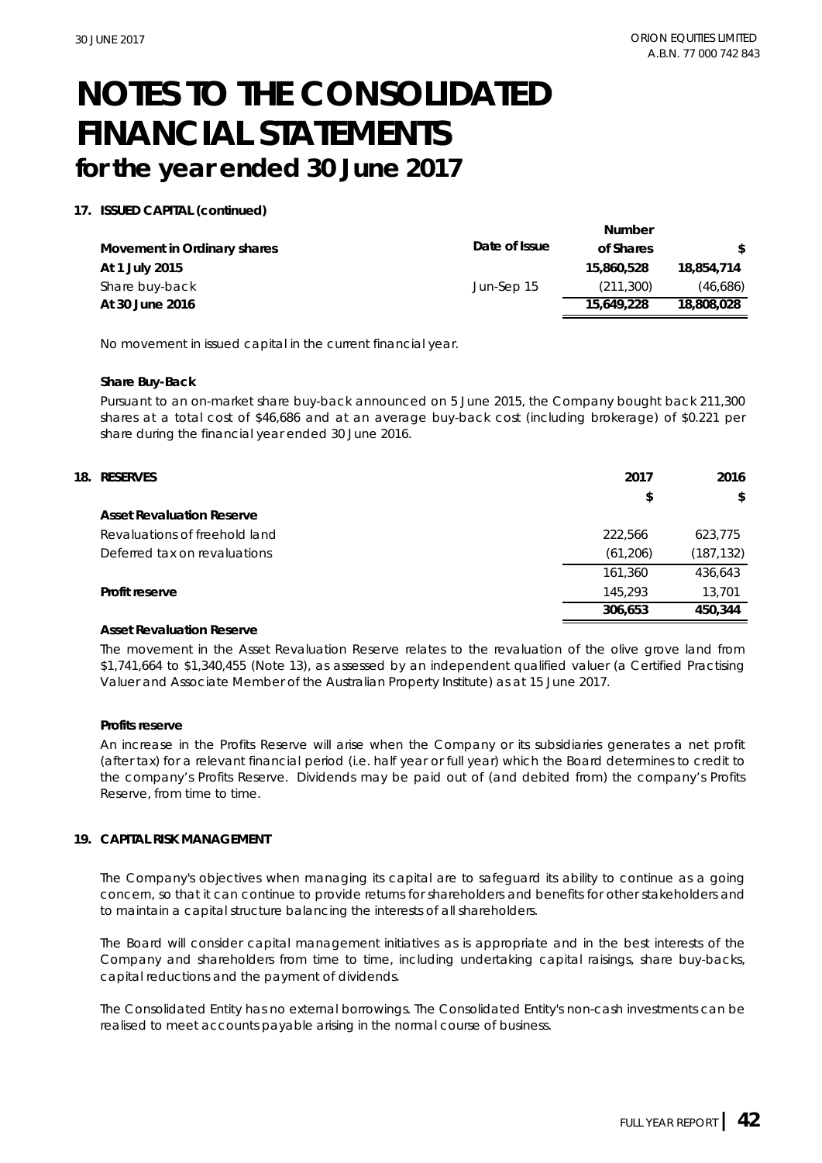#### **17. ISSUED CAPITAL (continued)**

|                             |               | Number     |              |
|-----------------------------|---------------|------------|--------------|
| Movement in Ordinary shares | Date of Issue | of Shares  | <sup>S</sup> |
| At 1 July 2015              |               | 15,860,528 | 18,854,714   |
| Share buy-back              | Jun-Sep 15    | (211.300)  | (46,686)     |
| At 30 June 2016             |               | 15.649.228 | 18,808,028   |

No movement in issued capital in the current financial year.

#### **Share Buy-Back**

Pursuant to an on-market share buy-back announced on 5 June 2015, the Company bought back 211,300 shares at a total cost of \$46,686 and at an average buy-back cost (including brokerage) of \$0.221 per share during the financial year ended 30 June 2016.

| 18. RESERVES                  | 2017      | 2016       |
|-------------------------------|-----------|------------|
|                               | \$        | \$         |
| Asset Revaluation Reserve     |           |            |
| Revaluations of freehold land | 222.566   | 623,775    |
| Deferred tax on revaluations  | (61, 206) | (187, 132) |
|                               | 161,360   | 436,643    |
| Profit reserve                | 145,293   | 13,701     |
|                               | 306,653   | 450.344    |

#### **Asset Revaluation Reserve**

The movement in the Asset Revaluation Reserve relates to the revaluation of the olive grove land from \$1,741,664 to \$1,340,455 (Note 13), as assessed by an independent qualified valuer (a Certified Practising Valuer and Associate Member of the Australian Property Institute) as at 15 June 2017.

#### **Profits reserve**

An increase in the Profits Reserve will arise when the Company or its subsidiaries generates a net profit (after tax) for a relevant financial period (i.e. half year or full year) which the Board determines to credit to the company's Profits Reserve. Dividends may be paid out of (and debited from) the company's Profits Reserve, from time to time.

#### **19. CAPITAL RISK MANAGEMENT**

The Company's objectives when managing its capital are to safeguard its ability to continue as a going concern, so that it can continue to provide returns for shareholders and benefits for other stakeholders and to maintain a capital structure balancing the interests of all shareholders.

The Board will consider capital management initiatives as is appropriate and in the best interests of the Company and shareholders from time to time, including undertaking capital raisings, share buy-backs, capital reductions and the payment of dividends.

The Consolidated Entity has no external borrowings. The Consolidated Entity's non-cash investments can be realised to meet accounts payable arising in the normal course of business.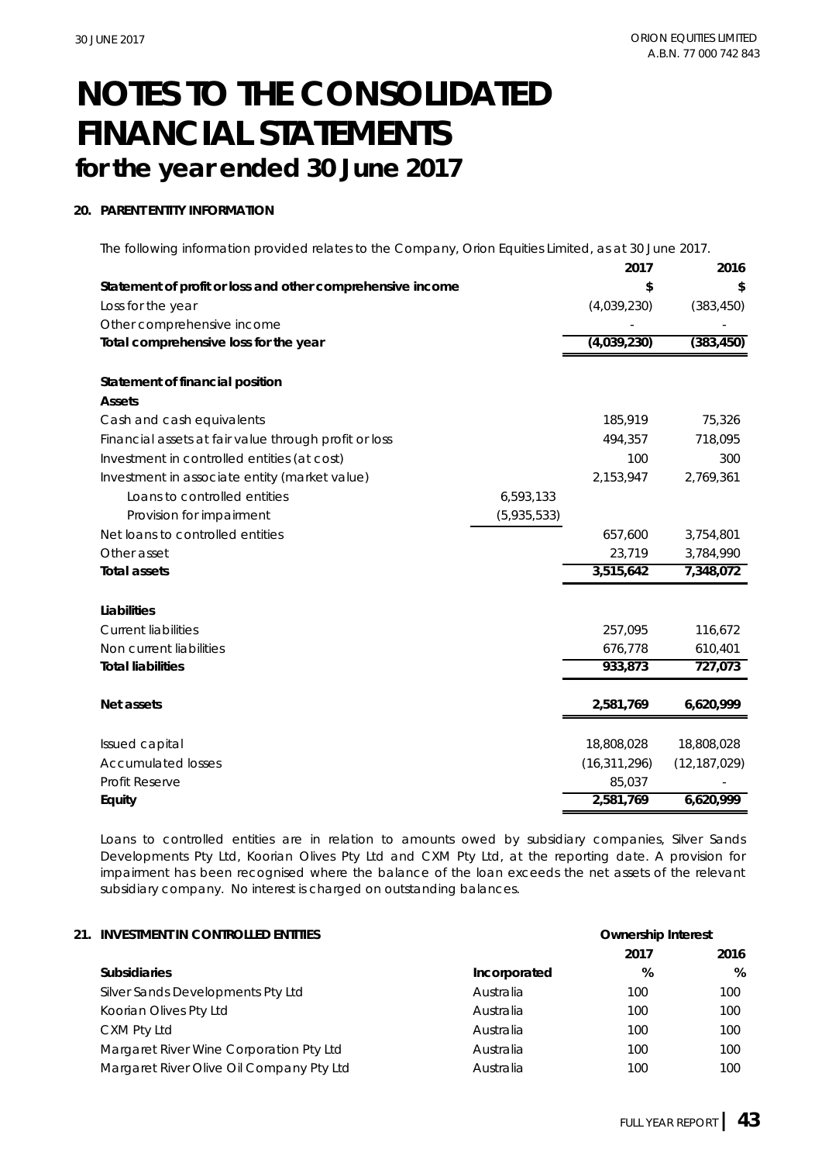#### **20. PARENT ENTITY INFORMATION**

The following information provided relates to the Company, Orion Equities Limited, as at 30 June 2017.

|                                                            |             | 2017           | 2016           |
|------------------------------------------------------------|-------------|----------------|----------------|
| Statement of profit or loss and other comprehensive income |             | \$             | \$             |
| Loss for the year                                          |             | (4,039,230)    | (383, 450)     |
| Other comprehensive income                                 |             |                |                |
| Total comprehensive loss for the year                      |             | (4,039,230)    | (383, 450)     |
|                                                            |             |                |                |
| Statement of financial position                            |             |                |                |
| Assets                                                     |             |                |                |
| Cash and cash equivalents                                  |             | 185,919        | 75,326         |
| Financial assets at fair value through profit or loss      |             | 494,357        | 718,095        |
| Investment in controlled entities (at cost)                |             | 100            | 300            |
| Investment in associate entity (market value)              |             | 2,153,947      | 2,769,361      |
| Loans to controlled entities                               | 6,593,133   |                |                |
| Provision for impairment                                   | (5,935,533) |                |                |
| Net loans to controlled entities                           |             | 657,600        | 3,754,801      |
| Other asset                                                |             | 23,719         | 3,784,990      |
| Total assets                                               |             | 3,515,642      | 7,348,072      |
|                                                            |             |                |                |
| Liabilities                                                |             |                |                |
| <b>Current liabilities</b>                                 |             | 257,095        | 116,672        |
| Non current liabilities                                    |             | 676,778        | 610,401        |
| <b>Total liabilities</b>                                   |             | 933,873        | 727,073        |
|                                                            |             |                |                |
| Net assets                                                 |             | 2,581,769      | 6,620,999      |
|                                                            |             |                |                |
| Issued capital                                             |             | 18,808,028     | 18,808,028     |
| <b>Accumulated losses</b>                                  |             | (16, 311, 296) | (12, 187, 029) |
| <b>Profit Reserve</b>                                      |             | 85,037         |                |
| Equity                                                     |             | 2,581,769      | 6,620,999      |

Loans to controlled entities are in relation to amounts owed by subsidiary companies, Silver Sands Developments Pty Ltd, Koorian Olives Pty Ltd and CXM Pty Ltd, at the reporting date. A provision for impairment has been recognised where the balance of the loan exceeds the net assets of the relevant subsidiary company. No interest is charged on outstanding balances.

| 21. INVESTMENT IN CONTROLLED ENTITIES    |              | Ownership Interest |         |
|------------------------------------------|--------------|--------------------|---------|
|                                          |              | 2017               | 2016    |
| <b>Subsidiaries</b>                      | Incorporated | %                  | $\%$    |
| Silver Sands Developments Pty Ltd        | Australia    | 100                | 100     |
| Koorian Olives Pty Ltd                   | Australia    | 100                | 100     |
| CXM Pty Ltd                              | Australia    | 100                | $100 -$ |
| Margaret River Wine Corporation Pty Ltd  | Australia    | 100                | 100     |
| Margaret River Olive Oil Company Pty Ltd | Australia    | 100                | 100     |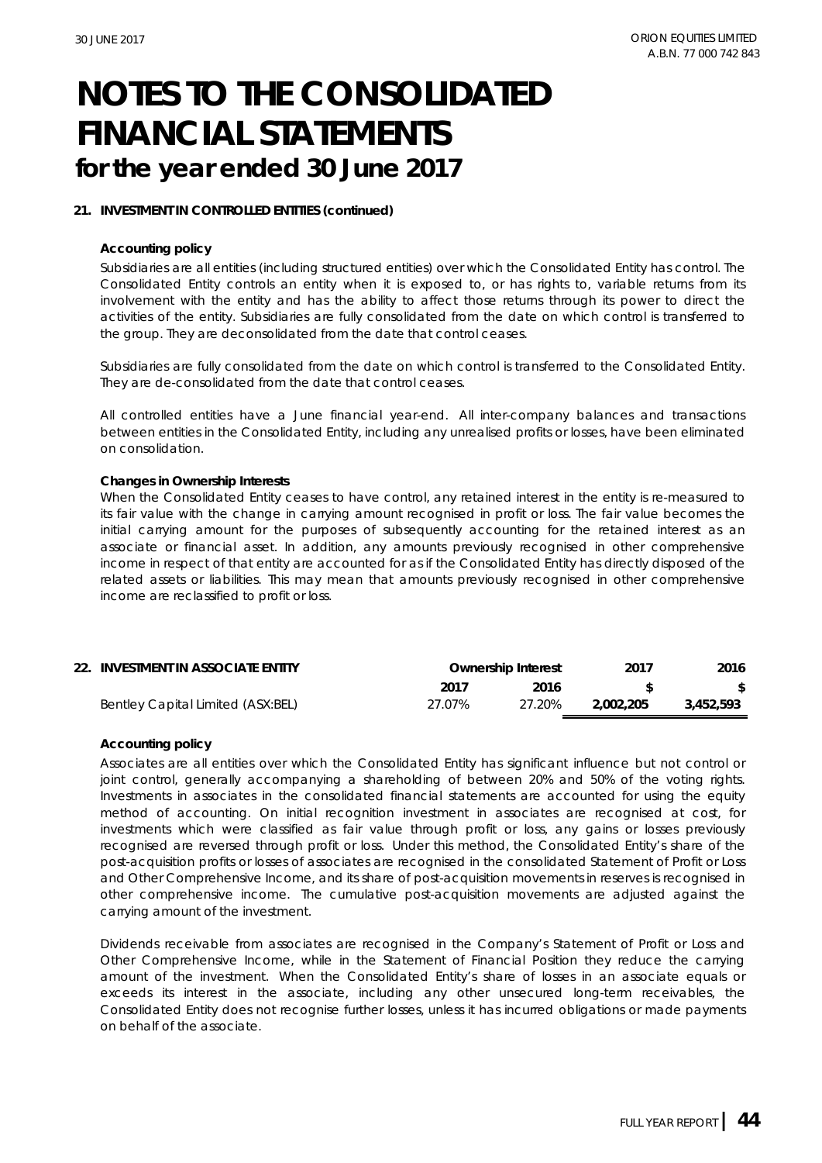#### **21. INVESTMENT IN CONTROLLED ENTITIES (continued)**

#### **Accounting policy**

Subsidiaries are all entities (including structured entities) over which the Consolidated Entity has control. The Consolidated Entity controls an entity when it is exposed to, or has rights to, variable returns from its involvement with the entity and has the ability to affect those returns through its power to direct the activities of the entity. Subsidiaries are fully consolidated from the date on which control is transferred to the group. They are deconsolidated from the date that control ceases.

Subsidiaries are fully consolidated from the date on which control is transferred to the Consolidated Entity. They are de-consolidated from the date that control ceases.

All controlled entities have a June financial year-end. All inter-company balances and transactions between entities in the Consolidated Entity, including any unrealised profits or losses, have been eliminated on consolidation.

#### **Changes in Ownership Interests**

When the Consolidated Entity ceases to have control, any retained interest in the entity is re-measured to its fair value with the change in carrying amount recognised in profit or loss. The fair value becomes the initial carrying amount for the purposes of subsequently accounting for the retained interest as an associate or financial asset. In addition, any amounts previously recognised in other comprehensive income in respect of that entity are accounted for as if the Consolidated Entity has directly disposed of the related assets or liabilities. This may mean that amounts previously recognised in other comprehensive income are reclassified to profit or loss.

| 22. INVESTMENT IN ASSOCIATE ENTITY |        | Ownership Interest | 2017      | 2016      |
|------------------------------------|--------|--------------------|-----------|-----------|
|                                    | 2017   | 2016               |           |           |
| Bentley Capital Limited (ASX:BEL)  | 27.07% | 27.20%             | 2.002.205 | 3,452,593 |

#### **Accounting policy**

Associates are all entities over which the Consolidated Entity has significant influence but not control or joint control, generally accompanying a shareholding of between 20% and 50% of the voting rights. Investments in associates in the consolidated financial statements are accounted for using the equity method of accounting. On initial recognition investment in associates are recognised at cost, for investments which were classified as fair value through profit or loss, any gains or losses previously recognised are reversed through profit or loss. Under this method, the Consolidated Entity's share of the post-acquisition profits or losses of associates are recognised in the consolidated Statement of Profit or Loss and Other Comprehensive Income, and its share of post-acquisition movements in reserves is recognised in other comprehensive income. The cumulative post-acquisition movements are adjusted against the carrying amount of the investment.

Dividends receivable from associates are recognised in the Company's Statement of Profit or Loss and Other Comprehensive Income, while in the Statement of Financial Position they reduce the carrying amount of the investment. When the Consolidated Entity's share of losses in an associate equals or exceeds its interest in the associate, including any other unsecured long-term receivables, the Consolidated Entity does not recognise further losses, unless it has incurred obligations or made payments on behalf of the associate.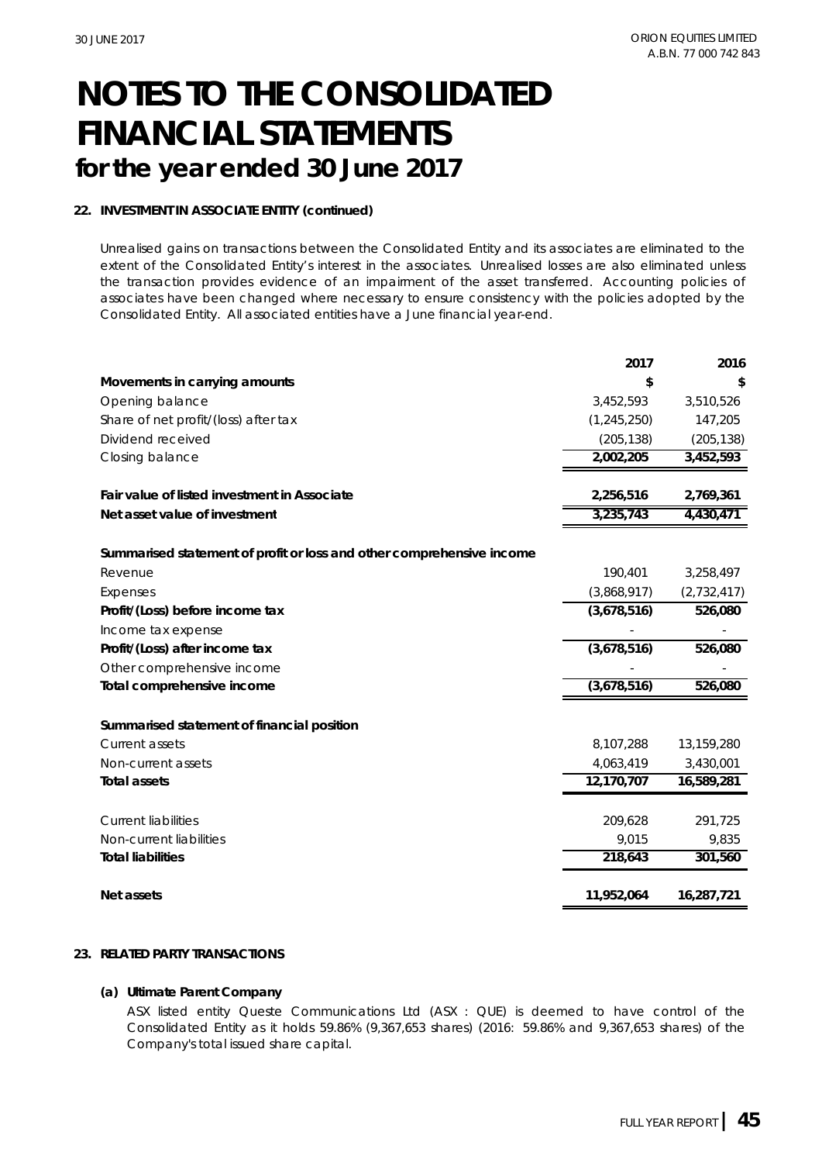#### **22. INVESTMENT IN ASSOCIATE ENTITY (continued)**

Unrealised gains on transactions between the Consolidated Entity and its associates are eliminated to the extent of the Consolidated Entity's interest in the associates. Unrealised losses are also eliminated unless the transaction provides evidence of an impairment of the asset transferred. Accounting policies of associates have been changed where necessary to ensure consistency with the policies adopted by the Consolidated Entity. All associated entities have a June financial year-end.

|                                                                       | 2017          | 2016          |
|-----------------------------------------------------------------------|---------------|---------------|
| Movements in carrying amounts                                         | \$            |               |
| Opening balance                                                       | 3,452,593     | 3,510,526     |
| Share of net profit/(loss) after tax                                  | (1, 245, 250) | 147,205       |
| Dividend received                                                     | (205, 138)    | (205, 138)    |
| Closing balance                                                       | 2,002,205     | 3,452,593     |
| Fair value of listed investment in Associate                          | 2,256,516     | 2,769,361     |
| Net asset value of investment                                         | 3,235,743     | 4,430,471     |
| Summarised statement of profit or loss and other comprehensive income |               |               |
| Revenue                                                               | 190,401       | 3,258,497     |
| Expenses                                                              | (3,868,917)   | (2, 732, 417) |
| Profit/(Loss) before income tax                                       | (3,678,516)   | 526,080       |
| Income tax expense                                                    |               |               |
| Profit/(Loss) after income tax                                        | (3,678,516)   | 526,080       |
| Other comprehensive income                                            |               |               |
| Total comprehensive income                                            | (3,678,516)   | 526,080       |
| Summarised statement of financial position                            |               |               |
| <b>Current assets</b>                                                 | 8,107,288     | 13,159,280    |
| Non-current assets                                                    | 4,063,419     | 3,430,001     |
| Total assets                                                          | 12,170,707    | 16,589,281    |
| <b>Current liabilities</b>                                            | 209,628       | 291,725       |
| Non-current liabilities                                               | 9,015         | 9,835         |
| <b>Total liabilities</b>                                              | 218,643       | 301,560       |
| Net assets                                                            | 11,952,064    | 16,287,721    |

#### **23. RELATED PARTY TRANSACTIONS**

**(a) Ultimate Parent Company**

ASX listed entity Queste Communications Ltd (ASX : QUE) is deemed to have control of the Consolidated Entity as it holds 59.86% (9,367,653 shares) (2016: 59.86% and 9,367,653 shares) of the Company's total issued share capital.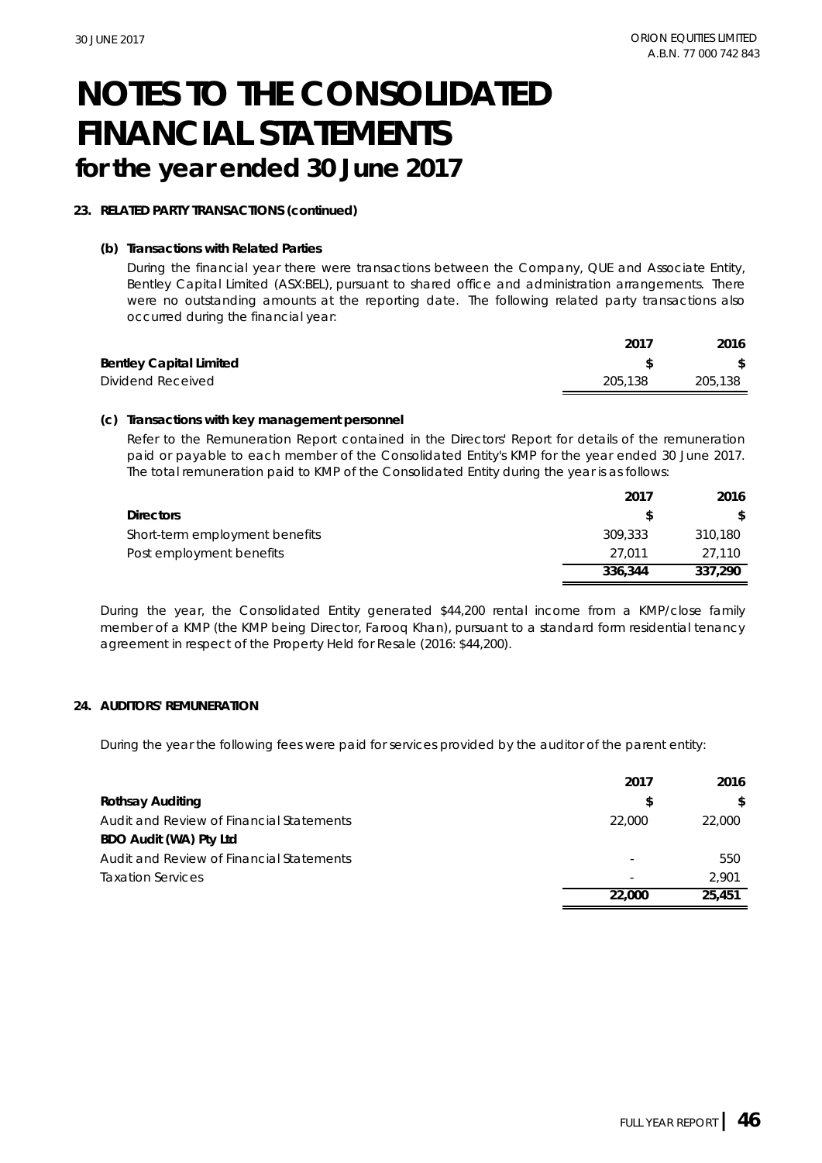#### **23. RELATED PARTY TRANSACTIONS (continued)**

**(b) Transactions with Related Parties**

During the financial year there were transactions between the Company, QUE and Associate Entity, Bentley Capital Limited (ASX:BEL), pursuant to shared office and administration arrangements. There were no outstanding amounts at the reporting date. The following related party transactions also occurred during the financial year:

|                                | 2017    | 2016    |
|--------------------------------|---------|---------|
| <b>Bentley Capital Limited</b> |         |         |
| Dividend Received              | 205,138 | 205,138 |
|                                |         |         |

#### **(c) Transactions with key management personnel**

Refer to the Remuneration Report contained in the Directors' Report for details of the remuneration paid or payable to each member of the Consolidated Entity's KMP for the year ended 30 June 2017. The total remuneration paid to KMP of the Consolidated Entity during the year is as follows:

|                                | 2017    | 2016           |
|--------------------------------|---------|----------------|
| <b>Directors</b>               |         | $\mathbb{S}^-$ |
| Short-term employment benefits | 309.333 | 310.180        |
| Post employment benefits       | 27.011  | 27.110         |
|                                | 336,344 | 337.290        |

During the year, the Consolidated Entity generated \$44,200 rental income from a KMP/close family member of a KMP (the KMP being Director, Farooq Khan), pursuant to a standard form residential tenancy agreement in respect of the Property Held for Resale (2016: \$44,200).

#### **24. AUDITORS' REMUNERATION**

During the year the following fees were paid for services provided by the auditor of the parent entity:

|                                          | 2017   | 2016         |
|------------------------------------------|--------|--------------|
| Rothsay Auditing                         |        | $\mathbb{S}$ |
| Audit and Review of Financial Statements | 22,000 | 22,000       |
| BDO Audit (WA) Pty Ltd                   |        |              |
| Audit and Review of Financial Statements |        | 550          |
| <b>Taxation Services</b>                 |        | 2.901        |
|                                          | 22,000 | 25,451       |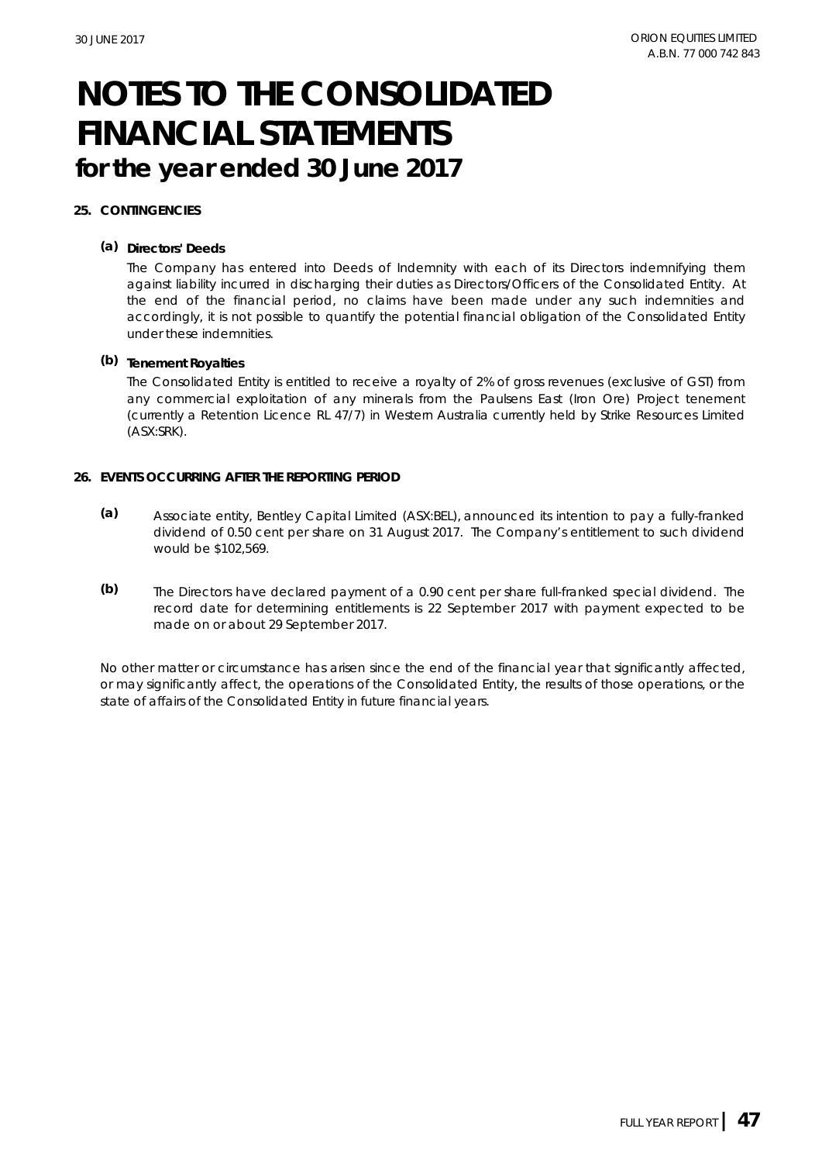#### **25. CONTINGENCIES**

**(a) Directors' Deeds**

The Company has entered into Deeds of Indemnity with each of its Directors indemnifying them against liability incurred in discharging their duties as Directors/Officers of the Consolidated Entity. At the end of the financial period, no claims have been made under any such indemnities and accordingly, it is not possible to quantify the potential financial obligation of the Consolidated Entity under these indemnities.

**(b) Tenement Royalties**

The Consolidated Entity is entitled to receive a royalty of 2% of gross revenues (exclusive of GST) from any commercial exploitation of any minerals from the Paulsens East (Iron Ore) Project tenement (currently a Retention Licence RL 47/7) in Western Australia currently held by Strike Resources Limited (ASX:SRK).

- **26. EVENTS OCCURRING AFTER THE REPORTING PERIOD**
	- **(a)** Associate entity, Bentley Capital Limited (ASX:BEL), announced its intention to pay a fully-franked dividend of 0.50 cent per share on 31 August 2017. The Company's entitlement to such dividend would be \$102,569.
	- **(b)** The Directors have declared payment of a 0.90 cent per share full-franked special dividend. The record date for determining entitlements is 22 September 2017 with payment expected to be made on or about 29 September 2017.

No other matter or circumstance has arisen since the end of the financial year that significantly affected, or may significantly affect, the operations of the Consolidated Entity, the results of those operations, or the state of affairs of the Consolidated Entity in future financial years.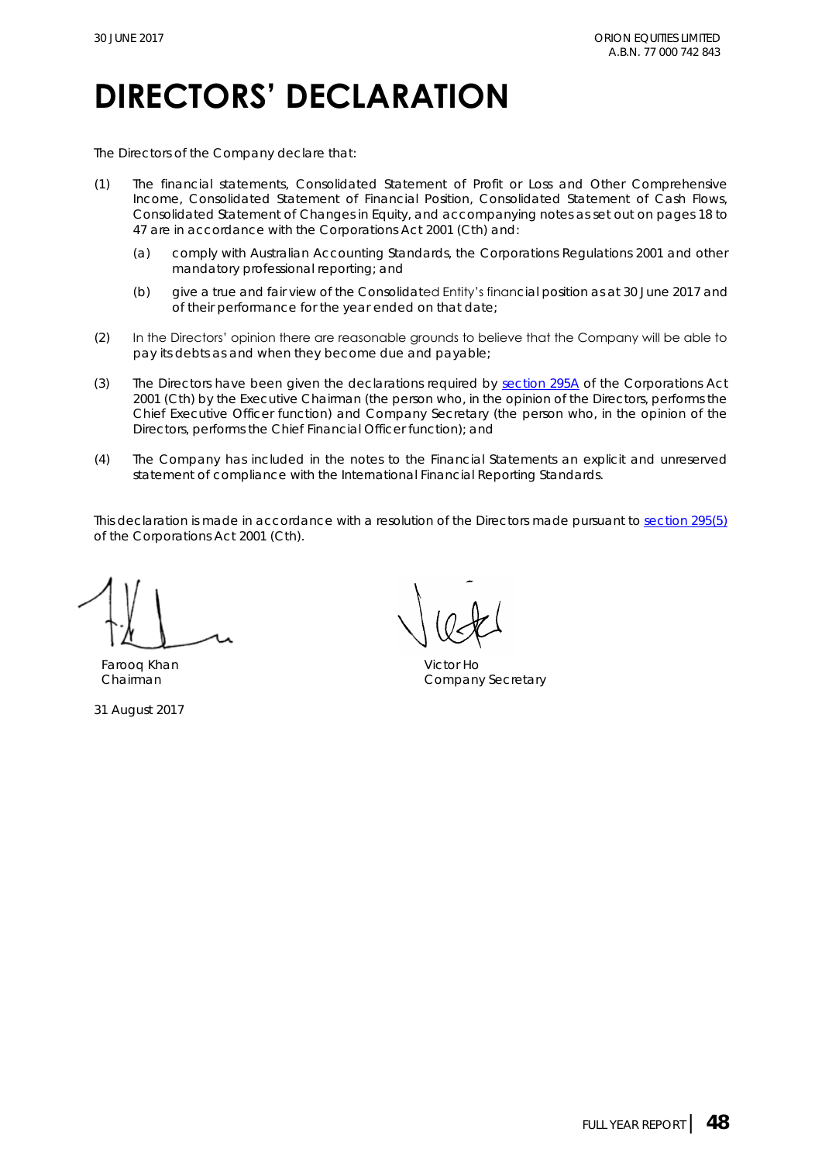## **DIRECTORS' DECLARATION**

The Directors of the Company declare that:

- (1) The financial statements, Consolidated Statement of Profit or Loss and Other Comprehensive Income, Consolidated Statement of Financial Position, Consolidated Statement of Cash Flows, Consolidated Statement of Changes in Equity, and accompanying notes as set out on pages 18 to 47 are in accordance with the *Corporations Act 2001 (Cth)* and:
	- (a) comply with Australian Accounting Standards, the *Corporations Regulations 2001* and other mandatory professional reporting; and
	- (b) give a true and fair view of the Consolidated Entity's financial position as at 30 June 2017 and of their performance for the year ended on that date;
- (2) In the Directors' opinion there are reasonable grounds to believe that the Company will be able to pay its debts as and when they become due and payable;
- (3) The Directors have been given the declarations required by [section 295A](http://www.austlii.edu.au/au/legis/cth/consol_act/ca2001172/s295a.html) of the *Corporations Act 2001 (Cth)* by the Executive Chairman (the person who, in the opinion of the Directors, performs the Chief Executive Officer function) and Company Secretary (the person who, in the opinion of the Directors, performs the Chief Financial Officer function); and
- (4) The Company has included in the notes to the Financial Statements an explicit and unreserved statement of compliance with the International Financial Reporting Standards.

This declaration is made in accordance with a resolution of the Directors made pursuant to [section 295\(5\)](http://www.austlii.edu.au/au/legis/cth/consol_act/ca2001172/s295.html) of the *Corporations Act 2001 (Cth)*.

Farooq Khan Victor Ho

31 August 2017

Chairman Chairman Company Secretary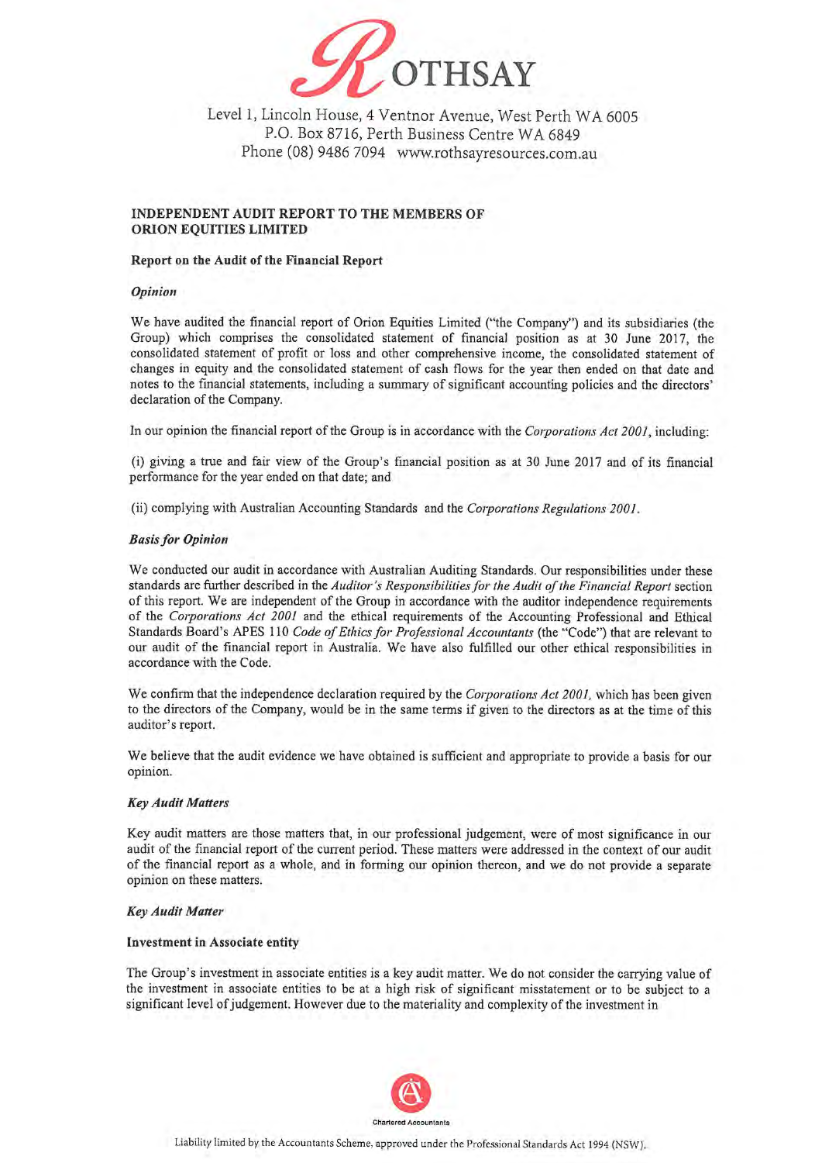

Level 1, Lincoln House, 4 Ventnor Avenue, West Perth WA 6005 P.O. Box 8716, Perth Business Centre WA 6849 Phone (08) 9486 7094 www.rothsayresources.com.au

#### INDEPENDENT AUDIT REPORT TO THE MEMBERS OF ORION EQUITIES LIMITED

#### Report on the Audit of the Financial Report

#### Opinion

We have audited the financial report of Orion Equities Limited ("the Company") and its subsidiaries (the Group) which comprises the consolidated statement of financial position as at 30 June 2017, the consolidated statement of profit or loss and other comprehensive income, the consolidated statement of changes in equity and the consolidated statement of cash flows for the year then ended on that date and notes to the financial statements, including a summary of significant accounting policies and the directors' declaration of the Company.

In our opinion the financial report of the Group is in accordance with the Corporations Act 2001, including:

(i) giving a true and fair view of the Group's financial position as at 30 June 2017 and of its financial performance for the year ended on that date; and

(ii) complying with Australian Accounting Standards and the Corporations Regulations 2001.

#### **Basis for Opinion**

We conducted our audit in accordance with Australian Auditing Standards. Our responsibilities under these standards are further described in the Auditor's Responsibilities for the Audit of the Financial Report section of this report. We are independent of the Group in accordance with the auditor independence requirements of the Corporations Act 2001 and the ethical requirements of the Accounting Professional and Ethical Standards Board's APES 110 Code of Ethics for Professional Accountants (the "Code") that are relevant to our audit of the financial report in Australia. We have also fulfilled our other ethical responsibilities in accordance with the Code.

We confirm that the independence declaration required by the Corporations Act 2001, which has been given to the directors of the Company, would be in the same terms if given to the directors as at the time of this auditor's report.

We believe that the audit evidence we have obtained is sufficient and appropriate to provide a basis for our opinion.

#### **Key Audit Matters**

Key audit matters are those matters that, in our professional judgement, were of most significance in our audit of the financial report of the current period. These matters were addressed in the context of our audit of the financial report as a whole, and in forming our opinion thereon, and we do not provide a separate opinion on these matters.

#### **Key Audit Matter**

#### **Investment in Associate entity**

The Group's investment in associate entities is a key audit matter. We do not consider the carrying value of the investment in associate entities to be at a high risk of significant misstatement or to be subject to a significant level of judgement. However due to the materiality and complexity of the investment in

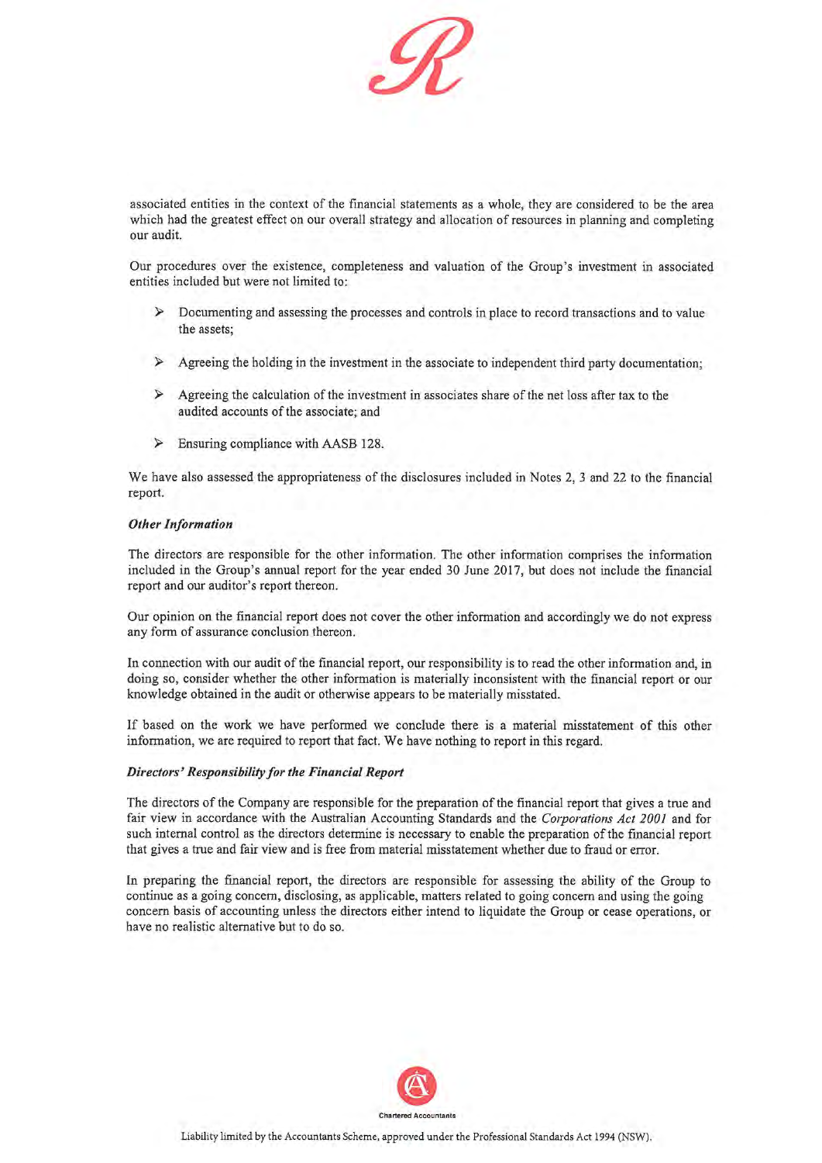

associated entities in the context of the financial statements as a whole, they are considered to be the area which had the greatest effect on our overall strategy and allocation of resources in planning and completing our audit.

Our procedures over the existence, completeness and valuation of the Group's investment in associated entities included but were not limited to:

- $\triangleright$  Documenting and assessing the processes and controls in place to record transactions and to value the assets:
- $\blacktriangleleft$ Agreeing the holding in the investment in the associate to independent third party documentation;
- $\triangleright$  Agreeing the calculation of the investment in associates share of the net loss after tax to the audited accounts of the associate; and
- $\triangleright$  Ensuring compliance with AASB 128.

We have also assessed the appropriateness of the disclosures included in Notes 2, 3 and 22 to the financial report.

#### **Other Information**

The directors are responsible for the other information. The other information comprises the information included in the Group's annual report for the year ended 30 June 2017, but does not include the financial report and our auditor's report thereon.

Our opinion on the financial report does not cover the other information and accordingly we do not express any form of assurance conclusion thereon.

In connection with our audit of the financial report, our responsibility is to read the other information and, in doing so, consider whether the other information is materially inconsistent with the financial report or our knowledge obtained in the audit or otherwise appears to be materially misstated.

If based on the work we have performed we conclude there is a material misstatement of this other information, we are required to report that fact. We have nothing to report in this regard.

#### Directors' Responsibility for the Financial Report

The directors of the Company are responsible for the preparation of the financial report that gives a true and fair view in accordance with the Australian Accounting Standards and the Corporations Act 2001 and for such internal control as the directors determine is necessary to enable the preparation of the financial report that gives a true and fair view and is free from material misstatement whether due to fraud or error.

In preparing the financial report, the directors are responsible for assessing the ability of the Group to continue as a going concern, disclosing, as applicable, matters related to going concern and using the going concern basis of accounting unless the directors either intend to liquidate the Group or cease operations, or have no realistic alternative but to do so.

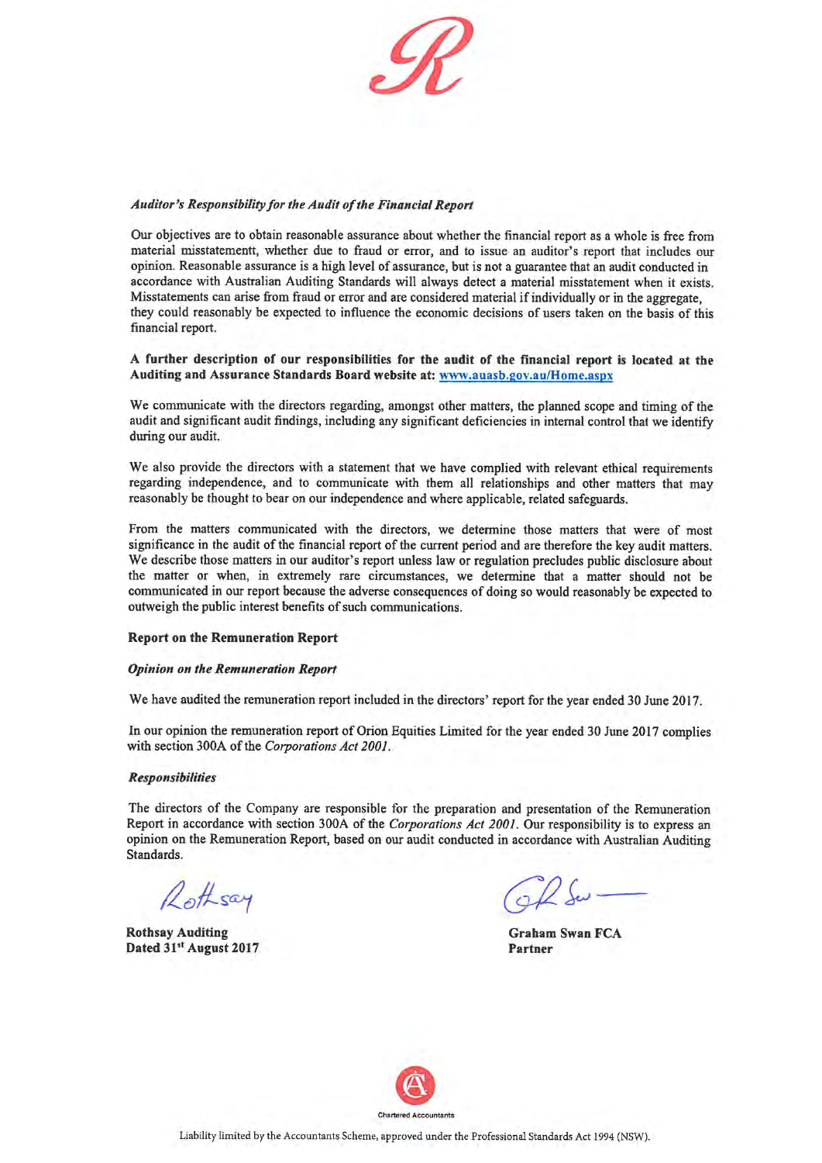

#### Auditor's Responsibility for the Audit of the Financial Report

Our objectives are to obtain reasonable assurance about whether the financial report as a whole is free from material misstatementt, whether due to fraud or error, and to issue an auditor's report that includes our opinion. Reasonable assurance is a high level of assurance, but is not a guarantee that an audit conducted in accordance with Australian Auditing Standards will always detect a material misstatement when it exists. Misstatements can arise from fraud or error and are considered material if individually or in the aggregate. they could reasonably be expected to influence the economic decisions of users taken on the basis of this financial report.

#### A further description of our responsibilities for the audit of the financial report is located at the Auditing and Assurance Standards Board website at: www.auasb.gov.au/Home.aspx

We communicate with the directors regarding, amongst other matters, the planned scope and timing of the audit and significant audit findings, including any significant deficiencies in internal control that we identify during our audit.

We also provide the directors with a statement that we have complied with relevant ethical requirements regarding independence, and to communicate with them all relationships and other matters that may reasonably be thought to bear on our independence and where applicable, related safeguards.

From the matters communicated with the directors, we determine those matters that were of most significance in the audit of the financial report of the current period and are therefore the key audit matters. We describe those matters in our auditor's report unless law or regulation precludes public disclosure about the matter or when, in extremely rare circumstances, we determine that a matter should not be communicated in our report because the adverse consequences of doing so would reasonably be expected to outweigh the public interest benefits of such communications.

#### **Report on the Remuneration Report**

#### **Opinion on the Remuneration Report**

We have audited the remuneration report included in the directors' report for the year ended 30 June 2017.

In our opinion the remuneration report of Orion Equities Limited for the year ended 30 June 2017 complies with section 300A of the Corporations Act 2001.

#### **Responsibilities**

The directors of the Company are responsible for the preparation and presentation of the Remuneration Report in accordance with section 300A of the Corporations Act 2001. Our responsibility is to express an opinion on the Remuneration Report, based on our audit conducted in accordance with Australian Auditing Standards.

Rothsay

**Rothsay Auditing** Dated 31st August 2017

**Graham Swan FCA** Partner